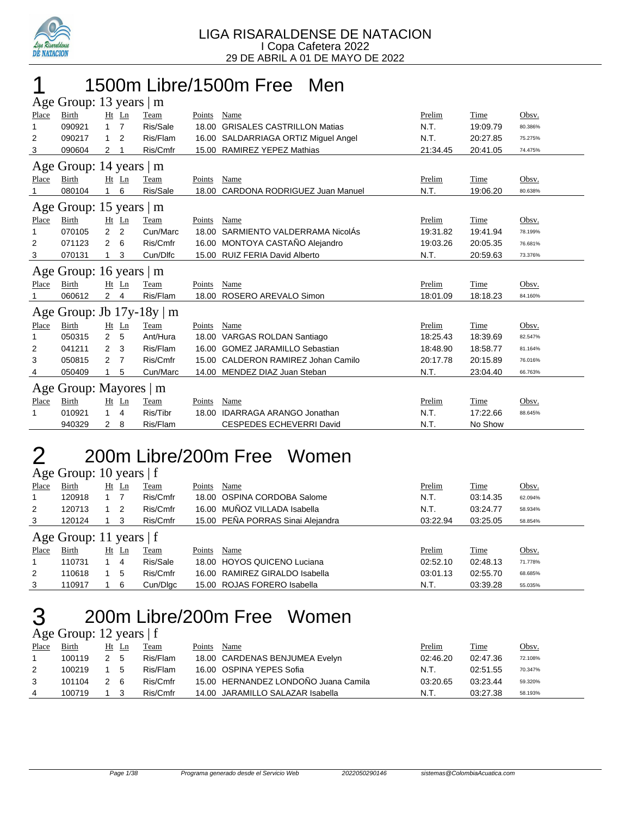

### 1 1500m Libre/1500m Free Men  $\Delta$ ge Group: 12 years | m

|       | $\Delta g$ c Oroup. To years $\Delta f$ III |                |                |          |        |                                      |          |          |         |  |  |  |
|-------|---------------------------------------------|----------------|----------------|----------|--------|--------------------------------------|----------|----------|---------|--|--|--|
| Place | Birth                                       |                | Ht Ln          | Team     | Points | Name                                 | Prelim   | Time     | Obsv.   |  |  |  |
| 1     | 090921                                      | $\mathbf{1}$   | 7              | Ris/Sale | 18.00  | <b>GRISALES CASTRILLON Matias</b>    | N.T.     | 19:09.79 | 80.386% |  |  |  |
| 2     | 090217                                      | 1              | 2              | Ris/Flam |        | 16.00 SALDARRIAGA ORTIZ Miguel Angel | N.T.     | 20:27.85 | 75.275% |  |  |  |
| 3     | 090604                                      | 2              |                | Ris/Cmfr | 15.00  | RAMIREZ YEPEZ Mathias                | 21:34.45 | 20:41.05 | 74.475% |  |  |  |
|       | Age Group: 14 years   m                     |                |                |          |        |                                      |          |          |         |  |  |  |
| Place | Birth                                       |                | Ht Ln          | Team     | Points | Name                                 | Prelim   | Time     | Obsv.   |  |  |  |
|       | 080104                                      | 1              | 6              | Ris/Sale | 18.00  | <b>CARDONA RODRIGUEZ Juan Manuel</b> | N.T.     | 19:06.20 | 80.638% |  |  |  |
|       | Age Group: 15 years                         |                |                | m        |        |                                      |          |          |         |  |  |  |
| Place | Birth                                       | $Ht$ Ln        |                | Team     | Points | Name                                 | Prelim   | Time     | Obsv.   |  |  |  |
| 1     | 070105                                      | $\overline{2}$ | $\overline{2}$ | Cun/Marc | 18.00  | SARMIENTO VALDERRAMA NicolÁs         | 19:31.82 | 19:41.94 | 78.199% |  |  |  |
| 2     | 071123                                      | 2              | 6              | Ris/Cmfr |        | 16.00 MONTOYA CASTAÑO Alejandro      | 19:03.26 | 20:05.35 | 76.681% |  |  |  |
| 3     | 070131                                      | 1              | 3              | Cun/Dlfc |        | 15.00 RUIZ FERIA David Alberto       | N.T.     | 20:59.63 | 73.376% |  |  |  |
|       | Age Group: 16 years   m                     |                |                |          |        |                                      |          |          |         |  |  |  |
| Place | Birth                                       |                | Ht Ln          | Team     | Points | Name                                 | Prelim   | Time     | Obsv.   |  |  |  |
|       | 060612                                      | $\overline{2}$ | 4              | Ris/Flam |        | 18.00 ROSERO AREVALO Simon           | 18:01.09 | 18:18.23 | 84.160% |  |  |  |
|       | Age Group: Jb $17y-18y$                     |                |                | m        |        |                                      |          |          |         |  |  |  |
| Place | Birth                                       |                | $Ht$ Ln        | Team     | Points | Name                                 | Prelim   | Time     | Obsv.   |  |  |  |
| 1     | 050315                                      | $\overline{2}$ | 5              | Ant/Hura |        | 18.00 VARGAS ROLDAN Santiago         | 18:25.43 | 18:39.69 | 82.547% |  |  |  |
| 2     | 041211                                      | 2              | 3              | Ris/Flam | 16.00  | <b>GOMEZ JARAMILLO Sebastian</b>     | 18:48.90 | 18:58.77 | 81.164% |  |  |  |
| 3     | 050815                                      | 2              | 7              | Ris/Cmfr | 15.00  | CALDERON RAMIREZ Johan Camilo        | 20:17.78 | 20:15.89 | 76.016% |  |  |  |
| 4     | 050409                                      | 1              | 5              | Cun/Marc |        | 14.00 MENDEZ DIAZ Juan Steban        | N.T.     | 23:04.40 | 66.763% |  |  |  |
|       | Age Group: Mayores   m                      |                |                |          |        |                                      |          |          |         |  |  |  |
| Place | Birth                                       |                | Ht Ln          | Team     | Points | Name                                 | Prelim   | Time     | Obsv.   |  |  |  |
| 1     | 010921                                      | 1              | 4              | Ris/Tibr | 18.00  | <b>IDARRAGA ARANGO Jonathan</b>      | N.T.     | 17:22.66 | 88.645% |  |  |  |
|       | 940329                                      | $\mathbf{2}$   | 8              | Ris/Flam |        | <b>CESPEDES ECHEVERRI David</b>      | N.T.     | No Show  |         |  |  |  |
|       |                                             |                |                |          |        |                                      |          |          |         |  |  |  |

### 2 200m Libre/200m Free Women  $\overline{A}$ ge Group: 10 years | f

|                           | $1.45$ $0.04$ $0.10$ $0.04$ $0.04$ |  |         |             |        |                                   |          |          |         |  |  |  |
|---------------------------|------------------------------------|--|---------|-------------|--------|-----------------------------------|----------|----------|---------|--|--|--|
| Place                     | Birth                              |  | $Ht$ Ln | <b>Team</b> | Points | Name                              | Prelim   | Time     | Obsv.   |  |  |  |
|                           | 120918                             |  |         | Ris/Cmfr    |        | 18.00 OSPINA CORDOBA Salome       | N.T.     | 03:14.35 | 62.094% |  |  |  |
| 2                         | 120713                             |  | -2      | Ris/Cmfr    |        | 16.00 MUÑOZ VILLADA Isabella      | N.T.     | 03:24.77 | 58.934% |  |  |  |
| 3                         | 120124                             |  | 3       | Ris/Cmfr    |        | 15.00 PEÑA PORRAS Sinai Alejandra | 03:22.94 | 03:25.05 | 58.854% |  |  |  |
| Age Group: 11 years $ f $ |                                    |  |         |             |        |                                   |          |          |         |  |  |  |
| Place                     | Birth                              |  | $Ht$ Ln | Team        | Points | Name                              | Prelim   | Time     | Obsv.   |  |  |  |
|                           | 110731                             |  | -4      | Ris/Sale    |        | 18.00 HOYOS QUICENO Luciana       | 02:52.10 | 02:48.13 | 71.778% |  |  |  |
| 2                         | 110618                             |  | 5       | Ris/Cmfr    |        | 16.00 RAMIREZ GIRALDO Isabella    | 03:01.13 | 02:55.70 | 68.685% |  |  |  |
| 3                         | 110917                             |  | -6      | Cun/Dlgc    |        | 15.00 ROJAS FORERO Isabella       | N.T.     | 03:39.28 | 55.035% |  |  |  |

## 3 200m Libre/200m Free Women

### Age Group: 12 years | f

| Place | <b>Birth</b> |     | Ht Ln | Team     | Points | Name                                 | Prelim   | <b>Time</b> | Obsv.   |
|-------|--------------|-----|-------|----------|--------|--------------------------------------|----------|-------------|---------|
|       | 100119       | 2 5 |       | Ris/Flam |        | 18.00 CARDENAS BENJUMEA Evelyn       | 02:46.20 | 02:47.36    | 72.108% |
|       | 100219       |     | -5    | Ris/Flam |        | 16.00 OSPINA YEPES Sofia             | N.T.     | 02:51.55    | 70.347% |
| 3     | 101104       | 2 6 |       | Ris/Cmfr |        | 15.00 HERNANDEZ LONDOÑO Juana Camila | 03:20.65 | 03:23.44    | 59.320% |
|       | 100719       |     |       | Ris/Cmfr |        | 14.00 JARAMILLO SALAZAR Isabella     | N.T.     | 03:27.38    | 58.193% |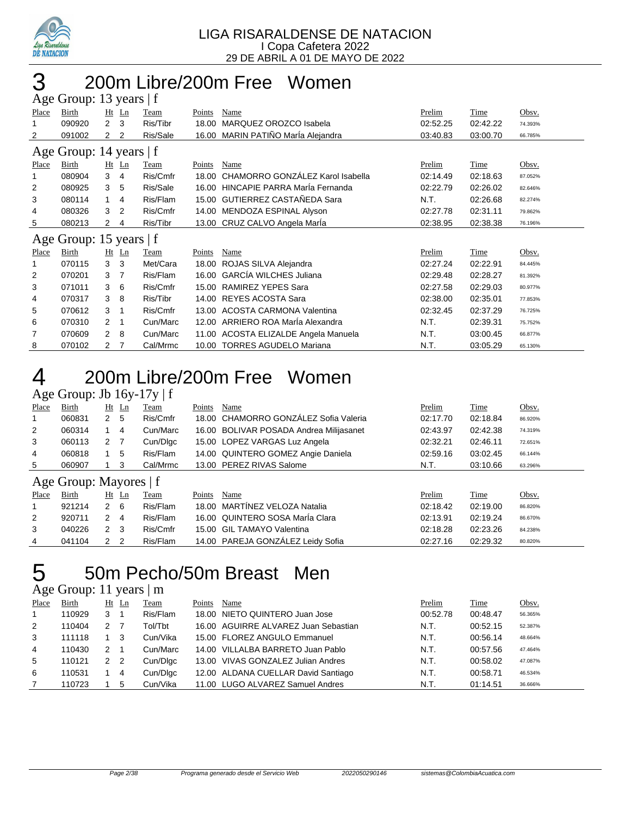

### 200m Libre/200m Free Women  $\cdot$  13 y

|                         | $\Delta$ gu Oroup. To yuars   I |                      |                |             |        |                                     |          |          |         |  |  |
|-------------------------|---------------------------------|----------------------|----------------|-------------|--------|-------------------------------------|----------|----------|---------|--|--|
| Place                   | Birth                           |                      | $Ht$ Ln        | Team        | Points | Name                                | Prelim   | Time     | Obsv.   |  |  |
| 1                       | 090920                          | $\overline{2}$       | 3              | Ris/Tibr    | 18.00  | MARQUEZ OROZCO Isabela              | 02:52.25 | 02:42.22 | 74.393% |  |  |
| 2                       | 091002                          | $\mathbf{2}^{\circ}$ | 2              | Ris/Sale    | 16.00  | MARIN PATIÑO MarÍa Alejandra        | 03:40.83 | 03:00.70 | 66.785% |  |  |
| Age Group: 14 years   f |                                 |                      |                |             |        |                                     |          |          |         |  |  |
| Place                   | Birth                           |                      | $Ht$ Ln        | <b>Team</b> | Points | Name                                | Prelim   | Time     | Obsv.   |  |  |
|                         | 080904                          | 3                    | 4              | Ris/Cmfr    | 18.00  | CHAMORRO GONZÁLEZ Karol Isabella    | 02:14.49 | 02:18.63 | 87.052% |  |  |
| 2                       | 080925                          | 3                    | 5              | Ris/Sale    |        | 16.00 HINCAPIE PARRA MarÍa Fernanda | 02:22.79 | 02:26.02 | 82.646% |  |  |
| 3                       | 080114                          | $\mathbf{1}$         | 4              | Ris/Flam    |        | 15.00 GUTIERREZ CASTAÑEDA Sara      | N.T.     | 02:26.68 | 82.274% |  |  |
| 4                       | 080326                          | 3                    | $\overline{2}$ | Ris/Cmfr    |        | 14.00 MENDOZA ESPINAL Alyson        | 02:27.78 | 02:31.11 | 79.862% |  |  |
| 5                       | 080213                          | 2                    | 4              | Ris/Tibr    |        | 13.00 CRUZ CALVO Angela Marla       | 02:38.95 | 02:38.38 | 76.196% |  |  |
| Age Group: 15 years   f |                                 |                      |                |             |        |                                     |          |          |         |  |  |
| Place                   | Birth                           |                      | $Ht$ Ln        | Team        | Points | Name                                | Prelim   | Time     | Obsv.   |  |  |
|                         | 070115                          | 3                    | -3             | Met/Cara    | 18.00  | ROJAS SILVA Alejandra               | 02:27.24 | 02:22.91 | 84.445% |  |  |
| 2                       | 070201                          | 3                    | 7              | Ris/Flam    | 16.00  | <b>GARCÍA WILCHES Juliana</b>       | 02:29.48 | 02:28.27 | 81.392% |  |  |
| 3                       | 071011                          | 3                    | -6             | Ris/Cmfr    | 15.00  | RAMIREZ YEPES Sara                  | 02:27.58 | 02:29.03 | 80.977% |  |  |
| 4                       | 070317                          | 3                    | 8              | Ris/Tibr    | 14.00  | REYES ACOSTA Sara                   | 02:38.00 | 02:35.01 | 77.853% |  |  |
| 5                       | 070612                          | 3                    | 1              | Ris/Cmfr    | 13.00  | <b>ACOSTA CARMONA Valentina</b>     | 02:32.45 | 02:37.29 | 76.725% |  |  |
| 6                       | 070310                          | 2                    | -1             | Cun/Marc    | 12.00  | ARRIERO ROA MarÍa Alexandra         | N.T.     | 02:39.31 | 75.752% |  |  |
| 7                       | 070609                          | $\overline{2}$       | -8             | Cun/Marc    | 11.00  | ACOSTA ELIZALDE Angela Manuela      | N.T.     | 03:00.45 | 66.877% |  |  |
| 8                       | 070102                          | 2                    | 7              | Cal/Mrmc    |        | 10.00 TORRES AGUDELO Mariana        | N.T.     | 03:05.29 | 65.130% |  |  |

## 200m Libre/200m Free Women

### Age Group: Jb  $16y-17y \mid f$

| ັ     |                          |              |         | <u>_</u>    |        |                                         |          |             |                |  |  |  |
|-------|--------------------------|--------------|---------|-------------|--------|-----------------------------------------|----------|-------------|----------------|--|--|--|
| Place | <b>Birth</b>             |              | $Ht$ Ln | <b>Team</b> | Points | Name                                    | Prelim   | <b>Time</b> | Obsv.          |  |  |  |
| -1    | 060831                   | $\mathbf{2}$ | 5       | Ris/Cmfr    |        | 18.00 CHAMORRO GONZÁLEZ Sofia Valeria   | 02:17.70 | 02:18.84    | 86.920%        |  |  |  |
| 2     | 060314                   |              | 4       | Cun/Marc    |        | 16.00 BOLIVAR POSADA Andrea Milijasanet | 02:43.97 | 02:42.38    | 74.319%        |  |  |  |
| 3     | 060113                   | 2            | -7      | Cun/Dlgc    |        | 15.00 LOPEZ VARGAS Luz Angela           | 02:32.21 | 02:46.11    | 72.651%        |  |  |  |
| 4     | 060818                   |              | 5       | Ris/Flam    |        | 14.00 QUINTERO GOMEZ Angie Daniela      | 02:59.16 | 03:02.45    | 66.144%        |  |  |  |
| 5     | 060907                   |              | 3       | Cal/Mrmc    |        | 13.00 PEREZ RIVAS Salome                | N.T.     | 03:10.66    | 63.296%        |  |  |  |
|       | Age Group: Mayores $ f $ |              |         |             |        |                                         |          |             |                |  |  |  |
| Place | Birth                    | Ht           | Ln      | Team        | Points | Name                                    | Prelim   | Time        | Obsv.          |  |  |  |
|       | 921214                   | $2 \quad 6$  |         | Ris/Flam    |        | 18.00 MARTINEZ VELOZA Natalia           | 02:18.42 | 02:19.00    | 86.820%        |  |  |  |
| C     | 020711                   | າ            |         | Pic/Flam    |        | 16.00 OHINTERO SOSA María Clara         | 02.13.01 | 02.10, 24   | <b>96 670%</b> |  |  |  |

| 16.00 QUINTERO SOSA MarÍa Clara<br>Ris/Flam<br>920711<br>02:13.91<br>02:19.24<br>24<br>15.00 GIL TAMAYO Valentina<br>Ris/Cmfr<br>02:23.26<br>040226<br>02:18.28<br>2 3 |         |
|------------------------------------------------------------------------------------------------------------------------------------------------------------------------|---------|
|                                                                                                                                                                        | 86.670% |
|                                                                                                                                                                        | 84.238% |
| 14.00 PAREJA GONZALEZ Leidy Sofia<br>02:29.32<br>Ris/Flam<br>02:27.16<br>041104<br>22                                                                                  | 80.820% |

# 50m Pecho/50m Breast Men

### Age Group: 11 years | m

| Place        | Birth  |   | $Ht$ Ln | Team     | Points | Name                                 | Prelim   | Time     | Obsv.   |
|--------------|--------|---|---------|----------|--------|--------------------------------------|----------|----------|---------|
| $\mathbf{1}$ | 110929 | 3 |         | Ris/Flam |        | 18.00 NIETO QUINTERO Juan Jose       | 00:52.78 | 00:48.47 | 56.365% |
| 2            | 110404 | 2 |         | Tol/Tbt  |        | 16.00 AGUIRRE ALVAREZ Juan Sebastian | N.T.     | 00:52.15 | 52.387% |
| 3            | 111118 |   | 3       | Cun/Vika |        | 15.00 FLOREZ ANGULO Emmanuel         | N.T.     | 00:56.14 | 48.664% |
| 4            | 110430 | 2 |         | Cun/Marc |        | 14.00 VILLALBA BARRETO Juan Pablo    | N.T.     | 00:57.56 | 47.464% |
| 5            | 110121 | 2 | 2       | Cun/Dlgc |        | 13.00 VIVAS GONZALEZ Julian Andres   | N.T.     | 00:58.02 | 47.087% |
| 6            | 110531 |   | 4       | Cun/Dlgc |        | 12.00 ALDANA CUELLAR David Santiago  | N.T.     | 00:58.71 | 46.534% |
|              | 110723 |   | 5       | Cun/Vika |        | 11.00 LUGO ALVAREZ Samuel Andres     | N.T.     | 01:14.51 | 36.666% |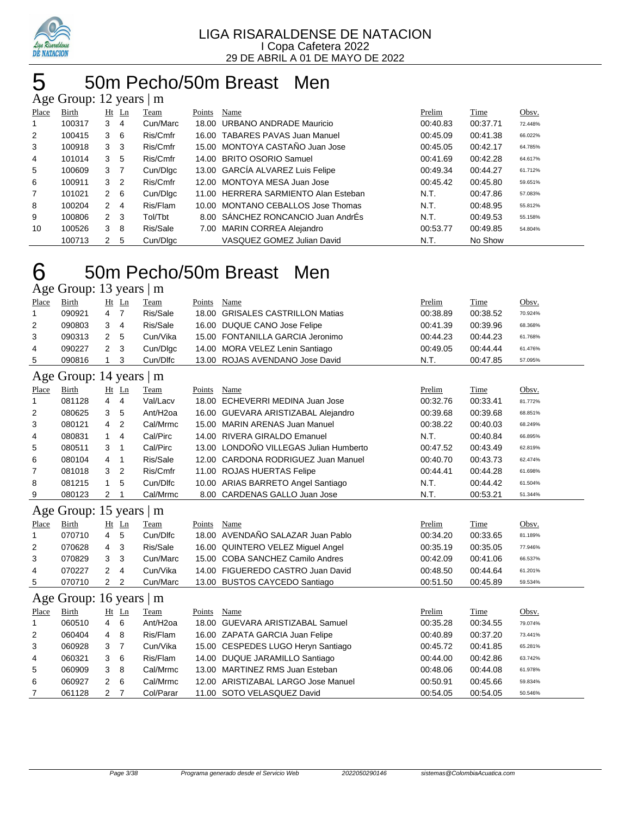

## 50m Pecho/50m Breast Men

|                | Age Group: 12 years |                      |                | m        |        |                                      |          |          |         |
|----------------|---------------------|----------------------|----------------|----------|--------|--------------------------------------|----------|----------|---------|
| Place          | Birth               |                      | $Ht$ Ln        | Team     | Points | Name                                 | Prelim   | Time     | Obsv.   |
|                | 100317              | 3                    | 4              | Cun/Marc | 18.00  | URBANO ANDRADE Mauricio              | 00:40.83 | 00:37.71 | 72.448% |
| $\overline{2}$ | 100415              | 3                    | 6              | Ris/Cmfr |        | 16.00 TABARES PAVAS Juan Manuel      | 00:45.09 | 00:41.38 | 66.022% |
| 3              | 100918              | 3                    | -3             | Ris/Cmfr |        | 15.00 MONTOYA CASTAÑO Juan Jose      | 00:45.05 | 00:42.17 | 64.785% |
| 4              | 101014              | 3                    | 5              | Ris/Cmfr |        | 14.00 BRITO OSORIO Samuel            | 00:41.69 | 00:42.28 | 64.617% |
| 5              | 100609              | 3                    | - 7            | Cun/Dlgc |        | 13.00 GARCÍA ALVAREZ Luis Felipe     | 00:49.34 | 00:44.27 | 61.712% |
| 6              | 100911              | 3                    | $\overline{2}$ | Ris/Cmfr |        | 12.00 MONTOYA MESA Juan Jose         | 00:45.42 | 00:45.80 | 59.651% |
| $\overline{7}$ | 101021              | $\mathbf{2}$         | 6              | Cun/Dlgc |        | 11.00 HERRERA SARMIENTO Alan Esteban | N.T.     | 00:47.86 | 57.083% |
| 8              | 100204              | $\mathbf{2}^{\circ}$ | 4              | Ris/Flam |        | 10.00 MONTANO CEBALLOS Jose Thomas   | N.T.     | 00:48.95 | 55.812% |
| 9              | 100806              | 2                    | - 3            | Tol/Tbt  |        | 8.00 SANCHEZ RONCANCIO Juan AndrÉs   | N.T.     | 00:49.53 | 55.158% |
| 10             | 100526              | 3                    | 8              | Ris/Sale | 7.00   | <b>MARIN CORREA Alejandro</b>        | 00:53.77 | 00:49.85 | 54.804% |
|                | 100713              | 2                    | 5              | Cun/Dlgc |        | VASQUEZ GOMEZ Julian David           | N.T.     | No Show  |         |

#### 50m Pecho/50m Breast Men  $C_{\text{round}}$ : 12 years | m

|       | -------                |    |                 | _ _ _ _ |        |      | ------- | -------      |       |
|-------|------------------------|----|-----------------|---------|--------|------|---------|--------------|-------|
| Place | Bırth                  | Ht | Ln.             | eam     | Points | Name | 'relim  | <u>. ime</u> | Obsy. |
|       | $\Delta$ gue Oroup. To |    | $\sqrt{2}$ uldi | -111    |        |      |         |              |       |

|   | 090921 | 47  | Ris/Sale | 18.00 GRISALES CASTRILLON Matias | 00:38.89 | 00:38.52 | 70.924% |
|---|--------|-----|----------|----------------------------------|----------|----------|---------|
|   | 090803 | 3 4 | Ris/Sale | 16.00 DUQUE CANO Jose Felipe     | 00:41.39 | 00:39.96 | 68.368% |
|   | 090313 | 2 5 | Cun/Vika | 15.00 FONTANILLA GARCIA Jeronimo | 00:44.23 | 00:44.23 | 61.768% |
| 4 | 090227 | 2 3 | Cun/Dlgc | 14.00 MORA VELEZ Lenin Santiago  | 00:49.05 | 00:44.44 | 61.476% |
| 5 | 090816 |     | Cun/Dlfc | 13.00 ROJAS AVENDANO Jose David  | N.T.     | 00:47.85 | 57.095% |

### Age Group: 14 years | m

|                | $\Delta$ ge Oroup. 14 years $\vert$ III |                |         |                       |        |                                        |          |          |         |
|----------------|-----------------------------------------|----------------|---------|-----------------------|--------|----------------------------------------|----------|----------|---------|
| Place          | Birth                                   |                | $Ht$ Ln | Team                  | Points | Name                                   | Prelim   | Time     | Obsv.   |
| 1              | 081128                                  | 4              | 4       | Val/Lacv              |        | 18.00 ECHEVERRI MEDINA Juan Jose       | 00:32.76 | 00:33.41 | 81.772% |
| 2              | 080625                                  | 3              | 5       | Ant/H <sub>2</sub> oa |        | 16.00 GUEVARA ARISTIZABAL Alejandro    | 00:39.68 | 00:39.68 | 68.851% |
| 3              | 080121                                  | $\overline{4}$ | -2      | Cal/Mrmc              |        | 15.00 MARIN ARENAS Juan Manuel         | 00:38.22 | 00:40.03 | 68.249% |
| $\overline{4}$ | 080831                                  |                | 4       | Cal/Pirc              |        | 14.00 RIVERA GIRALDO Emanuel           | N.T.     | 00:40.84 | 66.895% |
| 5              | 080511                                  | 3              |         | Cal/Pirc              |        | 13.00 LONDOÑO VILLEGAS Julian Humberto | 00:47.52 | 00:43.49 | 62.819% |
| 6              | 080104                                  | 4              | - 1     | Ris/Sale              |        | 12.00 CARDONA RODRIGUEZ Juan Manuel    | 00:40.70 | 00:43.73 | 62.474% |
| $\overline{7}$ | 081018                                  | 3              | 2       | Ris/Cmfr              |        | 11.00 ROJAS HUERTAS Felipe             | 00:44.41 | 00:44.28 | 61.698% |
| 8              | 081215                                  |                | 5       | Cun/Dlfc              |        | 10.00 ARIAS BARRETO Angel Santiago     | N.T.     | 00:44.42 | 61.504% |
| 9              | 080123                                  | 2              |         | Cal/Mrmc              |        | 8.00 CARDENAS GALLO Juan Jose          | N.T.     | 00:53.21 | 51.344% |

#### Age Group: 15 years | m

|       | $\frac{1}{2}$ |                |       |          |        |                                   |          |          |         |
|-------|---------------|----------------|-------|----------|--------|-----------------------------------|----------|----------|---------|
| Place | Birth         |                | Ht Ln | Team     | Points | Name                              | Prelim   | Time     | Obsv.   |
|       | 070710        | 4              | 5     | Cun/Dlfc |        | 18.00 AVENDAÑO SALAZAR Juan Pablo | 00:34.20 | 00:33.65 | 81.189% |
| 2     | 070628        | $\overline{4}$ | -3    | Ris/Sale |        | 16.00 QUINTERO VELEZ Miquel Angel | 00:35.19 | 00:35.05 | 77.946% |
| 3     | 070829        | 3              | - 3   | Cun/Marc |        | 15.00 COBA SANCHEZ Camilo Andres  | 00:42.09 | 00:41.06 | 66.537% |
| 4     | 070227        |                | 4     | Cun/Vika |        | 14.00 FIGUEREDO CASTRO Juan David | 00:48.50 | 00:44.64 | 61.201% |
| 5     | 070710        |                |       | Cun/Marc |        | 13.00 BUSTOS CAYCEDO Santiago     | 00:51.50 | 00:45.89 | 59.534% |

### Age Group: 16 years | m

| Place          | Birth  | Ht | Ln  | Team                 | Points | Name                                | Prelim   | Time     | Obsv.   |
|----------------|--------|----|-----|----------------------|--------|-------------------------------------|----------|----------|---------|
|                | 060510 | 4  | -6  | Ant/H <sub>20a</sub> |        | 18.00 GUEVARA ARISTIZABAL Samuel    | 00:35.28 | 00:34.55 | 79.074% |
| 2              | 060404 | 4  | - 8 | Ris/Flam             |        | 16.00 ZAPATA GARCIA Juan Felipe     | 00:40.89 | 00:37.20 | 73.441% |
| 3              | 060928 | 3  |     | Cun/Vika             |        | 15.00 CESPEDES LUGO Heryn Santiago  | 00:45.72 | 00:41.85 | 65.281% |
| $\overline{4}$ | 060321 | 3  | - 6 | Ris/Flam             |        | 14.00 DUQUE JARAMILLO Santiago      | 00:44.00 | 00:42.86 | 63.742% |
| 5              | 060909 | 3  | -8  | Cal/Mrmc             |        | 13.00 MARTINEZ RMS Juan Esteban     | 00:48.06 | 00:44.08 | 61.978% |
| 6              | 060927 |    | -6  | Cal/Mrmc             |        | 12.00 ARISTIZABAL LARGO Jose Manuel | 00:50.91 | 00:45.66 | 59.834% |
|                | 061128 |    |     | Col/Parar            |        | 11.00 SOTO VELASQUEZ David          | 00:54.05 | 00:54.05 | 50.546% |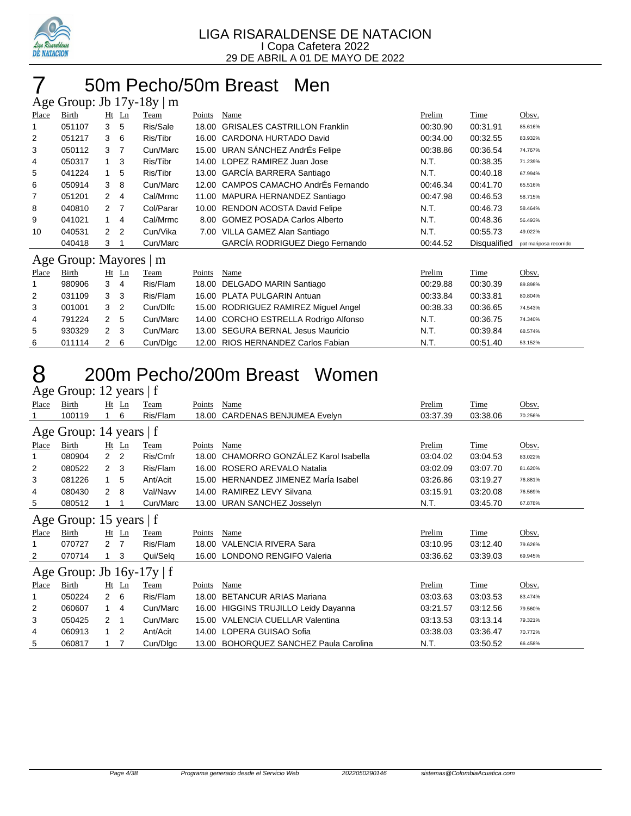

### 50m Pecho/50m Breast Men

|       | Age Group: Jb $17y-18y \mid m$ |                |                |           |        |                                       |          |              |                        |  |  |
|-------|--------------------------------|----------------|----------------|-----------|--------|---------------------------------------|----------|--------------|------------------------|--|--|
| Place | Birth                          |                | Ht Ln          | Team      | Points | Name                                  | Prelim   | Time         | Obsv.                  |  |  |
|       | 051107                         | 3              | 5              | Ris/Sale  | 18.00  | <b>GRISALES CASTRILLON Franklin</b>   | 00:30.90 | 00:31.91     | 85.616%                |  |  |
| 2     | 051217                         | 3              | 6              | Ris/Tibr  | 16.00  | CARDONA HURTADO David                 | 00:34.00 | 00:32.55     | 83.932%                |  |  |
| 3     | 050112                         | 3              | $\overline{7}$ | Cun/Marc  |        | 15.00 URAN SÁNCHEZ AndrÉs Felipe      | 00:38.86 | 00:36.54     | 74.767%                |  |  |
| 4     | 050317                         | 1              | 3              | Ris/Tibr  | 14.00  | LOPEZ RAMIREZ Juan Jose               | N.T.     | 00:38.35     | 71.239%                |  |  |
| 5     | 041224                         | 1.             | 5              | Ris/Tibr  |        | 13.00 GARCÍA BARRERA Santiago         | N.T.     | 00:40.18     | 67.994%                |  |  |
| 6     | 050914                         | 3              | 8              | Cun/Marc  | 12.00  | CAMPOS CAMACHO AndrÉs Fernando        | 00:46.34 | 00:41.70     | 65.516%                |  |  |
| 7     | 051201                         | $\overline{2}$ | 4              | Cal/Mrmc  | 11.00  | MAPURA HERNANDEZ Santiago             | 00:47.98 | 00:46.53     | 58.715%                |  |  |
| 8     | 040810                         | $\mathcal{P}$  | $\overline{7}$ | Col/Parar | 10.00  | <b>RENDON ACOSTA David Felipe</b>     | N.T.     | 00:46.73     | 58.464%                |  |  |
| 9     | 041021                         | 1              | 4              | Cal/Mrmc  | 8.00   | <b>GOMEZ POSADA Carlos Alberto</b>    | N.T.     | 00:48.36     | 56.493%                |  |  |
| 10    | 040531                         | $\mathcal{P}$  | $\overline{2}$ | Cun/Vika  | 7.00   | VILLA GAMEZ Alan Santiago             | N.T.     | 00:55.73     | 49.022%                |  |  |
|       | 040418                         | 3              |                | Cun/Marc  |        | GARCÍA RODRIGUEZ Diego Fernando       | 00:44.52 | Disqualified | pat mariposa recorrido |  |  |
|       | Age Group: Mayores   m         |                |                |           |        |                                       |          |              |                        |  |  |
| Place | Birth                          |                | $Ht$ Ln        | Team      | Points | Name                                  | Prelim   | Time         | Obsv.                  |  |  |
|       | 980906                         | 3              | 4              | Ris/Flam  | 18.00  | DELGADO MARIN Santiago                | 00:29.88 | 00:30.39     | 89.898%                |  |  |
| 2     | 031109                         | 3              | -3             | Ris/Flam  | 16.00  | PLATA PULGARIN Antuan                 | 00:33.84 | 00:33.81     | 80.804%                |  |  |
| 3     | 001001                         | 3              | $\overline{2}$ | Cun/Dlfc  | 15.00  | RODRIGUEZ RAMIREZ Miguel Angel        | 00:38.33 | 00:36.65     | 74.543%                |  |  |
| 4     | 791224                         | 2              | 5              | Cun/Marc  |        | 14.00 CORCHO ESTRELLA Rodrigo Alfonso | N.T.     | 00:36.75     | 74.340%                |  |  |

 930329 2 3 Cun/Marc 13.00 SEGURA BERNAL Jesus Mauricio N.T. 00:39.84 68.574% 011114 2 6 Cun/Dlgc 12.00 RIOS HERNANDEZ Carlos Fabian N.T. 00:51.40 53.152%

### 200m Pecho/200m Breast Women Age Group: 12 years | f

|       | $1.50 \, \text{MeV}$           |                      | $, \, \ldots$ |          |        |                                        |          |          |         |  |  |
|-------|--------------------------------|----------------------|---------------|----------|--------|----------------------------------------|----------|----------|---------|--|--|
| Place | Birth                          |                      | $Ht$ Ln       | Team     | Points | Name                                   | Prelim   | Time     | Obsv.   |  |  |
|       | 100119                         |                      | 6             | Ris/Flam | 18.00  | CARDENAS BENJUMEA Evelyn               | 03:37.39 | 03:38.06 | 70.256% |  |  |
|       | Age Group: 14 years   f        |                      |               |          |        |                                        |          |          |         |  |  |
| Place | Birth                          |                      | $Ht$ Ln       | Team     | Points | Name                                   | Prelim   | Time     | Obsv.   |  |  |
| 1     | 080904                         | $\mathbf{2}^{\circ}$ | 2             | Ris/Cmfr | 18.00  | CHAMORRO GONZÁLEZ Karol Isabella       | 03:04.02 | 03:04.53 | 83.022% |  |  |
| 2     | 080522                         | $2 \quad 3$          |               | Ris/Flam |        | 16.00 ROSERO AREVALO Natalia           | 03:02.09 | 03:07.70 | 81.620% |  |  |
| 3     | 081226                         | 1                    | 5             | Ant/Acit |        | 15.00 HERNANDEZ JIMENEZ Marla Isabel   | 03:26.86 | 03:19.27 | 76.881% |  |  |
| 4     | 080430                         | $\overline{2}$       | 8             | Val/Navv | 14.00  | RAMIREZ LEVY Silvana                   | 03:15.91 | 03:20.08 | 76.569% |  |  |
| 5     | 080512                         |                      |               | Cun/Marc |        | 13.00 URAN SANCHEZ Josselyn            | N.T.     | 03:45.70 | 67.878% |  |  |
|       | Age Group: 15 years $ f $      |                      |               |          |        |                                        |          |          |         |  |  |
| Place | Birth                          | $Ht$ Ln              |               | Team     | Points | Name                                   | Prelim   | Time     | Obsv.   |  |  |
|       | 070727                         | $\overline{2}$       | 7             | Ris/Flam | 18.00  | VALENCIA RIVERA Sara                   | 03:10.95 | 03:12.40 | 79.626% |  |  |
| 2     | 070714                         |                      | 3             | Qui/Selq |        | 16.00 LONDONO RENGIFO Valeria          | 03:36.62 | 03:39.03 | 69.945% |  |  |
|       | Age Group: Jb $16y-17y \mid f$ |                      |               |          |        |                                        |          |          |         |  |  |
| Place | Birth                          | Ht Ln                |               | Team     | Points | Name                                   | Prelim   | Time     | Obsv.   |  |  |
|       | 050224                         | $\overline{2}$       | 6             | Ris/Flam | 18.00  | <b>BETANCUR ARIAS Mariana</b>          | 03:03.63 | 03:03.53 | 83.474% |  |  |
| 2     | 060607                         | 1                    | 4             | Cun/Marc |        | 16.00 HIGGINS TRUJILLO Leidy Dayanna   | 03:21.57 | 03:12.56 | 79.560% |  |  |
| 3     | 050425                         | 2                    | -1            | Cun/Marc | 15.00  | VALENCIA CUELLAR Valentina             | 03:13.53 | 03:13.14 | 79.321% |  |  |
| 4     | 060913                         | 1                    | 2             | Ant/Acit | 14.00  | LOPERA GUISAO Sofia                    | 03:38.03 | 03:36.47 | 70.772% |  |  |
| 5     | 060817                         |                      | 7             | Cun/Digc |        | 13.00 BOHORQUEZ SANCHEZ Paula Carolina | N.T.     | 03.50.52 | 66.458% |  |  |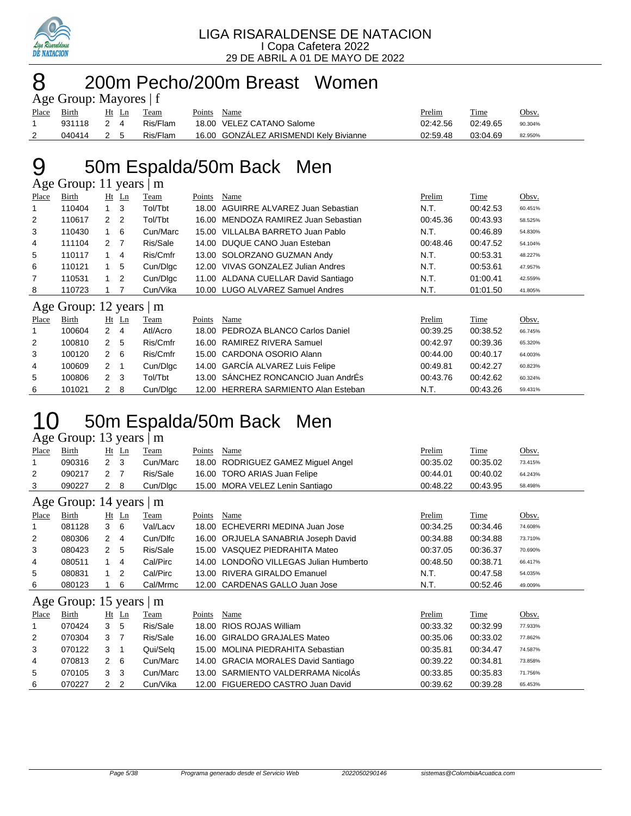

### 8 200m Pecho/200m Breast Women aun<sup>.</sup> Mayores | f

|             | $\Delta$ gu Oroup. Mayorus   1 |       |  |          |        |                                        |          |          |         |  |  |  |  |
|-------------|--------------------------------|-------|--|----------|--------|----------------------------------------|----------|----------|---------|--|--|--|--|
| Place Birth |                                | Ht Ln |  | Team     | Points | Name                                   | Prelim   | Time     | Obsv.   |  |  |  |  |
|             | 931118 2 4                     |       |  | Ris/Flam |        | 18.00 VELEZ CATANO Salome              | 02:42.56 | 02:49.65 | 90.304% |  |  |  |  |
| 2           | 040414                         | 2 5   |  | Ris/Flam |        | 16.00 GONZALEZ ARISMENDI Kely Bivianne | 02:59.48 | 03:04.69 | 82.950% |  |  |  |  |

## 50m Espalda/50m Back Men

| Age Group: 11 years<br>m |                         |                |                |             |        |                                      |          |          |         |  |
|--------------------------|-------------------------|----------------|----------------|-------------|--------|--------------------------------------|----------|----------|---------|--|
| <b>Place</b>             | Birth                   | Ht             | Ln             | Team        | Points | Name                                 | Prelim   | Time     | Obsv.   |  |
| 1                        | 110404                  | $\mathbf{1}$   | 3              | Tol/Tbt     | 18.00  | AGUIRRE ALVAREZ Juan Sebastian       | N.T.     | 00:42.53 | 60.451% |  |
| 2                        | 110617                  | $\overline{2}$ | 2              | Tol/Tbt     | 16.00  | MENDOZA RAMIREZ Juan Sebastian       | 00:45.36 | 00:43.93 | 58.525% |  |
| 3                        | 110430                  | 1              | 6              | Cun/Marc    | 15.00  | VILLALBA BARRETO Juan Pablo          | N.T.     | 00:46.89 | 54.830% |  |
| 4                        | 111104                  | $\mathcal{P}$  | - 7            | Ris/Sale    | 14.00  | DUQUE CANO Juan Esteban              | 00:48.46 | 00:47.52 | 54.104% |  |
| 5                        | 110117                  | 1              | 4              | Ris/Cmfr    | 13.00  | SOLORZANO GUZMAN Andy                | N.T.     | 00:53.31 | 48.227% |  |
| 6                        | 110121                  | 1.             | 5              | Cun/Dlgc    | 12.00  | VIVAS GONZALEZ Julian Andres         | N.T.     | 00:53.61 | 47.957% |  |
| 7                        | 110531                  | 1.             | $\overline{2}$ | Cun/Digc    | 11.00  | ALDANA CUELLAR David Santiago        | N.T.     | 01:00.41 | 42.559% |  |
| 8                        | 110723                  |                |                | Cun/Vika    |        | 10.00 LUGO ALVAREZ Samuel Andres     | N.T.     | 01:01.50 | 41.805% |  |
|                          | Age Group: 12 years   m |                |                |             |        |                                      |          |          |         |  |
| Place                    | Birth                   | $Ht$ Ln        |                | <b>Team</b> | Points | Name                                 | Prelim   | Time     | Obsv.   |  |
| 1                        | 100604                  | $\overline{2}$ | 4              | Atl/Acro    | 18.00  | PEDROZA BLANCO Carlos Daniel         | 00:39.25 | 00:38.52 | 66.745% |  |
| 2                        | 100810                  | $\mathbf{2}$   | 5              | Ris/Cmfr    | 16.00  | RAMIREZ RIVERA Samuel                | 00:42.97 | 00:39.36 | 65.320% |  |
| 3                        | 100120                  | $\mathbf{2}$   | 6              | Ris/Cmfr    |        | 15.00 CARDONA OSORIO Alann           | 00:44.00 | 00:40.17 | 64.003% |  |
| 4                        | 100609                  | $\overline{2}$ |                | Cun/Dlgc    |        | 14.00 GARCÍA ALVAREZ Luis Felipe     | 00:49.81 | 00:42.27 | 60.823% |  |
| 5                        | 100806                  | $\mathbf{2}$   | -3             | Tol/Tbt     |        | 13.00 SANCHEZ RONCANCIO Juan AndrÉs  | 00:43.76 | 00:42.62 | 60.324% |  |
| 6                        | 101021                  | $\overline{2}$ | 8              | Cun/Dlgc    |        | 12.00 HERRERA SARMIENTO Alan Esteban | N.T.     | 00:43.26 | 59.431% |  |

## 50m Espalda/50m Back Men

### Age Group: 13 years | m

| Place                         | Birth                   |                | $Ht$ Ln | Team        | Points | Name                                 | Prelim   | Time        | Obsv.   |  |  |
|-------------------------------|-------------------------|----------------|---------|-------------|--------|--------------------------------------|----------|-------------|---------|--|--|
| 1                             | 090316                  | $2 \quad 3$    |         | Cun/Marc    | 18.00  | RODRIGUEZ GAMEZ Miguel Angel         | 00:35.02 | 00:35.02    | 73.415% |  |  |
| 2                             | 090217                  | 2              | - 7     | Ris/Sale    |        | 16.00 TORO ARIAS Juan Felipe         | 00:44.01 | 00:40.02    | 64.243% |  |  |
| 3                             | 090227                  | $\mathbf{2}$   | -8      | Cun/Dlgc    | 15.00  | MORA VELEZ Lenin Santiago            | 00:48.22 | 00:43.95    | 58.498% |  |  |
| Age Group: 14 years $\vert$ m |                         |                |         |             |        |                                      |          |             |         |  |  |
| <b>Place</b>                  | Birth                   |                | $Ht$ Ln | Team        | Points | Name                                 | Prelim   | <b>Time</b> | Obsv.   |  |  |
| 1                             | 081128                  | 3              | -6      | Val/Lacv    | 18.00  | ECHEVERRI MEDINA Juan Jose           | 00:34.25 | 00:34.46    | 74.608% |  |  |
| 2                             | 080306                  | $\overline{2}$ | 4       | Cun/Dlfc    |        | 16.00 ORJUELA SANABRIA Joseph David  | 00:34.88 | 00:34.88    | 73.710% |  |  |
| 3                             | 080423                  | $\mathbf{2}$   | -5      | Ris/Sale    | 15.00  | VASQUEZ PIEDRAHITA Mateo             | 00:37.05 | 00:36.37    | 70.690% |  |  |
| 4                             | 080511                  | 1.             | 4       | Cal/Pirc    | 14.00  | LONDOÑO VILLEGAS Julian Humberto     | 00:48.50 | 00:38.71    | 66.417% |  |  |
| 5                             | 080831                  |                | 2       | Cal/Pirc    |        | 13.00 RIVERA GIRALDO Emanuel         | N.T.     | 00:47.58    | 54.035% |  |  |
| 6                             | 080123                  |                | 6       | Cal/Mrmc    |        | 12.00 CARDENAS GALLO Juan Jose       | N.T.     | 00:52.46    | 49.009% |  |  |
|                               | Age Group: 15 years   m |                |         |             |        |                                      |          |             |         |  |  |
| Place                         | Birth                   |                | $Ht$ Ln | <b>Team</b> | Points | Name                                 | Prelim   | <b>Time</b> | Obsv.   |  |  |
| 1                             | 070424                  | 3 <sub>5</sub> |         | Ris/Sale    | 18.00  | <b>RIOS ROJAS William</b>            | 00:33.32 | 00:32.99    | 77.933% |  |  |
| 2                             | 070304                  | 3              | - 7     | Ris/Sale    | 16.00  | <b>GIRALDO GRAJALES Mateo</b>        | 00:35.06 | 00:33.02    | 77.862% |  |  |
| 3                             | 070122                  | 3              | -1      | Qui/Selq    | 15.00  | <b>MOLINA PIEDRAHITA Sebastian</b>   | 00:35.81 | 00:34.47    | 74.587% |  |  |
| 4                             | 070813                  | $\mathbf{2}$   | 6       | Cun/Marc    | 14.00  | <b>GRACIA MORALES David Santiago</b> | 00:39.22 | 00:34.81    | 73.858% |  |  |
| 5                             | 070105                  | 3              | 3       | Cun/Marc    | 13.00  | SARMIENTO VALDERRAMA NicolAs         | 00:33.85 | 00:35.83    | 71.756% |  |  |
| 6                             | 070227                  | 2              | 2       | Cun/Vika    |        | 12.00 FIGUEREDO CASTRO Juan David    | 00:39.62 | 00:39.28    | 65.453% |  |  |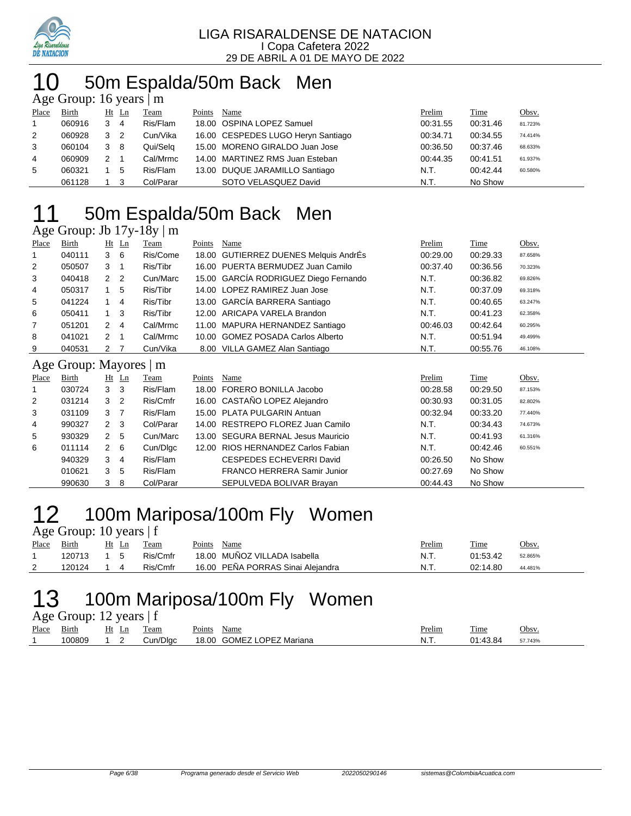

## 0 50m Espalda/50m Back Men

| Age Group: 16 years $\vert$ m |        |   |                |             |        |                                    |          |          |         |  |  |
|-------------------------------|--------|---|----------------|-------------|--------|------------------------------------|----------|----------|---------|--|--|
| Place                         | Birth  |   | Ht Ln          | <b>Team</b> | Points | Name                               | Prelim   | Time     | Obsv.   |  |  |
|                               | 060916 | 3 | -4             | Ris/Flam    |        | 18.00 OSPINA LOPEZ Samuel          | 00:31.55 | 00:31.46 | 81.723% |  |  |
| 2                             | 060928 | 3 | $\overline{2}$ | Cun/Vika    |        | 16.00 CESPEDES LUGO Heryn Santiago | 00:34.71 | 00:34.55 | 74.414% |  |  |
| 3                             | 060104 | 3 | - 8            | Qui/Selg    |        | 15.00 MORENO GIRALDO Juan Jose     | 00:36.50 | 00:37.46 | 68.633% |  |  |
| $\overline{4}$                | 060909 | 2 | - 1            | Cal/Mrmc    |        | 14.00 MARTINEZ RMS Juan Esteban    | 00:44.35 | 00:41.51 | 61.937% |  |  |
| 5                             | 060321 |   | 5              | Ris/Flam    |        | 13.00 DUQUE JARAMILLO Santiago     | N.T.     | 00:42.44 | 60.580% |  |  |
|                               | 061128 |   |                | Col/Parar   |        | SOTO VELASQUEZ David               | N.T.     | No Show  |         |  |  |

## 50m Espalda/50m Back Men

### Age Group: Jb 17y-18y | m

| Place          | Birth  | $Ht$ Ln             | Team     | Points | Name                                  | Prelim   | <b>Time</b> | Obsv.   |
|----------------|--------|---------------------|----------|--------|---------------------------------------|----------|-------------|---------|
|                | 040111 | 36                  | Ris/Come |        | 18.00 GUTIERREZ DUENES Melquis AndrÉs | 00:29.00 | 00:29.33    | 87.658% |
| 2              | 050507 | 3                   | Ris/Tibr |        | 16.00 PUERTA BERMUDEZ Juan Camilo     | 00:37.40 | 00:36.56    | 70.323% |
| 3              | 040418 | 2 2                 | Cun/Marc |        | 15.00 GARCÍA RODRIGUEZ Diego Fernando | N.T.     | 00:36.82    | 69.826% |
| 4              | 050317 | 5                   | Ris/Tibr |        | 14.00 LOPEZ RAMIREZ Juan Jose         | N.T.     | 00:37.09    | 69.318% |
| 5              | 041224 | 4                   | Ris/Tibr |        | 13.00 GARCÍA BARRERA Santiago         | N.T.     | 00:40.65    | 63.247% |
| 6              | 050411 | $1 \quad 3$         | Ris/Tibr |        | 12.00 ARICAPA VARELA Brandon          | N.T.     | 00:41.23    | 62.358% |
| 7              | 051201 | 2<br>$\overline{4}$ | Cal/Mrmc |        | 11.00 MAPURA HERNANDEZ Santiago       | 00:46.03 | 00:42.64    | 60.295% |
| 8              | 041021 | 2                   | Cal/Mrmc |        | 10.00 GOMEZ POSADA Carlos Alberto     | N.T.     | 00:51.94    | 49.499% |
| 9              | 040531 | 2 7                 | Cun/Vika |        | 8.00 VILLA GAMEZ Alan Santiago        | N.T.     | 00:55.76    | 46.108% |
| $\blacksquare$ | $\sim$ | . .                 |          |        |                                       |          |             |         |

### Age Group: Mayores | m

| Place | Birth  |                | Ht Ln | Team      | Points | Name                               | Prelim   | Time     | Obsv.   |  |  |
|-------|--------|----------------|-------|-----------|--------|------------------------------------|----------|----------|---------|--|--|
| 1     | 030724 | 3 <sub>3</sub> |       | Ris/Flam  |        | 18.00 FORERO BONILLA Jacobo        | 00:28.58 | 00:29.50 | 87.153% |  |  |
| 2     | 031214 | 3 <sub>2</sub> |       | Ris/Cmfr  |        | 16.00 CASTAÑO LOPEZ Alejandro      | 00:30.93 | 00:31.05 | 82.802% |  |  |
| 3     | 031109 | 3              |       | Ris/Flam  |        | 15.00 PLATA PULGARIN Antuan        | 00:32.94 | 00:33.20 | 77.440% |  |  |
| 4     | 990327 | 2 <sup>3</sup> |       | Col/Parar |        | 14.00 RESTREPO FLOREZ Juan Camilo  | N.T.     | 00:34.43 | 74.673% |  |  |
| 5     | 930329 | 2 5            |       | Cun/Marc  |        | 13.00 SEGURA BERNAL Jesus Mauricio | N.T.     | 00:41.93 | 61.316% |  |  |
| 6     | 011114 | 2 6            |       | Cun/Dlgc  |        | 12.00 RIOS HERNANDEZ Carlos Fabian | N.T.     | 00:42.46 | 60.551% |  |  |
|       | 940329 | 3              | -4    | Ris/Flam  |        | CESPEDES ECHEVERRI David           | 00:26.50 | No Show  |         |  |  |
|       | 010621 | 3              | 5     | Ris/Flam  |        | FRANCO HERRERA Samir Junior        | 00:27.69 | No Show  |         |  |  |
|       | 990630 | 3              | -8    | Col/Parar |        | SEPULVEDA BOLIVAR Brayan           | 00:44.43 | No Show  |         |  |  |

### 100m Mariposa/100m Fly Women 12 100m Ma<br>Age Group: 10 years | f

| Place | Birth  | Team     | Points<br>Name                    | Prelim | Time     | Obsv.   |
|-------|--------|----------|-----------------------------------|--------|----------|---------|
|       | 120713 | Ris/Cmfr | 18.00 MUÑOZ VILLADA Isabella      | N.T.   | 01:53.42 | 52.865% |
| ∸     | 120124 | Ris/Cmfr | 16.00 PEÑA PORRAS Sinai Aleiandra | N.T.   | 02:14.80 | 44.481% |

## 13 100m Mariposa/100m Fly Women

Age Group: 12 years | f

| Place | Birth  | Ht Ln | Team     | Points<br>Name            | Prelim | Time     | Obsv.   |
|-------|--------|-------|----------|---------------------------|--------|----------|---------|
|       | 100809 | 12    | Cun/Dlgc | 18.00 GOMEZ LOPEZ Mariana | N.T.   | 01:43.84 | 57.743% |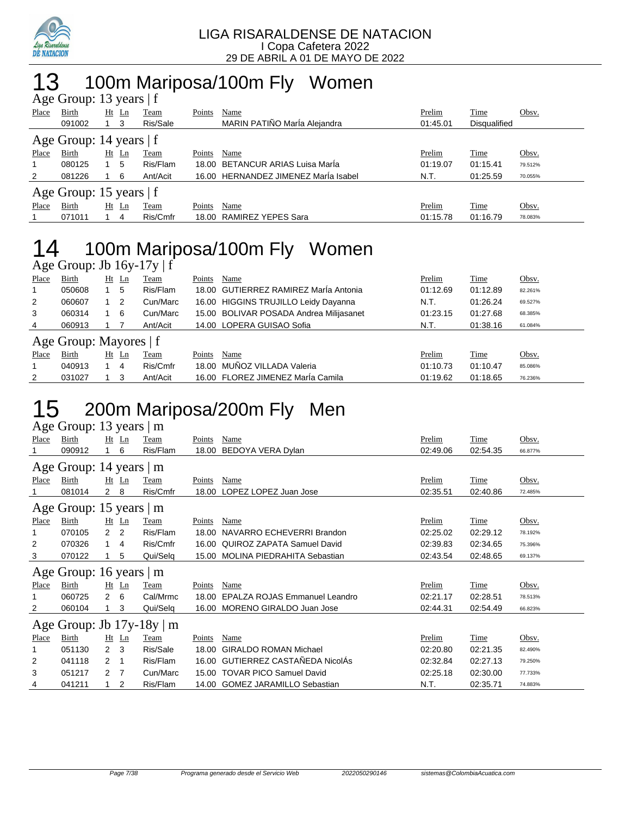

## 13 100m Mariposa/100m Fly Women

| Age Group: 13 years   f   |                           |             |          |        |                                      |          |              |         |  |  |  |
|---------------------------|---------------------------|-------------|----------|--------|--------------------------------------|----------|--------------|---------|--|--|--|
| Place                     | <b>Birth</b>              | $Ht$ Ln     | Team     | Points | Name                                 | Prelim   | <u>Time</u>  | Obsv.   |  |  |  |
|                           | 091002                    | $1 \quad 3$ | Ris/Sale |        | MARIN PATIÑO MarÍa Alejandra         | 01:45.01 | Disqualified |         |  |  |  |
| Age Group: 14 years $ f $ |                           |             |          |        |                                      |          |              |         |  |  |  |
| Place                     | Birth                     | $Ht$ Ln     | Team     | Points | Name                                 | Prelim   | Time         | Obsv.   |  |  |  |
| $\mathbf 1$               | 080125                    | 5           | Ris/Flam |        | 18.00 BETANCUR ARIAS Luisa Marla     | 01:19.07 | 01:15.41     | 79.512% |  |  |  |
| 2                         | 081226                    | 6           | Ant/Acit |        | 16.00 HERNANDEZ JIMENEZ MarÍa Isabel | N.T.     | 01:25.59     | 70.055% |  |  |  |
|                           | Age Group: 15 years $ f $ |             |          |        |                                      |          |              |         |  |  |  |
| Place                     | Birth                     | $Ht$ Ln     | Team     | Points | Name                                 | Prelim   | Time         | Obsv.   |  |  |  |
|                           | 071011                    | 4           | Ris/Cmfr |        | 18.00 RAMIREZ YEPES Sara             | 01:15.78 | 01:16.79     | 78.083% |  |  |  |

# 14 100m Mariposa/100m Fly Women

Age Group: Jb 16y-17y | f

| Place          | Birth                  |    | $Ht$ Ln | Team     | Points | Name                                    | Prelim   | Time     | Obsv.   |
|----------------|------------------------|----|---------|----------|--------|-----------------------------------------|----------|----------|---------|
|                | 050608                 |    | 5       | Ris/Flam |        | 18.00 GUTIERREZ RAMIREZ Marla Antonia   | 01:12.69 | 01:12.89 | 82.261% |
| $\overline{2}$ | 060607                 |    | 2       | Cun/Marc |        | 16.00 HIGGINS TRUJILLO Leidy Dayanna    | N.T.     | 01:26.24 | 69.527% |
| 3              | 060314                 |    | 6       | Cun/Marc |        | 15.00 BOLIVAR POSADA Andrea Milijasanet | 01:23.15 | 01:27.68 | 68.385% |
| 4              | 060913                 |    |         | Ant/Acit |        | 14.00 LOPERA GUISAO Sofia               | N.T.     | 01:38.16 | 61.084% |
|                | Age Group: Mayores   f |    |         |          |        |                                         |          |          |         |
| Place          | Birth                  | Ht | Ln      | Team     | Points | Name                                    | Prelim   | Time     | Obsv.   |
|                | 040913                 |    | 4       | Ris/Cmfr |        | 18.00 MUÑOZ VILLADA Valeria             | 01:10.73 | 01:10.47 | 85.086% |
| 2              | 031027                 |    | 3       | Ant/Acit |        | 16.00 FLOREZ JIMENEZ MarÍa Camila       | 01:19.62 | 01:18.65 | 76.236% |

# 15 200m Mariposa/200m Fly Men

|              | Age Group: 13 years   m        |                |                                    |          |        |                                    |          |          |         |  |  |  |
|--------------|--------------------------------|----------------|------------------------------------|----------|--------|------------------------------------|----------|----------|---------|--|--|--|
| <b>Place</b> | Birth                          |                | $Ht$ Ln                            | Team     | Points | Name                               | Prelim   | Time     | Obsv.   |  |  |  |
|              | 090912                         |                | 6                                  | Ris/Flam | 18.00  | BEDOYA VERA Dylan                  | 02:49.06 | 02:54.35 | 66.877% |  |  |  |
|              | Age Group: 14 years   m        |                |                                    |          |        |                                    |          |          |         |  |  |  |
| Place        | <b>Birth</b>                   |                | $Ht$ Ln                            | Team     | Points | Name                               | Prelim   | Time     | Obsv.   |  |  |  |
|              | 081014                         | 2              | 8                                  | Ris/Cmfr | 18.00  | LOPEZ LOPEZ Juan Jose              | 02:35.51 | 02:40.86 | 72.485% |  |  |  |
|              | Age Group: 15 years   m        |                |                                    |          |        |                                    |          |          |         |  |  |  |
| <b>Place</b> | <b>Birth</b>                   |                | $Ht$ Ln                            | Team     | Points | Name                               | Prelim   | Time     | Obsv.   |  |  |  |
| 1            | 070105                         | 2 <sub>2</sub> |                                    | Ris/Flam | 18.00  | NAVARRO ECHEVERRI Brandon          | 02:25.02 | 02:29.12 | 78.192% |  |  |  |
| 2            | 070326                         | $1 \quad$      | $\overline{4}$                     | Ris/Cmfr | 16.00  | <b>QUIROZ ZAPATA Samuel David</b>  | 02:39.83 | 02:34.65 | 75.396% |  |  |  |
| 3            | 070122                         |                | 5                                  | Qui/Selq | 15.00  | <b>MOLINA PIEDRAHITA Sebastian</b> | 02:43.54 | 02:48.65 | 69.137% |  |  |  |
|              | Age Group: 16 years   m        |                |                                    |          |        |                                    |          |          |         |  |  |  |
| Place        | Birth                          | Ht             | $\mathop{\underline{\mathsf{Ln}}}$ | Team     | Points | Name                               | Prelim   | Time     | Obsv.   |  |  |  |
| 1            | 060725                         | 2              | 6                                  | Cal/Mrmc | 18.00  | EPALZA ROJAS Emmanuel Leandro      | 02:21.17 | 02:28.51 | 78.513% |  |  |  |
| 2            | 060104                         |                | 3                                  | Qui/Selq | 16.00  | MORENO GIRALDO Juan Jose           | 02:44.31 | 02:54.49 | 66.823% |  |  |  |
|              | Age Group: Jb $17y-18y \mid m$ |                |                                    |          |        |                                    |          |          |         |  |  |  |
| Place        | <b>Birth</b>                   |                | Ht Ln                              | Team     | Points | Name                               | Prelim   | Time     | Obsv.   |  |  |  |
| 1            | 051130                         | $\overline{2}$ | 3                                  | Ris/Sale | 18.00  | <b>GIRALDO ROMAN Michael</b>       | 02:20.80 | 02:21.35 | 82.490% |  |  |  |
| 2            | 041118                         | 2              | -1                                 | Ris/Flam |        | 16.00 GUTIERREZ CASTAÑEDA NicolÁs  | 02:32.84 | 02:27.13 | 79.250% |  |  |  |
| 3            | 051217                         | 2 <sub>7</sub> |                                    | Cun/Marc | 15.00  | <b>TOVAR PICO Samuel David</b>     | 02:25.18 | 02:30.00 | 77.733% |  |  |  |
| 4            | 041211                         |                | 2                                  | Ris/Flam |        | 14.00 GOMEZ JARAMILLO Sebastian    | N.T.     | 02:35.71 | 74.883% |  |  |  |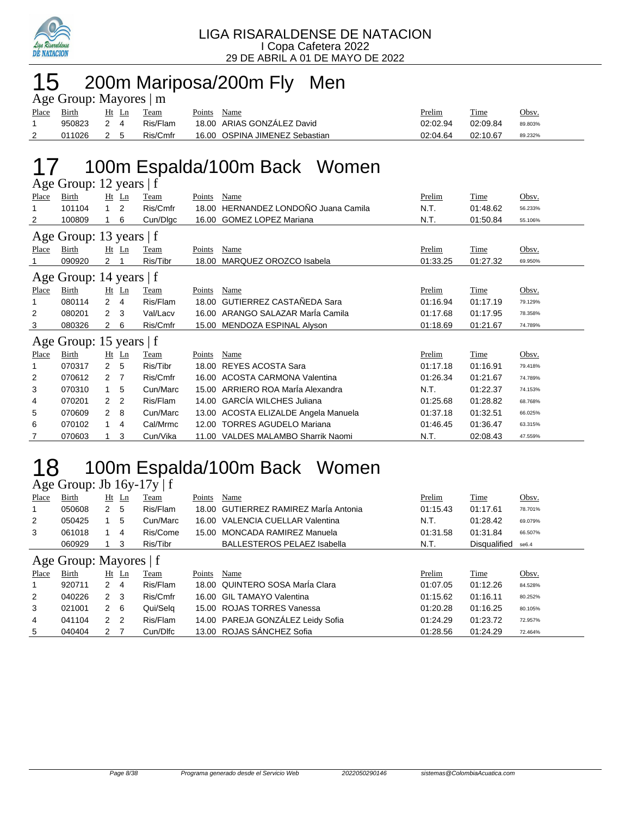

## 15 200m Mariposa/200m Fly Men

| Age Group: Mayores   m |            |       |  |          |             |                                |               |          |         |  |  |
|------------------------|------------|-------|--|----------|-------------|--------------------------------|---------------|----------|---------|--|--|
| Place                  | Birth      | Ht Ln |  | Team     | Points Name |                                | <b>Prelim</b> | Time     | Obsv.   |  |  |
|                        | 950823     | 2 4   |  | Ris/Flam |             | 18.00 ARIAS GONZALEZ David     | 02:02.94      | 02:09.84 | 89.803% |  |  |
|                        | 011026 2 5 |       |  | Ris/Cmfr |             | 16.00 OSPINA JIMENEZ Sebastian | 02:04.64      | 02:10.67 | 89.232% |  |  |

# 17 100m Espalda/100m Back Women

|                         | Age Group: 12 years   f |                |                |          |        |                                      |          |          |         |  |  |  |
|-------------------------|-------------------------|----------------|----------------|----------|--------|--------------------------------------|----------|----------|---------|--|--|--|
| Place                   | Birth                   |                | $Ht$ Ln        | Team     | Points | Name                                 | Prelim   | Time     | Obsv.   |  |  |  |
|                         | 101104                  | $\mathbf{1}$   | 2              | Ris/Cmfr | 18.00  | HERNANDEZ LONDOÑO Juana Camila       | N.T.     | 01:48.62 | 56.233% |  |  |  |
| 2                       | 100809                  |                | 6              | Cun/Dlgc | 16.00  | <b>GOMEZ LOPEZ Mariana</b>           | N.T.     | 01:50.84 | 55.106% |  |  |  |
| Age Group: 13 years   f |                         |                |                |          |        |                                      |          |          |         |  |  |  |
| Place                   | Birth                   |                | $Ht$ Ln        | Team     | Points | Name                                 | Prelim   | Time     | Obsv.   |  |  |  |
|                         | 090920                  | 2              |                | Ris/Tibr | 18.00  | MARQUEZ OROZCO Isabela               | 01:33.25 | 01:27.32 | 69.950% |  |  |  |
|                         | Age Group: 14 years   f |                |                |          |        |                                      |          |          |         |  |  |  |
| Place                   | Birth                   |                | $Ht$ $Ln$      | Team     | Points | Name                                 | Prelim   | Time     | Obsv.   |  |  |  |
| 1                       | 080114                  | $\overline{2}$ | 4              | Ris/Flam | 18.00  | <b>GUTIERREZ CASTAÑEDA Sara</b>      | 01:16.94 | 01:17.19 | 79.129% |  |  |  |
| 2                       | 080201                  | 2              | 3              | Val/Lacv | 16.00  | ARANGO SALAZAR MarÍa Camila          | 01:17.68 | 01:17.95 | 78.358% |  |  |  |
| 3                       | 080326                  | $\overline{2}$ | 6              | Ris/Cmfr |        | 15.00 MENDOZA ESPINAL Alyson         | 01:18.69 | 01:21.67 | 74.789% |  |  |  |
|                         | Age Group: 15 years   f |                |                |          |        |                                      |          |          |         |  |  |  |
| Place                   | Birth                   |                | $Ht$ Ln        | Team     | Points | Name                                 | Prelim   | Time     | Obsv.   |  |  |  |
|                         | 070317                  | 2              | 5              | Ris/Tibr | 18.00  | <b>REYES ACOSTA Sara</b>             | 01:17.18 | 01:16.91 | 79.418% |  |  |  |
| 2                       | 070612                  | 2              | 7              | Ris/Cmfr | 16.00  | ACOSTA CARMONA Valentina             | 01:26.34 | 01:21.67 | 74.789% |  |  |  |
| 3                       | 070310                  |                | 5              | Cun/Marc | 15.00  | ARRIERO ROA MarÍa Alexandra          | N.T.     | 01:22.37 | 74.153% |  |  |  |
| 4                       | 070201                  | 2              | $\overline{2}$ | Ris/Flam | 14.00  | <b>GARCÍA WILCHES Juliana</b>        | 01:25.68 | 01:28.82 | 68.768% |  |  |  |
| 5                       | 070609                  | 2              | 8              | Cun/Marc |        | 13.00 ACOSTA ELIZALDE Angela Manuela | 01:37.18 | 01:32.51 | 66.025% |  |  |  |
| 6                       | 070102                  |                | 4              | Cal/Mrmc | 12.00  | <b>TORRES AGUDELO Mariana</b>        | 01:46.45 | 01:36.47 | 63.315% |  |  |  |
| 7                       | 070603                  |                | 3              | Cun/Vika | 11.00  | VALDES MALAMBO Sharrik Naomi         | N.T.     | 02:08.43 | 47.559% |  |  |  |

## 18 100m Espalda/100m Back Women

Age Group: Jb 16y-17y | f

| Place | Birth                  |               | Ht Ln | Team     | Points | Name                                  | Prelim   | Time         | Obsv.   |
|-------|------------------------|---------------|-------|----------|--------|---------------------------------------|----------|--------------|---------|
|       | 050608                 | 2             | 5     | Ris/Flam |        | 18.00 GUTIERREZ RAMIREZ MarÍa Antonia | 01:15.43 | 01:17.61     | 78.701% |
| 2     | 050425                 |               | 5     | Cun/Marc |        | 16.00 VALENCIA CUELLAR Valentina      | N.T.     | 01:28.42     | 69.079% |
| 3     | 061018                 |               | 4     | Ris/Come |        | 15.00 MONCADA RAMIREZ Manuela         | 01:31.58 | 01:31.84     | 66.507% |
|       | 060929                 |               | 3     | Ris/Tibr |        | <b>BALLESTEROS PELAEZ Isabella</b>    | N.T.     | Disqualified | se6.4   |
|       | Age Group: Mayores   f |               |       |          |        |                                       |          |              |         |
| Place | Birth                  | Ht            | Ln    | Team     | Points | Name                                  | Prelim   | Time         | Obsv.   |
|       | 920711                 | $\mathcal{P}$ | 4     | Ris/Flam |        | 18.00 QUINTERO SOSA María Clara       | 01:07.05 | 01:12.26     | 84.528% |
| 2     | 040226                 | 2             | - 3   | Ris/Cmfr |        | 16.00 GIL TAMAYO Valentina            | 01:15.62 | 01:16.11     | 80.252% |

|                | 920711 2 4 |     | Ris/Flam | 18.00 QUINTERO SOSA María Clara   | 01:07.05 | 01:12.26 | 84.528% |
|----------------|------------|-----|----------|-----------------------------------|----------|----------|---------|
|                | 040226 2 3 |     | Ris/Cmfr | 16.00 GIL TAMAYO Valentina        | 01:15.62 | 01:16.11 | 80.252% |
| -3             | 021001     | 2 6 | Qui/Sela | 15.00 ROJAS TORRES Vanessa        | 01:20.28 | 01:16.25 | 80.105% |
| $\overline{4}$ | 041104 2 2 |     | Ris/Flam | 14.00 PAREJA GONZÁLEZ Leidy Sofia | 01:24.29 | 01:23.72 | 72.957% |
| 5              | 040404     | 2 7 | Cun/Dlfc | 13.00 ROJAS SÁNCHEZ Sofia         | 01:28.56 | 01:24.29 | 72.464% |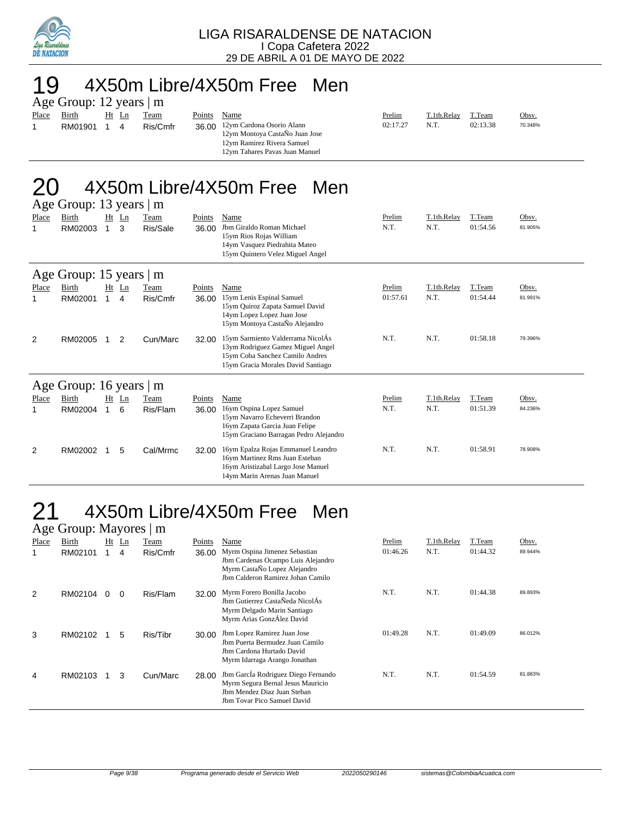

## 19 4X50m Libre/4X50m Free Men

|       | Age Group: 12 years   m |  |       |          |        |                                                                                                                             |          |             |          |         |  |  |  |
|-------|-------------------------|--|-------|----------|--------|-----------------------------------------------------------------------------------------------------------------------------|----------|-------------|----------|---------|--|--|--|
| Place | Birth                   |  | Ht Ln | Team     | Points | Name                                                                                                                        | Prelim   | T.1th.Relay | T.Team   | Obsv.   |  |  |  |
|       | RM01901                 |  | 4     | Ris/Cmfr | 36.00  | 12ym Cardona Osorio Alann<br>12ym Montoya CastaÑo Juan Jose<br>12ym Ramirez Rivera Samuel<br>12ym Tabares Pavas Juan Manuel | 02:17.27 | N.T.        | 02:13.38 | 70.348% |  |  |  |

#### 4X50m Libre/4X50m Free Men  $12$  years  $\overline{1}$  years  $\overline{1}$

|       | $\text{Age}$ Oroup. To years $\text{m}$ |   |                |          |               |                                                                                                                                                 |          |             |          |         |
|-------|-----------------------------------------|---|----------------|----------|---------------|-------------------------------------------------------------------------------------------------------------------------------------------------|----------|-------------|----------|---------|
| Place | Birth                                   |   | $Ht$ Ln        | Team     | <b>Points</b> | Name                                                                                                                                            | Prelim   | T.1th.Relay | T.Team   | Obsv.   |
| 1     | RM02003                                 | 1 | 3              | Ris/Sale | 36.00         | Jbm Giraldo Roman Michael<br>15ym Rios Rojas William<br>14ym Vasquez Piedrahita Mateo<br>15ym Quintero Velez Miguel Angel                       | N.T.     | N.T.        | 01:54.56 | 81.905% |
|       |                                         |   |                |          |               |                                                                                                                                                 |          |             |          |         |
|       | Age Group: 15 years                     |   |                | m        |               |                                                                                                                                                 |          |             |          |         |
| Place | Birth                                   |   | $Ht$ Ln        | Team     | Points        | Name                                                                                                                                            | Prelim   | T.1th.Relay | T.Team   | Obsv.   |
| 1     | RM02001                                 |   | 4              | Ris/Cmfr | 36.00         | 15ym Lenis Espinal Samuel<br>15ym Quiroz Zapata Samuel David<br>14ym Lopez Lopez Juan Jose<br>15ym Montoya CastaÑo Alejandro                    | 01:57.61 | N.T.        | 01:54.44 | 81.991% |
| 2     | RM02005                                 |   | $\overline{2}$ | Cun/Marc | 32.00         | 15ym Sarmiento Valderrama NicolÁs<br>13ym Rodriguez Gamez Miguel Angel<br>15ym Coba Sanchez Camilo Andres<br>15ym Gracia Morales David Santiago | N.T.     | N.T.        | 01:58.18 | 79.396% |
|       | Age Group: 16 years                     |   |                | m        |               |                                                                                                                                                 |          |             |          |         |
| Place | Birth                                   |   | $Ht$ Ln        | Team     | Points        | Name                                                                                                                                            | Prelim   | T.1th.Relay | T.Team   | Obsv.   |
| 1     | RM02004                                 |   | 6              | Ris/Flam | 36.00         | 16ym Ospina Lopez Samuel<br>15ym Navarro Echeverri Brandon<br>16ym Zapata Garcia Juan Felipe<br>15ym Graciano Barragan Pedro Alejandro          | N.T.     | N.T.        | 01:51.39 | 84.236% |
| 2     | RM02002                                 |   | 5              | Cal/Mrmc | 32.00         | 16ym Epalza Rojas Emmanuel Leandro<br>16ym Martinez Rms Juan Esteban<br>16ym Aristizabal Largo Jose Manuel<br>14vm Marin Arenas Juan Manuel     | N.T.     | N.T.        | 01:58.91 | 78.908% |

## 4X50m Libre/4X50m Free Men

| Age Group: Mayores   m |         |          |          |          |        |                                                                                                                                          |          |             |          |         |  |  |
|------------------------|---------|----------|----------|----------|--------|------------------------------------------------------------------------------------------------------------------------------------------|----------|-------------|----------|---------|--|--|
| Place                  | Birth   | Ht       | Ln       | Team     | Points | Name                                                                                                                                     | Prelim   | T.1th.Relay | T.Team   | Obsv.   |  |  |
|                        | RM02101 |          | 4        | Ris/Cmfr | 36.00  | Myrm Ospina Jimenez Sebastian<br>Jbm Cardenas Ocampo Luis Alejandro<br>Myrm CastaÑo Lopez Alejandro<br>Jbm Calderon Ramirez Johan Camilo | 01:46.26 | N.T.        | 01:44.32 | 89.944% |  |  |
| 2                      | RM02104 | $\Omega$ | $\Omega$ | Ris/Flam | 32.00  | Myrm Forero Bonilla Jacobo<br>Jbm Gutierrez CastaÑeda NicolÁs<br>Myrm Delgado Marin Santiago<br>Myrm Arias GonzÁlez David                | N.T.     | N.T.        | 01:44.38 | 89.893% |  |  |
| 3                      | RM02102 |          | 5        | Ris/Tibr | 30.00  | Jbm Lopez Ramirez Juan Jose<br>Jbm Puerta Bermudez Juan Camilo<br>Jbm Cardona Hurtado David<br>Myrm Idarraga Arango Jonathan             | 01:49.28 | N.T.        | 01:49.09 | 86.012% |  |  |
| 4                      | RM02103 |          | 3        | Cun/Marc | 28.00  | Jbm García Rodriguez Diego Fernando<br>Myrm Segura Bernal Jesus Mauricio<br>Jbm Mendez Diaz Juan Steban<br>Jbm Tovar Pico Samuel David   | N.T.     | N.T.        | 01:54.59 | 81.883% |  |  |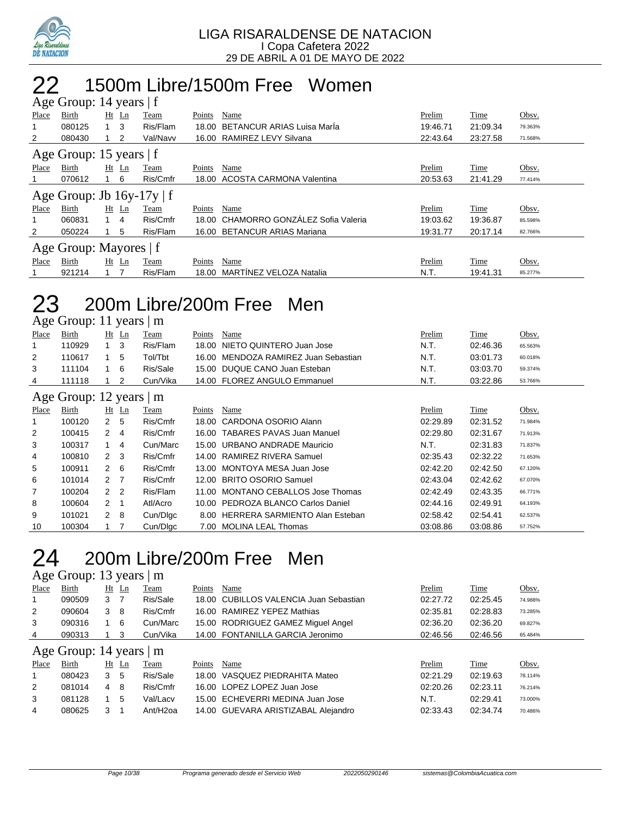

### 1500m Libre/1500m Free Women  $\frac{1}{4}$ roup: 14 years | f

|       | $T_{\rm K}$ c Oroup. $T_{\rm T}$ years $T_{\rm L}$ |            |         |          |        |                                       |          |          |         |  |  |  |  |
|-------|----------------------------------------------------|------------|---------|----------|--------|---------------------------------------|----------|----------|---------|--|--|--|--|
| Place | Birth                                              | $Ht$ Ln    |         | Team     | Points | Name                                  | Prelim   | Time     | Obsv.   |  |  |  |  |
| 1     | 080125                                             | 1 3        |         | Ris/Flam |        | 18.00 BETANCUR ARIAS Luisa Marla      | 19:46.71 | 21:09.34 | 79.363% |  |  |  |  |
| 2     | 080430                                             |            | 2       | Val/Navv |        | 16.00 RAMIREZ LEVY Silvana            | 22:43.64 | 23:27.58 | 71.568% |  |  |  |  |
|       | Age Group: 15 years $ f $                          |            |         |          |        |                                       |          |          |         |  |  |  |  |
| Place | Birth                                              | $Ht$ Ln    |         | Team     | Points | Name                                  | Prelim   | Time     | Obsv.   |  |  |  |  |
|       | 070612                                             | $1\quad 6$ |         | Ris/Cmfr |        | 18.00 ACOSTA CARMONA Valentina        | 20:53.63 | 21:41.29 | 77.414% |  |  |  |  |
|       | Age Group: Jb $16y-17y \mid f$                     |            |         |          |        |                                       |          |          |         |  |  |  |  |
| Place | Birth                                              |            | $Ht$ Ln | Team     | Points | Name                                  | Prelim   | Time     | Obsv.   |  |  |  |  |
| 1     | 060831                                             | 1 4        |         | Ris/Cmfr |        | 18.00 CHAMORRO GONZÁLEZ Sofia Valeria | 19:03.62 | 19:36.87 | 85.598% |  |  |  |  |
| 2     | 050224                                             |            | 5       | Ris/Flam |        | 16.00 BETANCUR ARIAS Mariana          | 19:31.77 | 20:17.14 | 82.766% |  |  |  |  |
|       | Age Group: Mayores   f                             |            |         |          |        |                                       |          |          |         |  |  |  |  |
| Place | Birth                                              |            | $Ht$ Ln | Team     | Points | Name                                  | Prelim   | Time     | Obsv.   |  |  |  |  |
|       | 921214                                             |            |         | Ris/Flam | 18.00  | MARTÍNEZ VELOZA Natalia               | N.T.     | 19:41.31 | 85.277% |  |  |  |  |

### 200m Libre/200m Free Men Age Group: 11 years | m

|       | $T_{\rm A}$ Oroup. IT years $\rm \mu m$ |                |         |          |        |                                     |          |          |         |
|-------|-----------------------------------------|----------------|---------|----------|--------|-------------------------------------|----------|----------|---------|
| Place | Birth                                   |                | $Ht$ Ln | Team     | Points | Name                                | Prelim   | Time     | Obsv.   |
| 1     | 110929                                  |                | 3       | Ris/Flam | 18.00  | NIETO QUINTERO Juan Jose            | N.T.     | 02:46.36 | 65.563% |
| 2     | 110617                                  | $\mathbf{1}$   | -5      | Tol/Tbt  | 16.00  | MENDOZA RAMIREZ Juan Sebastian      | N.T.     | 03:01.73 | 60.018% |
| 3     | 111104                                  | $1\quad 6$     |         | Ris/Sale | 15.00  | DUQUE CANO Juan Esteban             | N.T.     | 03:03.70 | 59.374% |
| 4     | 111118                                  |                | 2       | Cun/Vika |        | 14.00 FLOREZ ANGULO Emmanuel        | N.T.     | 03:22.86 | 53.766% |
|       | Age Group: 12 years   m                 |                |         |          |        |                                     |          |          |         |
| Place | Birth                                   |                | $Ht$ Ln | Team     | Points | Name                                | Prelim   | Time     | Obsv.   |
| 1     | 100120                                  | $\overline{2}$ | -5      | Ris/Cmfr | 18.00  | CARDONA OSORIO Alann                | 02:29.89 | 02:31.52 | 71.984% |
| 2     | 100415                                  | $2 \quad 4$    |         | Ris/Cmfr |        | 16.00 TABARES PAVAS Juan Manuel     | 02:29.80 | 02:31.67 | 71.913% |
| 3     | 100317                                  | $1 \quad$      | -4      | Cun/Marc |        | 15.00 URBANO ANDRADE Mauricio       | N.T.     | 02:31.83 | 71.837% |
| 4     | 100810                                  | $2 \quad 3$    |         | Ris/Cmfr |        | 14.00 RAMIREZ RIVERA Samuel         | 02:35.43 | 02:32.22 | 71.653% |
| 5     | 100911                                  | $2 \quad 6$    |         | Ris/Cmfr |        | 13.00 MONTOYA MESA Juan Jose        | 02:42.20 | 02:42.50 | 67.120% |
| 6     | 101014                                  | 2 7            |         | Ris/Cmfr | 12.00  | <b>BRITO OSORIO Samuel</b>          | 02:43.04 | 02:42.62 | 67.070% |
| 7     | 100204                                  | $2\quad 2$     |         | Ris/Flam | 11.00  | MONTANO CEBALLOS Jose Thomas        | 02:42.49 | 02:43.35 | 66.771% |
| 8     | 100604                                  | $2 \quad 1$    |         | Atl/Acro | 10.00  | PEDROZA BLANCO Carlos Daniel        | 02:44.16 | 02:49.91 | 64.193% |
| 9     | 101021                                  | $2 \quad 8$    |         | Cun/Dlgc |        | 8.00 HERRERA SARMIENTO Alan Esteban | 02:58.42 | 02:54.41 | 62.537% |
| 10    | 100304                                  |                |         | Cun/Dlac |        | 7.00 MOLINA LEAL Thomas             | 03:08.86 | 03:08.86 | 57.752% |

### 200m Libre/200m Free Men Age Group: 13 years | m

|              | $1.45$ $0.04$ $0.10$ $0.04$ $0.04$ $0.04$ |            |         |                       |        |                                        |          |             |         |  |  |  |  |
|--------------|-------------------------------------------|------------|---------|-----------------------|--------|----------------------------------------|----------|-------------|---------|--|--|--|--|
| <b>Place</b> | <b>Birth</b>                              |            | $Ht$ Ln | <b>Team</b>           | Points | Name                                   | Prelim   | <b>Time</b> | Obsv.   |  |  |  |  |
|              | 090509                                    | 3 7        |         | Ris/Sale              |        | 18.00 CUBILLOS VALENCIA Juan Sebastian | 02:27.72 | 02:25.45    | 74.988% |  |  |  |  |
| 2            | 090604                                    | 3 8        |         | Ris/Cmfr              |        | 16.00 RAMIREZ YEPEZ Mathias            | 02:35.81 | 02:28.83    | 73.285% |  |  |  |  |
| 3            | 090316                                    | $1\quad 6$ |         | Cun/Marc              |        | 15.00 RODRIGUEZ GAMEZ Miguel Angel     | 02:36.20 | 02:36.20    | 69.827% |  |  |  |  |
| 4            | 090313                                    |            | 3       | Cun/Vika              |        | 14.00 FONTANILLA GARCIA Jeronimo       | 02:46.56 | 02:46.56    | 65.484% |  |  |  |  |
|              | Age Group: 14 years   m                   |            |         |                       |        |                                        |          |             |         |  |  |  |  |
| Place        | Birth                                     |            | $Ht$ Ln | Team                  | Points | Name                                   | Prelim   | Time        | Obsv.   |  |  |  |  |
|              | 080423                                    | 3          | -5      | Ris/Sale              |        | 18.00 VASQUEZ PIEDRAHITA Mateo         | 02:21.29 | 02:19.63    | 78.114% |  |  |  |  |
| 2            | 081014                                    | 4 8        |         | Ris/Cmfr              |        | 16.00 LOPEZ LOPEZ Juan Jose            | 02:20.26 | 02:23.11    | 76.214% |  |  |  |  |
| 3            | 081128                                    |            | 5       | Val/Lacv              |        | 15.00 ECHEVERRI MEDINA Juan Jose       | N.T.     | 02:29.41    | 73.000% |  |  |  |  |
| 4            | 080625                                    | 3          |         | Ant/H <sub>2</sub> oa |        | 14.00 GUEVARA ARISTIZABAL Alejandro    | 02:33.43 | 02:34.74    | 70.486% |  |  |  |  |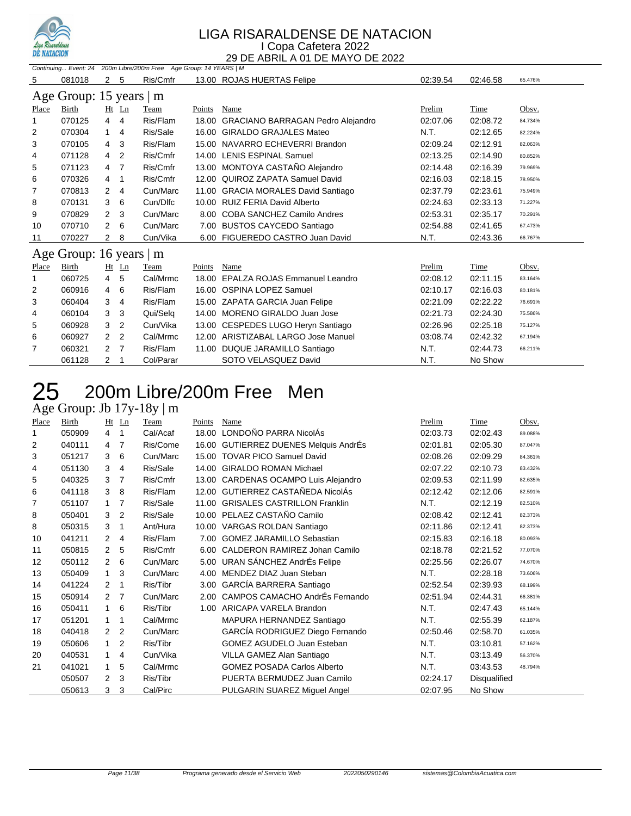

| Continuing Event: 24 200m Libre/200m Free Age Group: 14 YEARS   M |                         |                |                |           |        |                                     |          |          |         |  |  |
|-------------------------------------------------------------------|-------------------------|----------------|----------------|-----------|--------|-------------------------------------|----------|----------|---------|--|--|
| 5                                                                 | 081018                  | 2 <sub>5</sub> |                | Ris/Cmfr  |        | 13.00 ROJAS HUERTAS Felipe          | 02:39.54 | 02:46.58 | 65.476% |  |  |
|                                                                   | Age Group: 15 years   m |                |                |           |        |                                     |          |          |         |  |  |
| Place                                                             | Birth                   |                | $Ht$ Ln        | Team      | Points | Name                                | Prelim   | Time     | Obsv.   |  |  |
| 1                                                                 | 070125                  | 4              | 4              | Ris/Flam  | 18.00  | GRACIANO BARRAGAN Pedro Alejandro   | 02:07.06 | 02:08.72 | 84.734% |  |  |
| $\overline{2}$                                                    | 070304                  | $\mathbf 1$    | 4              | Ris/Sale  | 16.00  | <b>GIRALDO GRAJALES Mateo</b>       | N.T.     | 02:12.65 | 82.224% |  |  |
| 3                                                                 | 070105                  | 4              | 3              | Ris/Flam  |        | 15.00 NAVARRO ECHEVERRI Brandon     | 02:09.24 | 02:12.91 | 82.063% |  |  |
| 4                                                                 | 071128                  | 4              | 2              | Ris/Cmfr  |        | 14.00 LENIS ESPINAL Samuel          | 02:13.25 | 02:14.90 | 80.852% |  |  |
| 5                                                                 | 071123                  | 4              | 7              | Ris/Cmfr  |        | 13.00 MONTOYA CASTAÑO Alejandro     | 02:14.48 | 02:16.39 | 79.969% |  |  |
| 6                                                                 | 070326                  | 4              | 1              | Ris/Cmfr  |        | 12.00 QUIROZ ZAPATA Samuel David    | 02:16.03 | 02:18.15 | 78.950% |  |  |
| 7                                                                 | 070813                  | 2              | 4              | Cun/Marc  |        | 11.00 GRACIA MORALES David Santiago | 02:37.79 | 02:23.61 | 75.949% |  |  |
| 8                                                                 | 070131                  | 3              | 6              | Cun/Dlfc  |        | 10.00 RUIZ FERIA David Alberto      | 02:24.63 | 02:33.13 | 71.227% |  |  |
| 9                                                                 | 070829                  | 2              | 3              | Cun/Marc  |        | 8.00 COBA SANCHEZ Camilo Andres     | 02:53.31 | 02:35.17 | 70.291% |  |  |
| 10                                                                | 070710                  | 2              | 6              | Cun/Marc  |        | 7.00 BUSTOS CAYCEDO Santiago        | 02:54.88 | 02:41.65 | 67.473% |  |  |
| 11                                                                | 070227                  | $\overline{2}$ | 8              | Cun/Vika  |        | 6.00 FIGUEREDO CASTRO Juan David    | N.T.     | 02:43.36 | 66.767% |  |  |
|                                                                   | Age Group: 16 years   m |                |                |           |        |                                     |          |          |         |  |  |
| Place                                                             | Birth                   |                | Ht Ln          | Team      | Points | Name                                | Prelim   | Time     | Obsv.   |  |  |
|                                                                   | 060725                  | 4              | 5              | Cal/Mrmc  |        | 18.00 EPALZA ROJAS Emmanuel Leandro | 02:08.12 | 02:11.15 | 83.164% |  |  |
| 2                                                                 | 060916                  | 4              | 6              | Ris/Flam  | 16.00  | <b>OSPINA LOPEZ Samuel</b>          | 02:10.17 | 02:16.03 | 80.181% |  |  |
| 3                                                                 | 060404                  | 3              | 4              | Ris/Flam  |        | 15.00 ZAPATA GARCIA Juan Felipe     | 02:21.09 | 02:22.22 | 76.691% |  |  |
| 4                                                                 | 060104                  | 3              | 3              | Qui/Selg  |        | 14.00 MORENO GIRALDO Juan Jose      | 02:21.73 | 02:24.30 | 75.586% |  |  |
| 5                                                                 | 060928                  | 3              | 2              | Cun/Vika  |        | 13.00 CESPEDES LUGO Heryn Santiago  | 02:26.96 | 02:25.18 | 75.127% |  |  |
| 6                                                                 | 060927                  | 2              | $\overline{2}$ | Cal/Mrmc  | 12.00  | ARISTIZABAL LARGO Jose Manuel       | 03:08.74 | 02:42.32 | 67.194% |  |  |
| 7                                                                 | 060321                  | $\overline{2}$ | 7              | Ris/Flam  | 11.00  | DUQUE JARAMILLO Santiago            | N.T.     | 02:44.73 | 66.211% |  |  |
|                                                                   | 061128                  | 2              |                | Col/Parar |        | SOTO VELASQUEZ David                | N.T.     | No Show  |         |  |  |

### 200m Libre/200m Free Men 200m Libre/<br>Age Group: Jb 17y-18y | m

| - -0  | ------ |                |         | $\overline{\phantom{a}}$ |        |                                      |          |              |         |
|-------|--------|----------------|---------|--------------------------|--------|--------------------------------------|----------|--------------|---------|
| Place | Birth  |                | $Ht$ Ln | Team                     | Points | Name                                 | Prelim   | Time         | Obsv.   |
|       | 050909 | 4              | 1       | Cal/Acaf                 |        | 18.00 LONDOÑO PARRA NicolÁs          | 02:03.73 | 02:02.43     | 89.088% |
| 2     | 040111 | 4              | 7       | Ris/Come                 | 16.00  | GUTIERREZ DUENES Melquis AndrÉs      | 02:01.81 | 02:05.30     | 87.047% |
| 3     | 051217 | 3              | 6       | Cun/Marc                 |        | 15.00 TOVAR PICO Samuel David        | 02:08.26 | 02:09.29     | 84.361% |
| 4     | 051130 | 3              | 4       | Ris/Sale                 | 14.00  | <b>GIRALDO ROMAN Michael</b>         | 02:07.22 | 02:10.73     | 83.432% |
| 5     | 040325 | 3              | 7       | Ris/Cmfr                 |        | 13.00 CARDENAS OCAMPO Luis Alejandro | 02:09.53 | 02:11.99     | 82.635% |
| 6     | 041118 | 3              | 8       | Ris/Flam                 |        | 12.00 GUTIERREZ CASTAÑEDA NicolÁs    | 02:12.42 | 02:12.06     | 82.591% |
| 7     | 051107 | 1              | 7       | Ris/Sale                 | 11.00  | <b>GRISALES CASTRILLON Franklin</b>  | N.T.     | 02:12.19     | 82.510% |
| 8     | 050401 | 3              | 2       | Ris/Sale                 |        | 10.00 PELAEZ CASTAÑO Camilo          | 02:08.42 | 02:12.41     | 82.373% |
| 8     | 050315 | 3              | 1       | Ant/Hura                 |        | 10.00 VARGAS ROLDAN Santiago         | 02:11.86 | 02:12.41     | 82.373% |
| 10    | 041211 | 2              | 4       | Ris/Flam                 |        | 7.00 GOMEZ JARAMILLO Sebastian       | 02:15.83 | 02:16.18     | 80.093% |
| 11    | 050815 | 2              | 5       | Ris/Cmfr                 | 6.00   | CALDERON RAMIREZ Johan Camilo        | 02:18.78 | 02:21.52     | 77.070% |
| 12    | 050112 | $\mathcal{P}$  | 6       | Cun/Marc                 |        | 5.00 URAN SÁNCHEZ AndrÉs Felipe      | 02:25.56 | 02:26.07     | 74.670% |
| 13    | 050409 | $\mathbf{1}$   | 3       | Cun/Marc                 | 4.00   | MENDEZ DIAZ Juan Steban              | N.T.     | 02:28.18     | 73.606% |
| 14    | 041224 | 2              | 1       | Ris/Tibr                 | 3.00   | GARCÍA BARRERA Santiago              | 02:52.54 | 02:39.93     | 68.199% |
| 15    | 050914 | $\mathcal{P}$  | 7       | Cun/Marc                 | 2.00   | CAMPOS CAMACHO AndrÉs Fernando       | 02:51.94 | 02:44.31     | 66.381% |
| 16    | 050411 | 1              | 6       | Ris/Tibr                 | 1.00   | ARICAPA VARELA Brandon               | N.T.     | 02:47.43     | 65.144% |
| 17    | 051201 | 1              | 1       | Cal/Mrmc                 |        | MAPURA HERNANDEZ Santiago            | N.T.     | 02:55.39     | 62.187% |
| 18    | 040418 | $\overline{2}$ | 2       | Cun/Marc                 |        | GARCÍA RODRIGUEZ Diego Fernando      | 02:50.46 | 02:58.70     | 61.035% |
| 19    | 050606 | 1              | 2       | Ris/Tibr                 |        | <b>GOMEZ AGUDELO Juan Esteban</b>    | N.T.     | 03:10.81     | 57.162% |
| 20    | 040531 | $\overline{1}$ | 4       | Cun/Vika                 |        | VILLA GAMEZ Alan Santiago            | N.T.     | 03:13.49     | 56.370% |
| 21    | 041021 | 1              | 5       | Cal/Mrmc                 |        | <b>GOMEZ POSADA Carlos Alberto</b>   | N.T.     | 03:43.53     | 48.794% |
|       | 050507 | 2              | 3       | Ris/Tibr                 |        | PUERTA BERMUDEZ Juan Camilo          | 02:24.17 | Disqualified |         |
|       | 050613 | 3              | 3       | Cal/Pirc                 |        | PULGARIN SUAREZ Miguel Angel         | 02:07.95 | No Show      |         |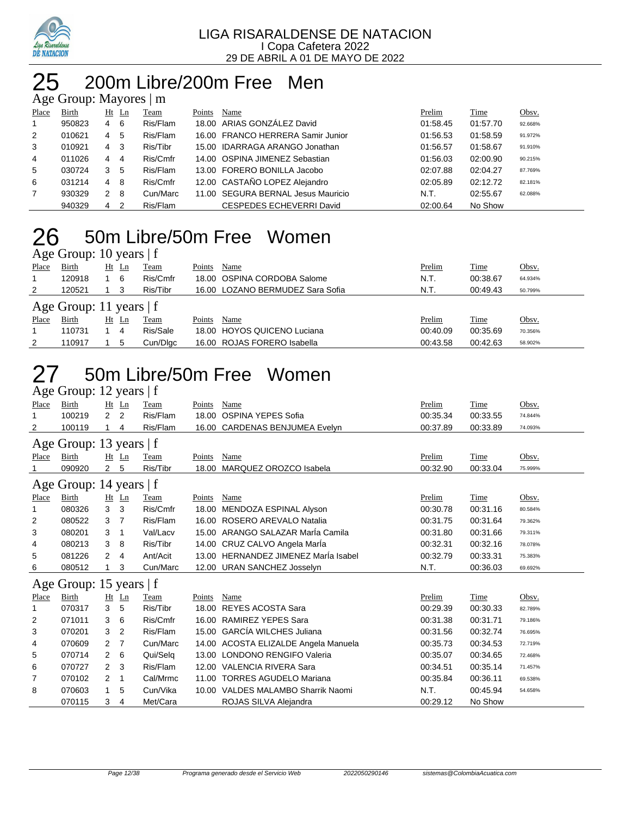

# 200m Libre/200m Free Men

| Age Group: Mayores   m |        |                      |     |             |        |                                    |          |          |         |  |  |  |
|------------------------|--------|----------------------|-----|-------------|--------|------------------------------------|----------|----------|---------|--|--|--|
| Place                  | Birth  | Ht                   | Ln  | <b>Team</b> | Points | Name                               | Prelim   | Time     | Obsv.   |  |  |  |
| $\mathbf{1}$           | 950823 | 4                    | - 6 | Ris/Flam    |        | 18.00 ARIAS GONZALEZ David         | 01:58.45 | 01:57.70 | 92.668% |  |  |  |
| 2                      | 010621 | 4                    | 5   | Ris/Flam    |        | 16.00 FRANCO HERRERA Samir Junior  | 01:56.53 | 01:58.59 | 91.972% |  |  |  |
| 3                      | 010921 | 4                    | -3  | Ris/Tibr    |        | 15.00 IDARRAGA ARANGO Jonathan     | 01:56.57 | 01:58.67 | 91.910% |  |  |  |
| 4                      | 011026 | 4                    | 4   | Ris/Cmfr    |        | 14.00 OSPINA JIMENEZ Sebastian     | 01:56.03 | 02:00.90 | 90.215% |  |  |  |
| 5                      | 030724 | 3                    | -5  | Ris/Flam    |        | 13.00 FORERO BONILLA Jacobo        | 02:07.88 | 02:04.27 | 87.769% |  |  |  |
| 6                      | 031214 | $\overline{4}$       | -8  | Ris/Cmfr    |        | 12.00 CASTAÑO LOPEZ Alejandro      | 02:05.89 | 02:12.72 | 82.181% |  |  |  |
| $\overline{7}$         | 930329 | $\mathbf{2}^{\circ}$ | - 8 | Cun/Marc    |        | 11.00 SEGURA BERNAL Jesus Mauricio | N.T.     | 02:55.67 | 62.088% |  |  |  |
|                        | 940329 | 4                    | 2   | Ris/Flam    |        | CESPEDES ECHEVERRI David           | 02:00.64 | No Show  |         |  |  |  |

### 50m Libre/50m Free Women  $\overline{\mathsf{A}}$ ge Group: 10 years | f

|       | $1.50$ Oroup. To $100$    |  |       |          |        |                                  |          |          |         |  |  |  |
|-------|---------------------------|--|-------|----------|--------|----------------------------------|----------|----------|---------|--|--|--|
| Place | Birth                     |  | Ht Ln | Team     | Points | Name                             | Prelim   | Time     | Obsv.   |  |  |  |
|       | 120918                    |  | 6     | Ris/Cmfr |        | 18.00 OSPINA CORDOBA Salome      | N.T.     | 00:38.67 | 64.934% |  |  |  |
| 2     | 120521                    |  |       | Ris/Tibr |        | 16.00 LOZANO BERMUDEZ Sara Sofia | N.T.     | 00:49.43 | 50.799% |  |  |  |
|       | Age Group: 11 years $ f $ |  |       |          |        |                                  |          |          |         |  |  |  |
| Place | Birth                     |  | Ht Ln | Team     | Points | Name                             | Prelim   | Time     | Obsv.   |  |  |  |
|       | 110731                    |  | 4     | Ris/Sale |        | 18.00 HOYOS QUICENO Luciana      | 00:40.09 | 00:35.69 | 70.356% |  |  |  |
| 2     | 110917                    |  | 5     | Cun/Dlgc |        | 16.00 ROJAS FORERO Isabella      | 00:43.58 | 00:42.63 | 58.902% |  |  |  |

### 50m Libre/50m Free Women Age Group: 12 years | f

|       | $1.150$ Oroup. $12$ joint $1$ |                |         |          |        |                                      |          |          |         |
|-------|-------------------------------|----------------|---------|----------|--------|--------------------------------------|----------|----------|---------|
| Place | Birth                         |                | $Ht$ Ln | Team     | Points | Name                                 | Prelim   | Time     | Obsv.   |
| 1     | 100219                        | $\overline{2}$ | 2       | Ris/Flam | 18.00  | OSPINA YEPES Sofia                   | 00:35.34 | 00:33.55 | 74.844% |
| 2     | 100119                        |                | 4       | Ris/Flam |        | 16.00 CARDENAS BENJUMEA Evelyn       | 00:37.89 | 00:33.89 | 74.093% |
|       | Age Group: 13 years   f       |                |         |          |        |                                      |          |          |         |
| Place | Birth                         |                | $Ht$ Ln | Team     | Points | Name                                 | Prelim   | Time     | Obsv.   |
|       | 090920                        | 2              | 5       | Ris/Tibr | 18.00  | MARQUEZ OROZCO Isabela               | 00:32.90 | 00:33.04 | 75.999% |
|       | Age Group: 14 years   f       |                |         |          |        |                                      |          |          |         |
| Place | Birth                         |                | $Ht$ Ln | Team     | Points | Name                                 | Prelim   | Time     | Obsv.   |
| 1     | 080326                        | 3              | 3       | Ris/Cmfr | 18.00  | MENDOZA ESPINAL Alyson               | 00:30.78 | 00:31.16 | 80.584% |
| 2     | 080522                        | 3              | 7       | Ris/Flam | 16.00  | ROSERO AREVALO Natalia               | 00:31.75 | 00:31.64 | 79.362% |
| 3     | 080201                        | 3              | 1       | Val/Lacv |        | 15.00 ARANGO SALAZAR MarÍa Camila    | 00:31.80 | 00:31.66 | 79.311% |
| 4     | 080213                        | 3              | 8       | Ris/Tibr |        | 14.00 CRUZ CALVO Angela Marla        | 00:32.31 | 00:32.16 | 78.078% |
| 5     | 081226                        | 2              | 4       | Ant/Acit | 13.00  | HERNANDEZ JIMENEZ Marla Isabel       | 00:32.79 | 00:33.31 | 75.383% |
| 6     | 080512                        |                | 3       | Cun/Marc | 12.00  | <b>URAN SANCHEZ Josselyn</b>         | N.T.     | 00:36.03 | 69.692% |
|       | Age Group: 15 years   f       |                |         |          |        |                                      |          |          |         |
| Place | Birth                         |                | $Ht$ Ln | Team     | Points | Name                                 | Prelim   | Time     | Obsv.   |
| 1     | 070317                        | 3              | 5       | Ris/Tibr | 18.00  | <b>REYES ACOSTA Sara</b>             | 00:29.39 | 00:30.33 | 82.789% |
| 2     | 071011                        | 3              | 6       | Ris/Cmfr |        | 16.00 RAMIREZ YEPES Sara             | 00:31.38 | 00:31.71 | 79.186% |
| 3     | 070201                        | 3              | 2       | Ris/Flam |        | 15.00 GARCÍA WILCHES Juliana         | 00:31.56 | 00:32.74 | 76.695% |
| 4     | 070609                        | 2              | 7       | Cun/Marc |        | 14.00 ACOSTA ELIZALDE Angela Manuela | 00:35.73 | 00:34.53 | 72.719% |
| 5     | 070714                        | $\overline{2}$ | 6       | Qui/Selg | 13.00  | <b>LONDONO RENGIFO Valeria</b>       | 00:35.07 | 00:34.65 | 72.468% |
| 6     | 070727                        | 2              | 3       | Ris/Flam |        | 12.00 VALENCIA RIVERA Sara           | 00:34.51 | 00:35.14 | 71.457% |
| 7     | 070102                        | 2              | 1       | Cal/Mrmc |        | 11.00 TORRES AGUDELO Mariana         | 00:35.84 | 00:36.11 | 69.538% |
| 8     | 070603                        | 1              | 5       | Cun/Vika |        | 10.00 VALDES MALAMBO Sharrik Naomi   | N.T.     | 00:45.94 | 54.658% |
|       | 070115                        | 3              | 4       | Met/Cara |        | ROJAS SILVA Alejandra                | 00:29.12 | No Show  |         |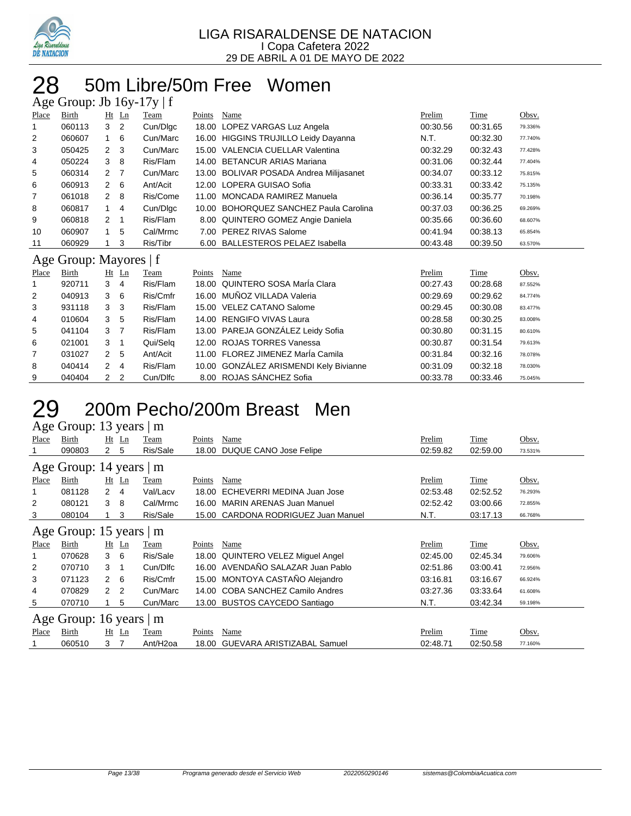

### 50m Libre/50m Free Women  $m:$  Ih  $16y, 17y \mid f$

| $A\&C$ Oroup. JU TOY-T/Y   I |                        |                |                |          |        |                                          |          |          |         |  |
|------------------------------|------------------------|----------------|----------------|----------|--------|------------------------------------------|----------|----------|---------|--|
| Place                        | Birth                  |                | $Ht$ Ln        | Team     | Points | Name                                     | Prelim   | Time     | Obsv.   |  |
| 1                            | 060113                 | 3              | 2              | Cun/Dlgc |        | 18.00 LOPEZ VARGAS Luz Angela            | 00:30.56 | 00:31.65 | 79.336% |  |
| 2                            | 060607                 | 1              | 6              | Cun/Marc |        | 16.00 HIGGINS TRUJILLO Leidy Dayanna     | N.T.     | 00:32.30 | 77.740% |  |
| 3                            | 050425                 | $\overline{2}$ | 3              | Cun/Marc |        | 15.00 VALENCIA CUELLAR Valentina         | 00:32.29 | 00:32.43 | 77.428% |  |
| 4                            | 050224                 | 3              | 8              | Ris/Flam | 14.00  | <b>BETANCUR ARIAS Mariana</b>            | 00:31.06 | 00:32.44 | 77.404% |  |
| 5                            | 060314                 | $\overline{2}$ | 7              | Cun/Marc | 13.00  | <b>BOLIVAR POSADA Andrea Milijasanet</b> | 00:34.07 | 00:33.12 | 75.815% |  |
| 6                            | 060913                 | $\overline{2}$ | 6              | Ant/Acit |        | 12.00 LOPERA GUISAO Sofia                | 00:33.31 | 00:33.42 | 75.135% |  |
| 7                            | 061018                 | $\overline{2}$ | 8              | Ris/Come |        | 11.00 MONCADA RAMIREZ Manuela            | 00:36.14 | 00:35.77 | 70.198% |  |
| 8                            | 060817                 | 1              | 4              | Cun/Dlgc | 10.00  | <b>BOHORQUEZ SANCHEZ Paula Carolina</b>  | 00:37.03 | 00:36.25 | 69.269% |  |
| 9                            | 060818                 | 2              | $\mathbf 1$    | Ris/Flam |        | 8.00 QUINTERO GOMEZ Angie Daniela        | 00:35.66 | 00:36.60 | 68.607% |  |
| 10                           | 060907                 | 1              | 5              | Cal/Mrmc | 7.00   | PEREZ RIVAS Salome                       | 00:41.94 | 00:38.13 | 65.854% |  |
| 11                           | 060929                 |                | 3              | Ris/Tibr |        | 6.00 BALLESTEROS PELAEZ Isabella         | 00:43.48 | 00:39.50 | 63.570% |  |
|                              | Age Group: Mayores   f |                |                |          |        |                                          |          |          |         |  |
| Place                        | Birth                  |                | $Ht$ Ln        | Team     | Points | Name                                     | Prelim   | Time     | Obsv.   |  |
|                              | 920711                 | 3              | 4              | Ris/Flam |        | 18.00 QUINTERO SOSA María Clara          | 00:27.43 | 00:28.68 | 87.552% |  |
| 2                            | 040913                 | 3              | 6              | Ris/Cmfr |        | 16.00 MUÑOZ VILLADA Valeria              | 00:29.69 | 00:29.62 | 84.774% |  |
| 3                            | 931118                 | 3              | 3              | Ris/Flam |        | 15.00 VELEZ CATANO Salome                | 00:29.45 | 00:30.08 | 83.477% |  |
| 4                            | 010604                 | 3              | 5              | Ris/Flam |        | 14.00 RENGIFO VIVAS Laura                | 00:28.58 | 00:30.25 | 83.008% |  |
| 5                            | 041104                 | 3              | 7              | Ris/Flam |        | 13.00 PAREJA GONZÁLEZ Leidy Sofia        | 00:30.80 | 00:31.15 | 80.610% |  |
| 6                            | 021001                 | 3              | 1              | Qui/Selg |        | 12.00 ROJAS TORRES Vanessa               | 00:30.87 | 00:31.54 | 79.613% |  |
| 7                            | 031027                 | 2              | 5              | Ant/Acit |        | 11.00 FLOREZ JIMENEZ María Camila        | 00:31.84 | 00:32.16 | 78.078% |  |
| 8                            | 040414                 | $\overline{2}$ | 4              | Ris/Flam |        | 10.00 GONZÁLEZ ARISMENDI Kely Bivianne   | 00:31.09 | 00:32.18 | 78.030% |  |
| 9                            | 040404                 | 2              | $\overline{2}$ | Cun/Dlfc |        | 8.00 ROJAS SÁNCHEZ Sofia                 | 00:33.78 | 00:33.46 | 75.045% |  |

## 200m Pecho/200m Breast Men

| Age Group: 13 years   m |  |  |
|-------------------------|--|--|
|                         |  |  |

| Place                   | Birth                   | $Ht$ Ln        |                | Team                  | Points | Name                              | Prelim   | Time     | Obsv.   |  |  |  |  |
|-------------------------|-------------------------|----------------|----------------|-----------------------|--------|-----------------------------------|----------|----------|---------|--|--|--|--|
|                         | 090803                  | 2              | 5              | Ris/Sale              | 18.00  | DUQUE CANO Jose Felipe            | 02:59.82 | 02:59.00 | 73.531% |  |  |  |  |
|                         | Age Group: 14 years   m |                |                |                       |        |                                   |          |          |         |  |  |  |  |
| Place                   | Birth                   | $Ht$ Ln        |                | Team                  | Points | Name                              | Prelim   | Time     | Obsv.   |  |  |  |  |
|                         | 081128                  | $\overline{2}$ | -4             | Val/Lacv              | 18.00  | ECHEVERRI MEDINA Juan Jose        | 02:53.48 | 02:52.52 | 76.293% |  |  |  |  |
| 2                       | 080121                  | 3              | -8             | Cal/Mrmc              | 16.00  | <b>MARIN ARENAS Juan Manuel</b>   | 02:52.42 | 03:00.66 | 72.855% |  |  |  |  |
| 3                       | 080104                  |                | 3              | Ris/Sale              | 15.00  | CARDONA RODRIGUEZ Juan Manuel     | N.T.     | 03:17.13 | 66.768% |  |  |  |  |
| Age Group: 15 years   m |                         |                |                |                       |        |                                   |          |          |         |  |  |  |  |
| Place                   | Birth                   | $Ht$ Ln        |                | Team                  | Points | Name                              | Prelim   | Time     | Obsv.   |  |  |  |  |
|                         | 070628                  | $3\quad 6$     |                | Ris/Sale              | 18.00  | QUINTERO VELEZ Miguel Angel       | 02:45.00 | 02:45.34 | 79.606% |  |  |  |  |
| 2                       | 070710                  | 3              |                | Cun/Dlfc              |        | 16.00 AVENDAÑO SALAZAR Juan Pablo | 02:51.86 | 03:00.41 | 72.956% |  |  |  |  |
| 3                       | 071123                  | $\mathbf{2}$   | - 6            | Ris/Cmfr              |        | 15.00 MONTOYA CASTAÑO Alejandro   | 03:16.81 | 03:16.67 | 66.924% |  |  |  |  |
| 4                       | 070829                  | $\mathcal{P}$  | $\overline{2}$ | Cun/Marc              | 14.00  | COBA SANCHEZ Camilo Andres        | 03:27.36 | 03:33.64 | 61.608% |  |  |  |  |
| 5                       | 070710                  |                | 5              | Cun/Marc              |        | 13.00 BUSTOS CAYCEDO Santiago     | N.T.     | 03:42.34 | 59.198% |  |  |  |  |
|                         | Age Group: 16 years   m |                |                |                       |        |                                   |          |          |         |  |  |  |  |
| Place                   | Birth                   | $Ht$ Ln        |                | Team                  | Points | Name                              | Prelim   | Time     | Obsv.   |  |  |  |  |
|                         | 060510                  | 3              | 7              | Ant/H <sub>2</sub> oa | 18.00  | <b>GUEVARA ARISTIZABAL Samuel</b> | 02:48.71 | 02:50.58 | 77.160% |  |  |  |  |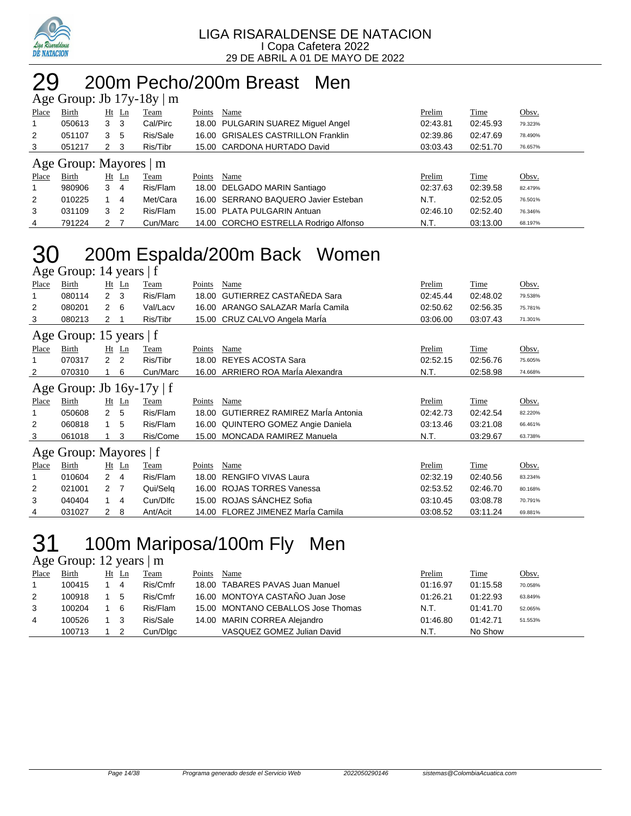

## 29 200m Pecho/200m Breast Men

|                | Age Group: Jb $17y-18y \mid m$ |   |                |             |        |                                       |          |             |         |  |  |  |
|----------------|--------------------------------|---|----------------|-------------|--------|---------------------------------------|----------|-------------|---------|--|--|--|
| Place          | <b>Birth</b>                   |   | Ht Ln          | <b>Team</b> | Points | Name                                  | Prelim   | <b>Time</b> | Obsv.   |  |  |  |
| $\mathbf{1}$   | 050613                         | 3 | -3             | Cal/Pirc    |        | 18.00 PULGARIN SUAREZ Miquel Angel    | 02:43.81 | 02:45.93    | 79.323% |  |  |  |
| 2              | 051107                         | 3 | 5              | Ris/Sale    |        | 16.00 GRISALES CASTRILLON Franklin    | 02:39.86 | 02:47.69    | 78.490% |  |  |  |
| 3              | 051217                         | 2 | - 3            | Ris/Tibr    |        | 15.00 CARDONA HURTADO David           | 03:03.43 | 02:51.70    | 76.657% |  |  |  |
|                | Age Group: Mayores   m         |   |                |             |        |                                       |          |             |         |  |  |  |
| <b>Place</b>   | <b>Birth</b>                   |   | $Ht$ Ln        | <b>Team</b> | Points | Name                                  | Prelim   | <b>Time</b> | Obsv.   |  |  |  |
|                | 980906                         | 3 | -4             | Ris/Flam    |        | 18.00 DELGADO MARIN Santiago          | 02:37.63 | 02:39.58    | 82.479% |  |  |  |
| $\overline{2}$ | 010225                         |   | -4             | Met/Cara    |        | 16.00 SERRANO BAQUERO Javier Esteban  | N.T.     | 02:52.05    | 76.501% |  |  |  |
| 3              | 031109                         | 3 | $\overline{2}$ | Ris/Flam    |        | 15.00 PLATA PULGARIN Antuan           | 02:46.10 | 02:52.40    | 76.346% |  |  |  |
| 4              | 791224                         |   |                | Cun/Marc    |        | 14.00 CORCHO ESTRELLA Rodrigo Alfonso | N.T.     | 03:13.00    | 68.197% |  |  |  |

### 30 200m Espalda/200m Back Women Age Group: 14 years  $|f|$

| ັ                              |                        |                           |  |             |        |                                        |          |             |         |  |  |
|--------------------------------|------------------------|---------------------------|--|-------------|--------|----------------------------------------|----------|-------------|---------|--|--|
| Place                          | Birth                  | $Ht$ Ln                   |  | Team        | Points | Name                                   | Prelim   | Time        | Obsv.   |  |  |
|                                | 080114                 | $\overline{2}$<br>3       |  | Ris/Flam    | 18.00  | <b>GUTIERREZ CASTAÑEDA Sara</b>        | 02:45.44 | 02:48.02    | 79.538% |  |  |
| 2                              | 080201                 | $\overline{2}$<br>- 6     |  | Val/Lacv    |        | 16.00 ARANGO SALAZAR Maria Camila      | 02:50.62 | 02:56.35    | 75.781% |  |  |
| 3                              | 080213                 | 2<br>1                    |  | Ris/Tibr    |        | 15.00 CRUZ CALVO Angela Marla          | 03:06.00 | 03:07.43    | 71.301% |  |  |
| Age Group: 15 years   f        |                        |                           |  |             |        |                                        |          |             |         |  |  |
| <b>Place</b>                   | Birth                  | $Ht$ Ln                   |  | <b>Team</b> | Points | Name                                   | Prelim   | Time        | Obsv.   |  |  |
|                                | 070317                 | 2<br>2                    |  | Ris/Tibr    | 18.00  | <b>REYES ACOSTA Sara</b>               | 02:52.15 | 02:56.76    | 75.605% |  |  |
| 2                              | 070310                 | 6                         |  | Cun/Marc    |        | 16.00 ARRIERO ROA María Alexandra      | N.T.     | 02:58.98    | 74.668% |  |  |
| Age Group: Jb $16y-17y \mid f$ |                        |                           |  |             |        |                                        |          |             |         |  |  |
| <b>Place</b>                   | Birth                  | $Ht$ Ln                   |  | <b>Team</b> | Points | Name                                   | Prelim   | <b>Time</b> | Obsv.   |  |  |
|                                | 050608                 | $\mathbf{2}^{\circ}$<br>5 |  | Ris/Flam    | 18.00  | <b>GUTIERREZ RAMIREZ María Antonia</b> | 02:42.73 | 02:42.54    | 82.220% |  |  |
| 2                              | 060818                 | 5                         |  | Ris/Flam    |        | 16.00 QUINTERO GOMEZ Angie Daniela     | 03:13.46 | 03:21.08    | 66.461% |  |  |
| 3                              | 061018                 | 3                         |  | Ris/Come    |        | 15.00 MONCADA RAMIREZ Manuela          | N.T.     | 03:29.67    | 63.738% |  |  |
|                                | Age Group: Mayores   f |                           |  |             |        |                                        |          |             |         |  |  |
| Place                          | Birth                  | $Ht$ Ln                   |  | Team        | Points | Name                                   | Prelim   | Time        | Obsv.   |  |  |
|                                | 010604                 | $\overline{2}$<br>4       |  | Ris/Flam    | 18.00  | <b>RENGIFO VIVAS Laura</b>             | 02:32.19 | 02:40.56    | 83.234% |  |  |
| 2                              | 021001                 | 2<br>- 7                  |  | Qui/Selq    | 16.00  | <b>ROJAS TORRES Vanessa</b>            | 02:53.52 | 02:46.70    | 80.168% |  |  |
| 3                              | 040404                 | 4                         |  | Cun/Dlfc    | 15.00  | ROJAS SÁNCHEZ Sofia                    | 03:10.45 | 03:08.78    | 70.791% |  |  |
| 4                              | 031027                 | 2<br>8                    |  | Ant/Acit    |        | 14.00 FLOREZ JIMENEZ Marla Camila      | 03:08.52 | 03:11.24    | 69.881% |  |  |

# 31 100m Mariposa/100m Fly Men

### Age Group: 12 years | m

| Place | Birth  | $Ht$ Ln | Team     | Points | Name                               | Prelim   | <b>Time</b> | Obsv.   |
|-------|--------|---------|----------|--------|------------------------------------|----------|-------------|---------|
|       | 100415 | 4       | Ris/Cmfr |        | 18.00 TABARES PAVAS Juan Manuel    | 01:16.97 | 01:15.58    | 70.058% |
| 2     | 100918 | - 5     | Ris/Cmfr |        | 16.00 MONTOYA CASTAÑO Juan Jose    | 01:26.21 | 01:22.93    | 63.849% |
| 3     | 100204 | - 6     | Ris/Flam |        | 15.00 MONTANO CEBALLOS Jose Thomas | N.T.     | 01:41.70    | 52.065% |
| 4     | 100526 | - 3     | Ris/Sale |        | 14.00 MARIN CORREA Alejandro       | 01:46.80 | 01:42.71    | 51.553% |
|       | 100713 |         | Cun/Dlgc |        | VASQUEZ GOMEZ Julian David         | N.T.     | No Show     |         |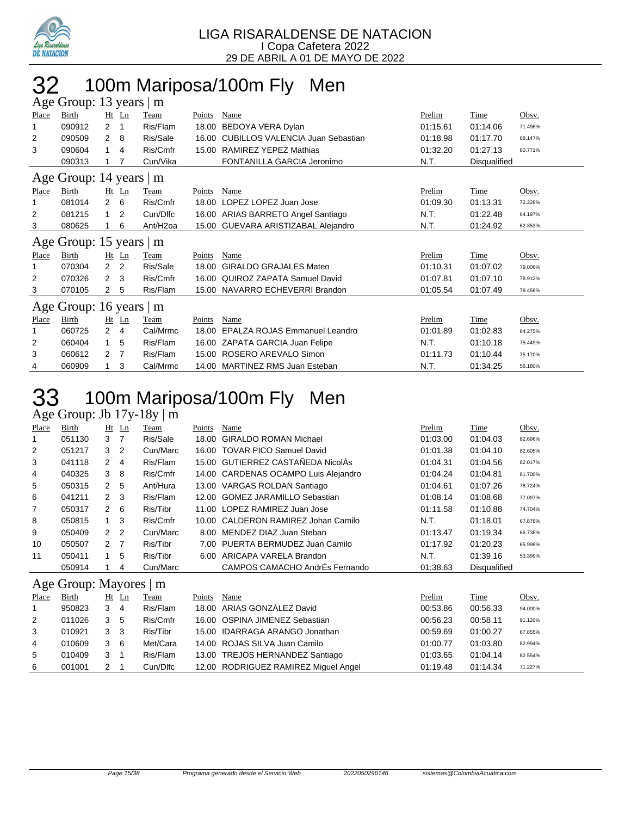

## 32 100m Mariposa/100m Fly Men

|       | Age Group: 13 years  <br>m            |                |                         |          |        |                                        |          |              |         |  |  |  |  |
|-------|---------------------------------------|----------------|-------------------------|----------|--------|----------------------------------------|----------|--------------|---------|--|--|--|--|
| Place | Birth                                 |                | $Ht$ Ln                 | Team     | Points | Name                                   | Prelim   | Time         | Obsv.   |  |  |  |  |
| 1     | 090912                                | $\overline{2}$ | $\mathbf{1}$            | Ris/Flam | 18.00  | BEDOYA VERA Dylan                      | 01:15.61 | 01:14.06     | 71.496% |  |  |  |  |
| 2     | 090509                                | $\mathbf{2}$   | -8                      | Ris/Sale |        | 16.00 CUBILLOS VALENCIA Juan Sebastian | 01:18.98 | 01:17.70     | 68.147% |  |  |  |  |
| 3     | 090604                                | $\mathbf{1}$   | 4                       | Ris/Cmfr | 15.00  | <b>RAMIREZ YEPEZ Mathias</b>           | 01:32.20 | 01:27.13     | 60.771% |  |  |  |  |
|       | 090313                                |                |                         | Cun/Vika |        | FONTANILLA GARCIA Jeronimo             | N.T.     | Disqualified |         |  |  |  |  |
|       | Age Group: 14 years  <br>$\mathbf{m}$ |                |                         |          |        |                                        |          |              |         |  |  |  |  |
| Place | Birth                                 |                | Ht Ln                   | Team     | Points | Name                                   | Prelim   | Time         | Obsv.   |  |  |  |  |
| 1     | 081014                                | $\overline{2}$ | 6                       | Ris/Cmfr | 18.00  | LOPEZ LOPEZ Juan Jose                  | 01:09.30 | 01:13.31     | 72.228% |  |  |  |  |
| 2     | 081215                                | $\mathbf{1}$   | 2                       | Cun/Dlfc |        | 16.00 ARIAS BARRETO Angel Santiago     | N.T.     | 01:22.48     | 64.197% |  |  |  |  |
| 3     | 080625                                |                | 6                       | Ant/H2oa |        | 15.00 GUEVARA ARISTIZABAL Alejandro    | N.T.     | 01:24.92     | 62.353% |  |  |  |  |
|       | Age Group: 15 years                   |                |                         | m        |        |                                        |          |              |         |  |  |  |  |
| Place | Birth                                 |                | $Ht$ Ln                 | Team     | Points | Name                                   | Prelim   | Time         | Obsv.   |  |  |  |  |
| 1     | 070304                                | 2 <sub>2</sub> |                         | Ris/Sale | 18.00  | <b>GIRALDO GRAJALES Mateo</b>          | 01:10.31 | 01:07.02     | 79.006% |  |  |  |  |
| 2     | 070326                                | $2^{\circ}$    | $\overline{\mathbf{3}}$ | Ris/Cmfr | 16.00  | <b>QUIROZ ZAPATA Samuel David</b>      | 01:07.81 | 01:07.10     | 78.912% |  |  |  |  |
| 3     | 070105                                | $\mathbf{2}$   | -5                      | Ris/Flam |        | 15.00 NAVARRO ECHEVERRI Brandon        | 01:05.54 | 01:07.49     | 78.456% |  |  |  |  |
|       | Age Group: 16 years                   |                |                         | m        |        |                                        |          |              |         |  |  |  |  |
| Place | Birth                                 | Ht             | Ln                      | Team     | Points | Name                                   | Prelim   | Time         | Obsv.   |  |  |  |  |
| 1     | 060725                                | $\overline{2}$ | 4                       | Cal/Mrmc | 18.00  | <b>EPALZA ROJAS Emmanuel Leandro</b>   | 01:01.89 | 01:02.83     | 84.275% |  |  |  |  |
| 2     | 060404                                | $\mathbf{1}$   | 5                       | Ris/Flam |        | 16.00 ZAPATA GARCIA Juan Felipe        | N.T.     | 01:10.18     | 75.449% |  |  |  |  |
| 3     | 060612                                | $\overline{2}$ | $\overline{7}$          | Ris/Flam | 15.00  | ROSERO AREVALO Simon                   | 01:11.73 | 01:10.44     | 75.170% |  |  |  |  |
| 4     | 060909                                |                | 3                       | Cal/Mrmc |        | 14.00 MARTINEZ RMS Juan Esteban        | N.T.     | 01:34.25     | 56.180% |  |  |  |  |

# 33 100m Mariposa/100m Fly Men

Age Group: Jb 17y-18y | m

| Place          | Birth  |                | $Ht$ Ln        | Team     | Points | Name                                 | Prelim   | Time         | Obsv.   |
|----------------|--------|----------------|----------------|----------|--------|--------------------------------------|----------|--------------|---------|
| $\mathbf{1}$   | 051130 | 3 7            |                | Ris/Sale |        | 18.00 GIRALDO ROMAN Michael          | 01:03.00 | 01:04.03     | 82.696% |
| $\overline{2}$ | 051217 | 3              | $\overline{2}$ | Cun/Marc |        | 16.00 TOVAR PICO Samuel David        | 01:01.38 | 01:04.10     | 82.605% |
| 3              | 041118 | 2              | -4             | Ris/Flam |        | 15.00 GUTIERREZ CASTAÑEDA NicolÁs    | 01:04.31 | 01:04.56     | 82.017% |
| 4              | 040325 | 38             |                | Ris/Cmfr |        | 14.00 CARDENAS OCAMPO Luis Alejandro | 01:04.24 | 01:04.81     | 81.700% |
| 5              | 050315 | 2              | -5             | Ant/Hura |        | 13.00 VARGAS ROLDAN Santiago         | 01:04.61 | 01:07.26     | 78.724% |
| 6              | 041211 | $2 \quad 3$    |                | Ris/Flam |        | 12.00 GOMEZ JARAMILLO Sebastian      | 01:08.14 | 01:08.68     | 77.097% |
| $\overline{7}$ | 050317 | $2 \quad 6$    |                | Ris/Tibr |        | 11.00 LOPEZ RAMIREZ Juan Jose        | 01:11.58 | 01:10.88     | 74.704% |
| 8              | 050815 | $1 \quad 3$    |                | Ris/Cmfr |        | 10.00 CALDERON RAMIREZ Johan Camilo  | N.T.     | 01:18.01     | 67.876% |
| 9              | 050409 | 2 <sub>2</sub> |                | Cun/Marc |        | 8.00 MENDEZ DIAZ Juan Steban         | 01:13.47 | 01:19.34     | 66.738% |
| 10             | 050507 | 2 <sub>7</sub> |                | Ris/Tibr |        | 7.00 PUERTA BERMUDEZ Juan Camilo     | 01:17.92 | 01:20.23     | 65.998% |
| 11             | 050411 |                | 5              | Ris/Tibr |        | 6.00 ARICAPA VARELA Brandon          | N.T.     | 01:39.16     | 53.399% |
|                | 050914 |                | 4              | Cun/Marc |        | CAMPOS CAMACHO AndrÉs Fernando       | 01:38.63 | Disqualified |         |

### Age Group: Mayores | m

| Place | Birth  | Ht Ln    | Team     | Points | Name                                 | Prelim   | Time     | Obsv.   |
|-------|--------|----------|----------|--------|--------------------------------------|----------|----------|---------|
|       | 950823 | 3<br>-4  | Ris/Flam |        | 18.00 ARIAS GONZÁLEZ David           | 00:53.86 | 00:56.33 | 94.000% |
| 2     | 011026 | 3<br>- 5 | Ris/Cmfr |        | 16.00 OSPINA JIMENEZ Sebastian       | 00:56.23 | 00:58.11 | 91.120% |
| 3     | 010921 | 3 3      | Ris/Tibr |        | 15.00 IDARRAGA ARANGO Jonathan       | 00:59.69 | 01:00.27 | 87.855% |
| 4     | 010609 | - 6      | Met/Cara |        | 14.00 ROJAS SILVA Juan Camilo        | 01:00.77 | 01:03.80 | 82.994% |
| 5     | 010409 |          | Ris/Flam |        | 13.00 TREJOS HERNANDEZ Santiago      | 01:03.65 | 01:04.14 | 82.554% |
| 6     | 001001 |          | Cun/Dlfc |        | 12.00 RODRIGUEZ RAMIREZ Miquel Angel | 01:19.48 | 01:14.34 | 71.227% |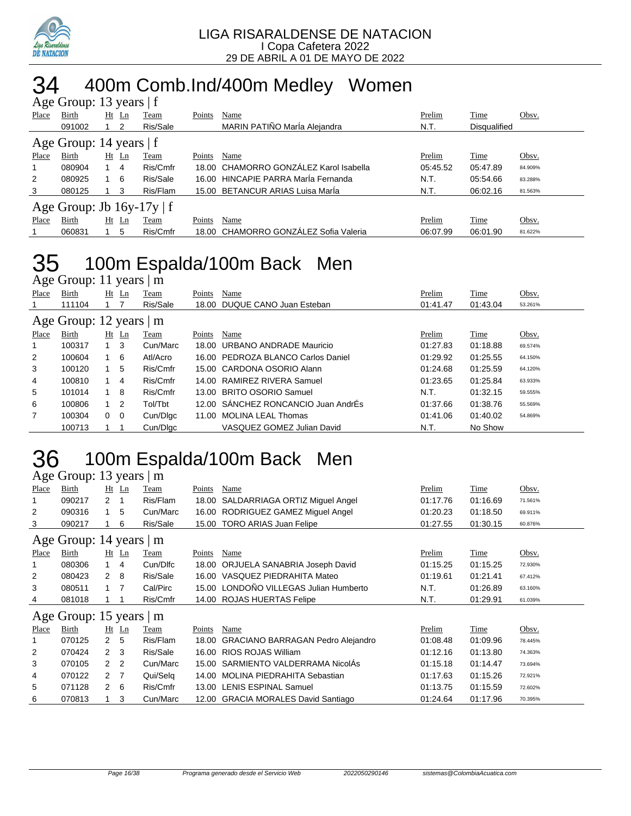

# 34 400m Comb.Ind/400m Medley Women

| Age Group: 13 years   f   |                                |            |    |          |        |                                        |          |                     |         |  |  |  |
|---------------------------|--------------------------------|------------|----|----------|--------|----------------------------------------|----------|---------------------|---------|--|--|--|
| Place                     | Birth                          | Ht         | Ln | Team     | Points | Name                                   | Prelim   | Time                | Obsv.   |  |  |  |
|                           | 091002                         |            |    | Ris/Sale |        | MARIN PATIÑO MarÍa Alejandra           | N.T.     | <b>Disqualified</b> |         |  |  |  |
| Age Group: 14 years $ f $ |                                |            |    |          |        |                                        |          |                     |         |  |  |  |
| Place                     | Birth                          | Ht         | Ln | Team     | Points | Name                                   | Prelim   | Time                | Obsv.   |  |  |  |
|                           | 080904                         | 1 4        |    | Ris/Cmfr |        | 18.00 CHAMORRO GONZÁLEZ Karol Isabella | 05:45.52 | 05:47.89            | 84.909% |  |  |  |
| 2                         | 080925                         | $1\quad 6$ |    | Ris/Sale |        | 16.00 HINCAPIF PARRA MarÍa Fernanda    | N.T.     | 05:54.66            | 83.288% |  |  |  |
| 3                         | 080125                         |            | 3  | Ris/Flam |        | 15.00 BETANCUR ARIAS Luisa Marla       | N.T.     | 06:02.16            | 81.563% |  |  |  |
|                           | Age Group: Jb $16y-17y \mid f$ |            |    |          |        |                                        |          |                     |         |  |  |  |
| Place                     | Birth                          | Ht         | Ln | Team     | Points | Name                                   | Prelim   | Time                | Obsv.   |  |  |  |
|                           | 060831                         |            | 5  | Ris/Cmfr |        | 18.00 CHAMORRO GONZÁLEZ Sofia Valeria  | 06:07.99 | 06:01.90            | 81.622% |  |  |  |

## 35 100m Espalda/100m Back Men

Age Group: 11 years  $\overline{\mathsf{m}}$ 

| Place | Birth                   |             | <u>Ht Ln</u>            | Team     | Points | Name                                | Prelim   | Time     | Obsv.   |
|-------|-------------------------|-------------|-------------------------|----------|--------|-------------------------------------|----------|----------|---------|
|       | 111104                  |             |                         | Ris/Sale |        | 18.00 DUQUE CANO Juan Esteban       | 01:41.47 | 01:43.04 | 53.261% |
|       | Age Group: 12 years   m |             |                         |          |        |                                     |          |          |         |
| Place | Birth                   |             | Ht <u>Ln</u>            | Team     | Points | Name                                | Prelim   | Time     | Obsv.   |
|       | 100317                  | 1 3         |                         | Cun/Marc |        | 18.00 URBANO ANDRADE Mauricio       | 01:27.83 | 01:18.88 | 69.574% |
| 2     | 100604                  |             | - 6                     | Atl/Acro |        | 16.00 PEDROZA BLANCO Carlos Daniel  | 01:29.92 | 01:25.55 | 64.150% |
| 3     | 100120                  |             | 5                       | Ris/Cmfr |        | 15.00 CARDONA OSORIO Alann          | 01:24.68 | 01:25.59 | 64.120% |
| 4     | 100810                  |             | 4                       | Ris/Cmfr |        | 14.00 RAMIREZ RIVERA Samuel         | 01:23.65 | 01:25.84 | 63.933% |
| 5     | 101014                  | $1 \quad 8$ |                         | Ris/Cmfr |        | 13.00 BRITO OSORIO Samuel           | N.T.     | 01:32.15 | 59.555% |
| 6     | 100806                  | $1\quad 2$  |                         | Tol/Tbt  |        | 12.00 SÁNCHEZ RONCANCIO Juan AndrÉs | 01:37.66 | 01:38.76 | 55.569% |
| 7     | 100304                  | $\Omega$    | $\overline{\mathbf{0}}$ | Cun/Dlgc |        | 11.00 MOLINA LEAL Thomas            | 01:41.06 | 01:40.02 | 54.869% |
|       | 100713                  |             |                         | Cun/Dlgc |        | VASQUEZ GOMEZ Julian David          | N.T.     | No Show  |         |
|       |                         |             |                         |          |        |                                     |          |          |         |

### 100m Espalda/100m Back Men Age Group: 13 years  $\overline{\mathsf{m}}$

|              | $T_{\rm K}$ UI Uup. To yuus   III |                |                |             |        |                                          |               |             |         |  |  |  |
|--------------|-----------------------------------|----------------|----------------|-------------|--------|------------------------------------------|---------------|-------------|---------|--|--|--|
| <b>Place</b> | Birth                             |                | $Ht$ Ln        | <b>Team</b> | Points | <b>Name</b>                              | <b>Prelim</b> | <b>Time</b> | Obsv.   |  |  |  |
|              | 090217                            | 2              |                | Ris/Flam    | 18.00  | SALDARRIAGA ORTIZ Miguel Angel           | 01:17.76      | 01:16.69    | 71.561% |  |  |  |
| 2            | 090316                            |                | 5              | Cun/Marc    |        | 16.00 RODRIGUEZ GAMEZ Miguel Angel       | 01:20.23      | 01:18.50    | 69.911% |  |  |  |
| 3            | 090217                            |                | 6              | Ris/Sale    |        | 15.00 TORO ARIAS Juan Felipe             | 01:27.55      | 01:30.15    | 60.876% |  |  |  |
|              | Age Group: 14 years $\vert$ m     |                |                |             |        |                                          |               |             |         |  |  |  |
| Place        | Birth                             |                | $Ht$ Ln        | Team        | Points | Name                                     | Prelim        | <b>Time</b> | Obsv.   |  |  |  |
|              | 080306                            | 1              | 4              | Cun/Dlfc    | 18.00  | ORJUELA SANABRIA Joseph David            | 01:15.25      | 01:15.25    | 72.930% |  |  |  |
| 2            | 080423                            | 2              | - 8            | Ris/Sale    | 16.00  | VASQUEZ PIEDRAHITA Mateo                 | 01:19.61      | 01:21.41    | 67.412% |  |  |  |
| 3            | 080511                            | $1 \quad 7$    |                | Cal/Pirc    | 15.00  | LONDOÑO VILLEGAS Julian Humberto         | N.T.          | 01:26.89    | 63.160% |  |  |  |
| 4            | 081018                            |                |                | Ris/Cmfr    |        | 14.00 ROJAS HUERTAS Felipe               | N.T.          | 01:29.91    | 61.039% |  |  |  |
|              | Age Group: 15 years   m           |                |                |             |        |                                          |               |             |         |  |  |  |
| Place        | Birth                             |                | $Ht$ Ln        | Team        | Points | Name                                     | Prelim        | Time        | Obsv.   |  |  |  |
|              | 070125                            | $\mathbf{2}$   | -5             | Ris/Flam    | 18.00  | <b>GRACIANO BARRAGAN Pedro Alejandro</b> | 01:08.48      | 01:09.96    | 78.445% |  |  |  |
| 2            | 070424                            | 2 <sub>3</sub> |                | Ris/Sale    | 16.00  | <b>RIOS ROJAS William</b>                | 01:12.16      | 01:13.80    | 74.363% |  |  |  |
| 3            | 070105                            | 2 2            |                | Cun/Marc    |        | 15.00 SARMIENTO VALDERRAMA NicolÁs       | 01:15.18      | 01:14.47    | 73.694% |  |  |  |
| 4            | 070122                            | $\mathbf{2}$   | $\overline{7}$ | Qui/Selq    | 14.00  | <b>MOLINA PIEDRAHITA Sebastian</b>       | 01:17.63      | 01:15.26    | 72.921% |  |  |  |
| 5            | 071128                            | $2\quad 6$     |                | Ris/Cmfr    |        | 13.00 LENIS ESPINAL Samuel               | 01:13.75      | 01:15.59    | 72.602% |  |  |  |
| 6            | 070813                            |                | 3              | Cun/Marc    |        | 12.00 GRACIA MORALES David Santiago      | 01:24.64      | 01:17.96    | 70.395% |  |  |  |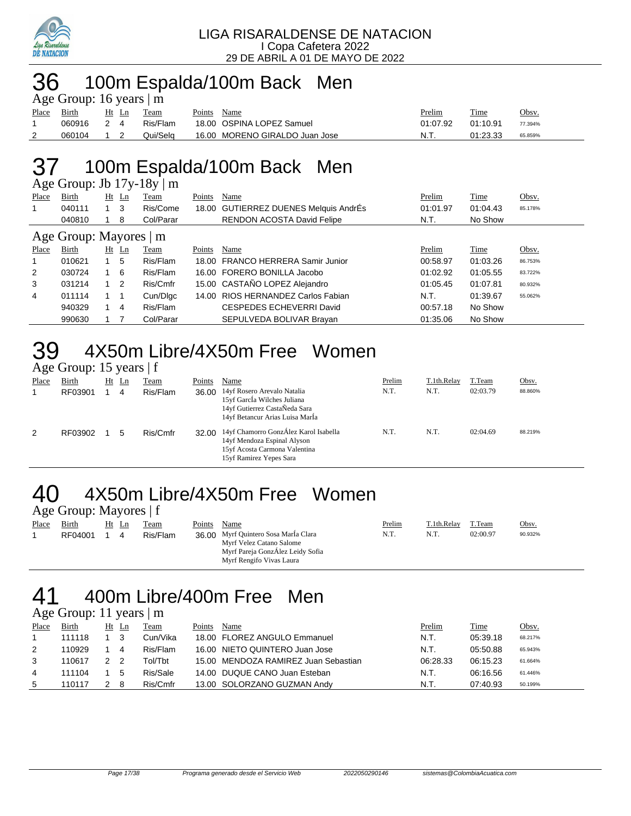

## 36 100m Espalda/100m Back Men

|             | Age Group: 16 years $ m $ |            |       |          |             |                                |          |          |         |  |  |  |
|-------------|---------------------------|------------|-------|----------|-------------|--------------------------------|----------|----------|---------|--|--|--|
| Place Birth |                           |            | Ht Ln | Team     | Points Name |                                | Prelim   | Time     | Obsv.   |  |  |  |
|             | 060916 2 4                |            |       | Ris/Flam |             | 18.00 OSPINA LOPEZ Samuel      | 01:07.92 | 01:10.91 | 77.394% |  |  |  |
| 2           | 060104                    | $1\quad 2$ |       | Qui/Sela |             | 16.00 MORENO GIRALDO Juan Jose | -N.T.    | 01:23.33 | 65.859% |  |  |  |

# 37 100m Espalda/100m Back Men

Age Group: Jb 17y-18y | m

| Place | Birth                  |             | $Ht$ Ln | Team      | Points | Name                                  | Prelim   | <b>Time</b> | Obsv.   |
|-------|------------------------|-------------|---------|-----------|--------|---------------------------------------|----------|-------------|---------|
|       | 040111                 | $1 \quad 3$ |         | Ris/Come  |        | 18.00 GUTIERREZ DUENES Melquis AndrÉs | 01:01.97 | 01:04.43    | 85.178% |
|       | 040810                 |             | 8       | Col/Parar |        | <b>RENDON ACOSTA David Felipe</b>     | N.T.     | No Show     |         |
|       | Age Group: Mayores   m |             |         |           |        |                                       |          |             |         |
| Place | Birth                  | Ht          | Ln      | Team      | Points | Name                                  | Prelim   | Time        | Obsv.   |
|       | 010621                 |             | 5       | Ris/Flam  |        | 18.00 FRANCO HERRERA Samir Junior     | 00:58.97 | 01:03.26    | 86.753% |
| 2     | 030724                 |             | 6       | Ris/Flam  |        | 16.00 FORERO BONILLA Jacobo           | 01:02.92 | 01:05.55    | 83.722% |
| 3     | 031214                 | $1\quad 2$  |         | Ris/Cmfr  |        | 15.00 CASTAÑO LOPEZ Alejandro         | 01:05.45 | 01:07.81    | 80.932% |
| 4     | 011114                 | $1 \quad 1$ |         | Cun/Dlgc  |        | 14.00 RIOS HERNANDEZ Carlos Fabian    | N.T.     | 01:39.67    | 55.062% |
|       | 940329                 |             | 4       | Ris/Flam  |        | CESPEDES ECHEVERRI David              | 00:57.18 | No Show     |         |
|       | 990630                 |             |         | Col/Parar |        | SEPULVEDA BOLIVAR Brayan              | 01:35.06 | No Show     |         |

# $39$  4X50m Libre/4X50m Free Women

|       | Age Group: 15 years   f |    |    |          |        |                                                                                                                                |        |             |          |         |
|-------|-------------------------|----|----|----------|--------|--------------------------------------------------------------------------------------------------------------------------------|--------|-------------|----------|---------|
| Place | Birth                   | Ht | Ln | Team     | Points | Name                                                                                                                           | Prelim | T.1th.Relay | T.Team   | Obsv.   |
|       | RF03901                 |    | 4  | Ris/Flam | 36.00  | 14yf Rosero Arevalo Natalia<br>15yf García Wilches Juliana<br>14yf Gutierrez CastaÑeda Sara<br>14yf Betancur Arias Luisa Marla | N.T.   | N.T.        | 02:03.79 | 88.860% |
|       | RF03902                 |    | 5  | Ris/Cmfr | 32.00  | 14yf Chamorro GonzÁlez Karol Isabella<br>14yf Mendoza Espinal Alyson                                                           | N.T.   | N.T.        | 02:04.69 | 88.219% |

15yf Acosta Carmona Valentina 15yf Ramirez Yepes Sara

### 40 4X50m Libre/4X50m Free Women Age Group: Mayores | f

| Place | Birth   | Ht<br>– Ln | Team     | Points | Name                                 | Prelim | T.1th.Relay | T.Team   | Obsv.   |
|-------|---------|------------|----------|--------|--------------------------------------|--------|-------------|----------|---------|
|       | RF04001 | 4          | Ris/Flam |        | 36.00 Myrf Quintero Sosa MarÍa Clara | N.T.   | N.T.        | 02:00.97 | 90.932% |
|       |         |            |          |        | Myrf Velez Catano Salome             |        |             |          |         |
|       |         |            |          |        | Myrf Pareja GonzÁlez Leidy Sofia     |        |             |          |         |
|       |         |            |          |        | Myrf Rengifo Vivas Laura             |        |             |          |         |

### 41 400m Libre/400m Free Men Age Group: 11 years | m

|       | $1.50$ Oroup. 11 years $1 \text{ m}$ |       |          |        |                                      |          |             |         |
|-------|--------------------------------------|-------|----------|--------|--------------------------------------|----------|-------------|---------|
| Place | Birth                                | Ht Ln | Team     | Points | Name                                 | Prelim   | <b>Time</b> | Obsv.   |
|       | 111118                               |       | Cun/Vika |        | 18.00 FLOREZ ANGULO Emmanuel         | N.T.     | 05:39.18    | 68.217% |
| 2     | 110929                               | 4     | Ris/Flam |        | 16.00 NIETO QUINTERO Juan Jose       | N.T.     | 05:50.88    | 65.943% |
| 3     | 110617                               | - 2   | Tol/Tbt  |        | 15.00 MENDOZA RAMIREZ Juan Sebastian | 06:28.33 | 06:15.23    | 61.664% |
| 4     | 111104                               | 5     | Ris/Sale |        | 14.00 DUQUE CANO Juan Esteban        | N.T.     | 06:16.56    | 61.446% |
| 5     | 110117                               | -8    | Ris/Cmfr |        | 13.00 SOLORZANO GUZMAN Andy          | N.T.     | 07:40.93    | 50.199% |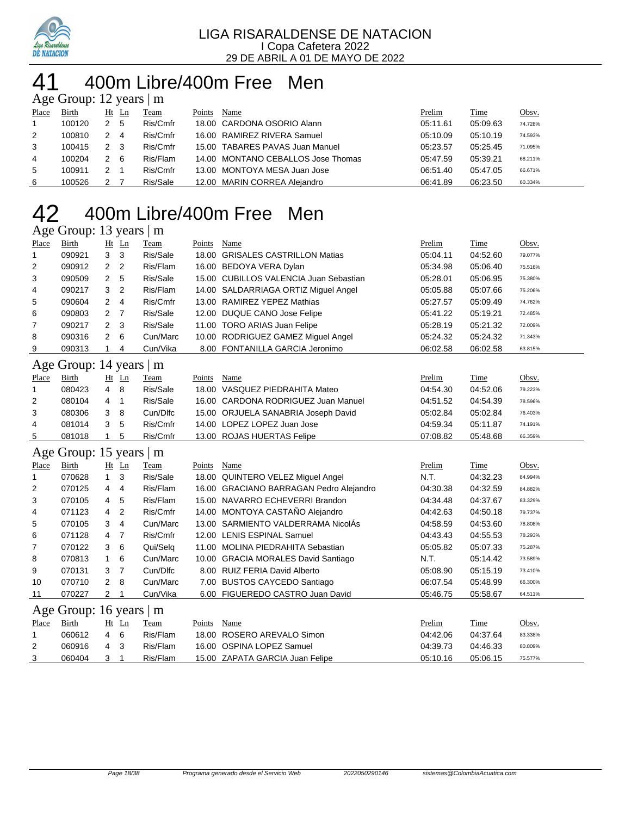

## 400m Libre/400m Free Men

| Age Group: 12 years $\mid$ m |        |                |                |          |        |                                    |          |          |         |  |  |
|------------------------------|--------|----------------|----------------|----------|--------|------------------------------------|----------|----------|---------|--|--|
| Place                        | Birth  |                | Ht Ln          | Team     | Points | Name                               | Prelim   | Time     | Obsv.   |  |  |
| $\mathbf{1}$                 | 100120 | 2 5            |                | Ris/Cmfr |        | 18.00 CARDONA OSORIO Alann         | 05:11.61 | 05:09.63 | 74.728% |  |  |
| 2                            | 100810 | 2              | $\overline{4}$ | Ris/Cmfr |        | 16.00 RAMIREZ RIVERA Samuel        | 05:10.09 | 05:10.19 | 74.593% |  |  |
| 3                            | 100415 | 2 <sub>3</sub> |                | Ris/Cmfr |        | 15.00 TABARES PAVAS Juan Manuel    | 05:23.57 | 05:25.45 | 71.095% |  |  |
| 4                            | 100204 | 2              | - 6            | Ris/Flam |        | 14.00 MONTANO CEBALLOS Jose Thomas | 05:47.59 | 05:39.21 | 68.211% |  |  |
| 5                            | 100911 | 2              |                | Ris/Cmfr |        | 13.00 MONTOYA MESA Juan Jose       | 06:51.40 | 05:47.05 | 66.671% |  |  |
| 6                            | 100526 | 2              |                | Ris/Sale |        | 12.00 MARIN CORREA Alejandro       | 06:41.89 | 06:23.50 | 60.334% |  |  |

## 400m Libre/400m Free Men

### Age Group: 13 years | m

| Place        | <b>Birth</b> |                | $Ht$ Ln        | <b>Team</b> | Points | Name                                   | Prelim   | Time     | Obsv.   |
|--------------|--------------|----------------|----------------|-------------|--------|----------------------------------------|----------|----------|---------|
| $\mathbf{1}$ | 090921       | 3              | - 3            | Ris/Sale    |        | 18.00 GRISALES CASTRILLON Matias       | 05:04.11 | 04:52.60 | 79.077% |
| 2            | 090912       | $\overline{2}$ | $\overline{2}$ | Ris/Flam    |        | 16.00 BEDOYA VERA Dylan                | 05:34.98 | 05:06.40 | 75.516% |
| 3            | 090509       | 2              | -5             | Ris/Sale    |        | 15.00 CUBILLOS VALENCIA Juan Sebastian | 05:28.01 | 05:06.95 | 75.380% |
| 4            | 090217       | 3              | -2             | Ris/Flam    |        | 14.00 SALDARRIAGA ORTIZ Miguel Angel   | 05:05.88 | 05:07.66 | 75.206% |
| 5            | 090604       | 2              | $\overline{4}$ | Ris/Cmfr    |        | 13.00 RAMIREZ YEPEZ Mathias            | 05:27.57 | 05:09.49 | 74.762% |
| 6            | 090803       | 2              | $\overline{7}$ | Ris/Sale    |        | 12.00 DUQUE CANO Jose Felipe           | 05:41.22 | 05:19.21 | 72.485% |
| 7            | 090217       | $\mathbf{2}$   | -3             | Ris/Sale    |        | 11.00 TORO ARIAS Juan Felipe           | 05:28.19 | 05:21.32 | 72.009% |
| 8            | 090316       | 2              | - 6            | Cun/Marc    |        | 10.00 RODRIGUEZ GAMEZ Miguel Angel     | 05:24.32 | 05:24.32 | 71.343% |
| 9            | 090313       |                | 4              | Cun/Vika    |        | 8.00 FONTANILLA GARCIA Jeronimo        | 06:02.58 | 06:02.58 | 63.815% |

### Age Group: 14 years | m

| Place | Birth  | Ht Ln |     | Team     | Points | Name                                | Prelim   | Time     | <u>Obsv.</u> |
|-------|--------|-------|-----|----------|--------|-------------------------------------|----------|----------|--------------|
|       | 080423 | 4     | -8  | Ris/Sale |        | 18.00 VASQUEZ PIEDRAHITA Mateo      | 04:54.30 | 04:52.06 | 79.223%      |
| 2     | 080104 | 4     |     | Ris/Sale |        | 16.00 CARDONA RODRIGUEZ Juan Manuel | 04:51.52 | 04:54.39 | 78.596%      |
| 3     | 080306 | 3     | - 8 | Cun/Dlfc |        | 15.00 ORJUELA SANABRIA Joseph David | 05:02.84 | 05:02.84 | 76.403%      |
| 4     | 081014 | 3     | - 5 | Ris/Cmfr |        | 14.00 LOPEZ LOPEZ Juan Jose         | 04:59.34 | 05:11.87 | 74.191%      |
| 5     | 081018 |       | -5  | Ris/Cmfr |        | 13.00 ROJAS HUERTAS Felipe          | 07:08.82 | 05:48.68 | 66.359%      |

#### Age Group: 15 years | m

| Place          | Birth                   |                | $Ht$ Ln | Team     | Points | Name                                    | Prelim   | Time     | Obsv.   |
|----------------|-------------------------|----------------|---------|----------|--------|-----------------------------------------|----------|----------|---------|
|                | 070628                  |                | -3      | Ris/Sale | 18.00  | <b>QUINTERO VELEZ Miguel Angel</b>      | N.T.     | 04:32.23 | 84.994% |
| $\overline{2}$ | 070125                  | 4              | 4       | Ris/Flam |        | 16.00 GRACIANO BARRAGAN Pedro Alejandro | 04:30.38 | 04:32.59 | 84.882% |
| 3              | 070105                  | $\overline{4}$ | -5      | Ris/Flam |        | 15.00 NAVARRO ECHEVERRI Brandon         | 04:34.48 | 04:37.67 | 83.329% |
| 4              | 071123                  | 4              | 2       | Ris/Cmfr |        | 14.00 MONTOYA CASTAÑO Alejandro         | 04:42.63 | 04:50.18 | 79.737% |
| 5              | 070105                  | 3              | -4      | Cun/Marc |        | 13.00 SARMIENTO VALDERRAMA NicolÁs      | 04:58.59 | 04:53.60 | 78.808% |
| 6              | 071128                  | 4 7            |         | Ris/Cmfr |        | 12.00 LENIS ESPINAL Samuel              | 04:43.43 | 04:55.53 | 78.293% |
| 7              | 070122                  | 3              | 6       | Qui/Selg | 11.00  | <b>MOLINA PIEDRAHITA Sebastian</b>      | 05:05.82 | 05:07.33 | 75.287% |
| 8              | 070813                  |                | 6       | Cun/Marc |        | 10.00 GRACIA MORALES David Santiago     | N.T.     | 05:14.42 | 73.589% |
| 9              | 070131                  | 3              | - 7     | Cun/Dlfc | 8.00   | RUIZ FERIA David Alberto                | 05:08.90 | 05:15.19 | 73.410% |
| 10             | 070710                  | $\mathbf{2}$   | -8      | Cun/Marc | 7.00   | <b>BUSTOS CAYCEDO Santiago</b>          | 06:07.54 | 05:48.99 | 66.300% |
| 11             | 070227                  | 2              |         | Cun/Vika |        | 6.00 FIGUEREDO CASTRO Juan David        | 05:46.75 | 05:58.67 | 64.511% |
|                | Age Group: 16 years   m |                |         |          |        |                                         |          |          |         |
| Place          | Birth                   |                | $Ht$ Ln | Team     | Points | Name                                    | Prelim   | Time     | Obsv.   |
|                | 060612                  | $\overline{4}$ | 6       | Ris/Flam | 18.00  | ROSERO AREVALO Simon                    | 04:42.06 | 04:37.64 | 83.338% |
| 2              | 060916                  | 4              | 3       | Ris/Flam |        | 16.00 OSPINA LOPEZ Samuel               | 04:39.73 | 04:46.33 | 80.809% |

060404 3 1 Ris/Flam 15.00 ZAPATA GARCIA Juan Felipe 05:10.16 05:06.15 75.577%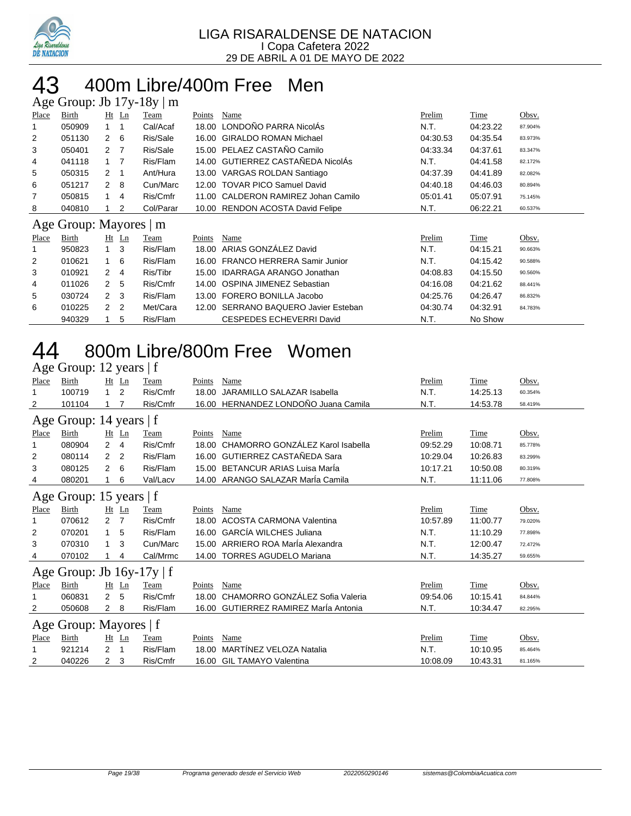

### 400m Libre/400m Free Men  $\ln$  Ib 17y 19y | m

|                | $\Delta \text{SC}$ Oroup. JD 179-109   III |                |                |           |        |                                      |          |          |         |
|----------------|--------------------------------------------|----------------|----------------|-----------|--------|--------------------------------------|----------|----------|---------|
| Place          | Birth                                      |                | $Ht$ Ln        | Team      | Points | Name                                 | Prelim   | Time     | Obsv.   |
|                | 050909                                     |                |                | Cal/Acaf  | 18.00  | LONDOÑO PARRA NicolÁs                | N.T.     | 04:23.22 | 87.904% |
| 2              | 051130                                     | $\mathbf{2}$   | - 6            | Ris/Sale  |        | 16.00 GIRALDO ROMAN Michael          | 04:30.53 | 04:35.54 | 83.973% |
| 3              | 050401                                     | 2 <sub>7</sub> |                | Ris/Sale  |        | 15.00 PELAEZ CASTAÑO Camilo          | 04:33.34 | 04:37.61 | 83.347% |
| 4              | 041118                                     | $1 \quad 7$    |                | Ris/Flam  |        | 14.00 GUTIERREZ CASTAÑEDA NicolÁs    | N.T.     | 04:41.58 | 82.172% |
| 5              | 050315                                     | 2              | -1             | Ant/Hura  |        | 13.00 VARGAS ROLDAN Santiago         | 04:37.39 | 04:41.89 | 82.082% |
| 6              | 051217                                     | 2              | - 8            | Cun/Marc  |        | 12.00 TOVAR PICO Samuel David        | 04:40.18 | 04:46.03 | 80.894% |
| 7              | 050815                                     | 1              | $\overline{4}$ | Ris/Cmfr  |        | 11.00 CALDERON RAMIREZ Johan Camilo  | 05:01.41 | 05:07.91 | 75.145% |
| 8              | 040810                                     |                | 2              | Col/Parar |        | 10.00 RENDON ACOSTA David Felipe     | N.T.     | 06:22.21 | 60.537% |
|                |                                            |                |                |           |        |                                      |          |          |         |
|                |                                            |                |                |           |        |                                      |          |          |         |
| Place          | Age Group: Mayores   m<br>Birth            |                | $Ht$ Ln        | Team      | Points | Name                                 | Prelim   | Time     | Obsv.   |
|                | 950823                                     | $\mathbf{1}$   | 3              | Ris/Flam  | 18.00  | ARIAS GONZÁLEZ David                 | N.T.     | 04:15.21 | 90.663% |
| $\overline{2}$ | 010621                                     | 1.             | 6              | Ris/Flam  |        | 16.00 FRANCO HERRERA Samir Junior    | N.T.     | 04:15.42 | 90.588% |
| 3              | 010921                                     | 2              | 4              | Ris/Tibr  |        | 15.00 IDARRAGA ARANGO Jonathan       | 04:08.83 | 04:15.50 | 90.560% |
| 4              | 011026                                     | $\mathbf{2}$   | 5              | Ris/Cmfr  |        | 14.00 OSPINA JIMENEZ Sebastian       | 04:16.08 | 04:21.62 | 88.441% |
| 5              | 030724                                     | $\mathcal{P}$  | -3             | Ris/Flam  |        | 13.00 FORERO BONILLA Jacobo          | 04:25.76 | 04:26.47 | 86.832% |
| 6              | 010225                                     | 2              | $\overline{2}$ | Met/Cara  |        | 12.00 SERRANO BAQUERO Javier Esteban | 04:30.74 | 04:32.91 | 84.783% |

# 800m Libre/800m Free Women

|       | Age Group: 12 years   f        |                |                |          |        |                                       |          |          |         |  |  |
|-------|--------------------------------|----------------|----------------|----------|--------|---------------------------------------|----------|----------|---------|--|--|
| Place | Birth                          |                | Ht Ln          | Team     | Points | Name                                  | Prelim   | Time     | Obsv.   |  |  |
|       | 100719                         | 1.             | 2              | Ris/Cmfr | 18.00  | <b>JARAMILLO SALAZAR Isabella</b>     | N.T.     | 14:25.13 | 60.354% |  |  |
| 2     | 101104                         |                |                | Ris/Cmfr |        | 16.00 HERNANDEZ LONDOÑO Juana Camila  | N.T.     | 14:53.78 | 58.419% |  |  |
|       | Age Group: 14 years   f        |                |                |          |        |                                       |          |          |         |  |  |
| Place | Birth                          |                | Ht Ln          | Team     | Points | Name                                  | Prelim   | Time     | Obsv.   |  |  |
| 1     | 080904                         | $\overline{2}$ | $\overline{4}$ | Ris/Cmfr | 18.00  | CHAMORRO GONZÁLEZ Karol Isabella      | 09:52.29 | 10:08.71 | 85.778% |  |  |
| 2     | 080114                         | 2              | 2              | Ris/Flam | 16.00  | GUTIERREZ CASTAÑEDA Sara              | 10:29.04 | 10:26.83 | 83.299% |  |  |
| 3     | 080125                         | 2              | 6              | Ris/Flam | 15.00  | <b>BETANCUR ARIAS Luisa MarÍa</b>     | 10:17.21 | 10:50.08 | 80.319% |  |  |
| 4     | 080201                         |                | 6              | Val/Lacv |        | 14.00 ARANGO SALAZAR MarÍa Camila     | N.T.     | 11:11.06 | 77.808% |  |  |
|       | Age Group: 15 years   f        |                |                |          |        |                                       |          |          |         |  |  |
| Place | Birth                          |                | Ht Ln          | Team     | Points | Name                                  | Prelim   | Time     | Obsv.   |  |  |
| 1     | 070612                         | 2              | $\overline{7}$ | Ris/Cmfr | 18.00  | <b>ACOSTA CARMONA Valentina</b>       | 10:57.89 | 11:00.77 | 79.020% |  |  |
| 2     | 070201                         |                | 5              | Ris/Flam | 16.00  | <b>GARCÍA WILCHES Juliana</b>         | N.T.     | 11:10.29 | 77.898% |  |  |
| 3     | 070310                         | 1              | 3              | Cun/Marc | 15.00  | ARRIERO ROA MarÍa Alexandra           | N.T.     | 12:00.47 | 72.472% |  |  |
| 4     | 070102                         |                | 4              | Cal/Mrmc |        | 14.00 TORRES AGUDELO Mariana          | N.T.     | 14:35.27 | 59.655% |  |  |
|       | Age Group: Jb $16y-17y \mid f$ |                |                |          |        |                                       |          |          |         |  |  |
| Place | Birth                          | Ht             | Ln             | Team     | Points | Name                                  | Prelim   | Time     | Obsv.   |  |  |
| 1     | 060831                         | $\overline{2}$ | 5              | Ris/Cmfr | 18.00  | CHAMORRO GONZÁLEZ Sofia Valeria       | 09:54.06 | 10:15.41 | 84.844% |  |  |
| 2     | 050608                         | 2              | 8              | Ris/Flam |        | 16.00 GUTIERREZ RAMIREZ Maria Antonia | N.T.     | 10:34.47 | 82.295% |  |  |
|       | Age Group: Mayores   f         |                |                |          |        |                                       |          |          |         |  |  |
| Place | Birth                          |                | Ht Ln          | Team     | Points | Name                                  | Prelim   | Time     | Obsv.   |  |  |
|       | 921214                         | 2              | 1              | Ris/Flam | 18.00  | <b>MARTÍNEZ VELOZA Natalia</b>        | N.T.     | 10:10.95 | 85.464% |  |  |
| 2     | 040226                         | 2              | 3              | Ris/Cmfr | 16.00  | <b>GIL TAMAYO Valentina</b>           | 10:08.09 | 10:43.31 | 81.165% |  |  |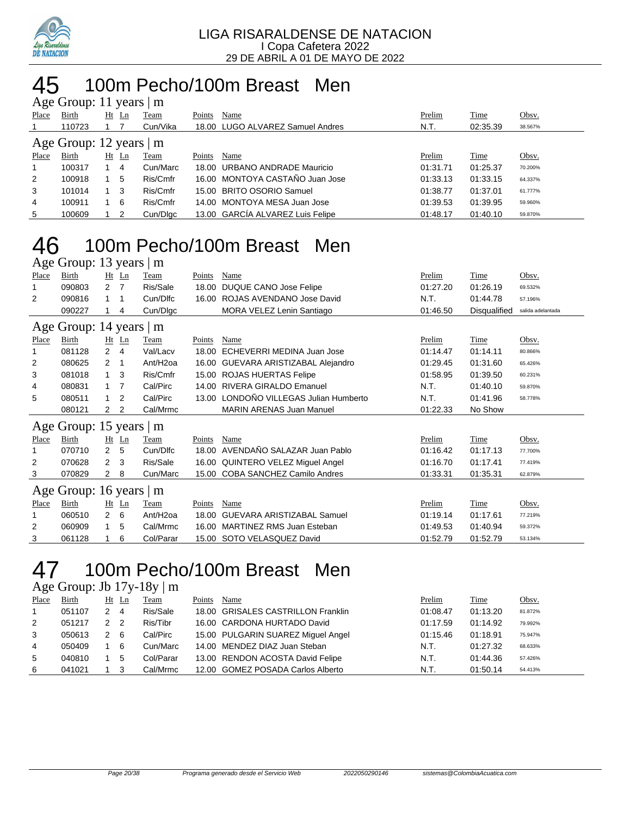

### 100m Pecho/100m Breast Men  $\frac{1}{2}$ roup: 11 years  $\frac{1}{2}$  m

| $\Delta$ gu Oroup. 11 yuars $\Delta$ m |                               |    |         |          |        |                                  |          |          |         |  |  |
|----------------------------------------|-------------------------------|----|---------|----------|--------|----------------------------------|----------|----------|---------|--|--|
| Place                                  | Birth                         |    | $Ht$ Ln | Team     | Points | Name                             | Prelim   | Time     | Obsv.   |  |  |
|                                        | 110723                        |    |         | Cun/Vika |        | 18.00 LUGO ALVAREZ Samuel Andres | N.T.     | 02:35.39 | 38.567% |  |  |
|                                        | Age Group: 12 years $\vert$ m |    |         |          |        |                                  |          |          |         |  |  |
| Place                                  | Birth                         | Ht | Ln      | Team     | Points | Name                             | Prelim   | Time     | Obsv.   |  |  |
| $\mathbf{1}$                           | 100317                        |    | 4       | Cun/Marc |        | 18.00 URBANO ANDRADE Mauricio    | 01:31.71 | 01:25.37 | 70.200% |  |  |
| 2                                      | 100918                        |    | 5       | Ris/Cmfr |        | 16.00 MONTOYA CASTAÑO Juan Jose  | 01:33.13 | 01:33.15 | 64.337% |  |  |
| 3                                      | 101014                        |    | -3      | Ris/Cmfr |        | 15.00 BRITO OSORIO Samuel        | 01:38.77 | 01:37.01 | 61.777% |  |  |
| 4                                      | 100911                        |    | -6      | Ris/Cmfr |        | 14.00 MONTOYA MESA Juan Jose     | 01:39.53 | 01:39.95 | 59.960% |  |  |
| 5                                      | 100609                        |    | 2       | Cun/Dlgc |        | 13.00 GARCÍA ALVAREZ Luis Felipe | 01:48.17 | 01:40.10 | 59.870% |  |  |

## 100m Pecho/100m Breast Men

Age Group: 13 years | m

| Place | <b>Birth</b>                  |                      | $Ht$ Ln        | <u>Team</u>          | <b>Points</b> | <b>Name</b>                       | Prelim   | <b>Time</b>  | Obsv.             |
|-------|-------------------------------|----------------------|----------------|----------------------|---------------|-----------------------------------|----------|--------------|-------------------|
|       | 090803                        | $2 \overline{7}$     |                | Ris/Sale             | 18.00         | DUQUE CANO Jose Felipe            | 01:27.20 | 01:26.19     | 69.532%           |
| 2     | 090816                        |                      | -1             | Cun/Dlfc             | 16.00         | ROJAS AVENDANO Jose David         | N.T.     | 01:44.78     | 57.196%           |
|       | 090227                        |                      | 4              | Cun/Digc             |               | MORA VELEZ Lenin Santiago         | 01:46.50 | Disqualified | salida adelantada |
|       | Age Group: 14 years $\vert$ m |                      |                |                      |               |                                   |          |              |                   |
| Place | Birth                         |                      | $Ht$ Ln        | Team                 | Points        | Name                              | Prelim   | Time         | Obsv.             |
|       | 081128                        | $\mathbf{2}^{\circ}$ | 4              | Val/Lacv             | 18.00         | ECHEVERRI MEDINA Juan Jose        | 01:14.47 | 01:14.11     | 80.866%           |
| 2     | 080625                        | 2                    | -1             | Ant/H <sub>20a</sub> | 16.00         | GUEVARA ARISTIZABAL Alejandro     | 01:29.45 | 01:31.60     | 65.426%           |
| 3     | 081018                        |                      | $1 \quad 3$    | Ris/Cmfr             | 15.00         | <b>ROJAS HUERTAS Felipe</b>       | 01:58.95 | 01:39.50     | 60.231%           |
| 4     | 080831                        |                      | - 7            | Cal/Pirc             | 14.00         | RIVERA GIRALDO Emanuel            | N.T.     | 01:40.10     | 59.870%           |
| 5     | 080511                        | $\mathbf{1}$         | $\overline{2}$ | Cal/Pirc             | 13.00         | LONDOÑO VILLEGAS Julian Humberto  | N.T.     | 01:41.96     | 58.778%           |
|       | 080121                        | 2                    | 2              | Cal/Mrmc             |               | <b>MARIN ARENAS Juan Manuel</b>   | 01:22.33 | No Show      |                   |
|       | Age Group: 15 years $\vert$ m |                      |                |                      |               |                                   |          |              |                   |
| Place | Birth                         |                      | $Ht$ Ln        | Team                 | Points        | Name                              | Prelim   | Time         | Obsv.             |
|       | 070710                        | $\mathbf{2}$         | 5              | Cun/Dlfc             | 18.00         | AVENDAÑO SALAZAR Juan Pablo       | 01:16.42 | 01:17.13     | 77.700%           |
| 2     | 070628                        | $\mathbf{2}$         | -3             | Ris/Sale             |               | 16.00 QUINTERO VELEZ Miquel Angel | 01:16.70 | 01:17.41     | 77.419%           |
| 3     | 070829                        | $\mathbf{2}$         | 8              | Cun/Marc             |               | 15.00 COBA SANCHEZ Camilo Andres  | 01:33.31 | 01:35.31     | 62.879%           |
|       | Age Group: 16 years $\vert$ m |                      |                |                      |               |                                   |          |              |                   |

|              | $1.50$ shows: 10 jeans   m |     |       |           |        |                                  |          |             |              |
|--------------|----------------------------|-----|-------|-----------|--------|----------------------------------|----------|-------------|--------------|
| <b>Place</b> | <b>Birth</b>               |     | Ht Ln | Team      | Points | Name                             | Prelim   | <b>Time</b> | <u>Obsv.</u> |
|              | 060510                     | 2 6 |       | Ant/H2oa  |        | 18.00 GUEVARA ARISTIZABAL Samuel | 01:19.14 | 01:17.61    | 77.219%      |
|              | 060909                     | 1 5 |       | Cal/Mrmc  |        | 16.00 MARTINEZ RMS Juan Esteban  | 01:49.53 | 01:40.94    | 59.372%      |
|              | 061128                     |     | - 6   | Col/Parar |        | 15.00 SOTO VELASQUEZ David       | 01:52.79 | 01:52.79    | 53.134%      |
|              |                            |     |       |           |        |                                  |          |             |              |

# 100m Pecho/100m Breast Men

Age Group: Jb 17y-18y | m

| Place | Birth  |   | $Ht$ Ln                    | <u>Team</u> | Points | Name                               | Prelim   | Time     | Obsv.   |
|-------|--------|---|----------------------------|-------------|--------|------------------------------------|----------|----------|---------|
|       | 051107 |   | $\overline{4}$             | Ris/Sale    |        | 18.00 GRISALES CASTRILLON Franklin | 01:08.47 | 01:13.20 | 81.872% |
| 2     | 051217 | 2 | $\overline{\phantom{0}}^2$ | Ris/Tibr    |        | 16.00 CARDONA HURTADO David        | 01:17.59 | 01:14.92 | 79.992% |
| 3     | 050613 |   | - 6                        | Cal/Pirc    |        | 15.00 PULGARIN SUAREZ Miguel Angel | 01:15.46 | 01:18.91 | 75.947% |
| 4     | 050409 |   | -6                         | Cun/Marc    |        | 14.00 MENDEZ DIAZ Juan Steban      | N.T.     | 01:27.32 | 68.633% |
| 5     | 040810 |   | 5                          | Col/Parar   |        | 13.00 RENDON ACOSTA David Felipe   | N.T.     | 01:44.36 | 57.426% |
| 6     | 041021 |   | 3                          | Cal/Mrmc    |        | 12.00 GOMEZ POSADA Carlos Alberto  | N.T.     | 01:50.14 | 54.413% |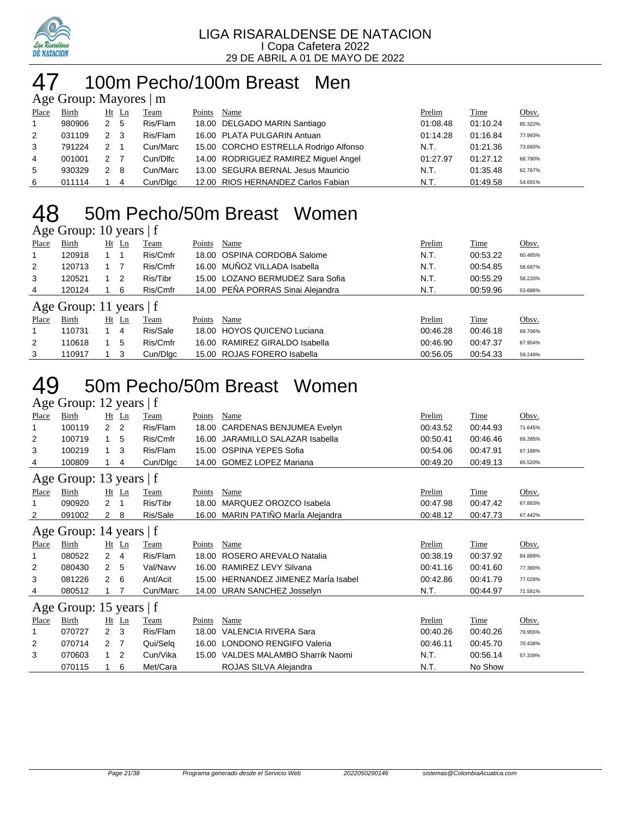

# 100m Pecho/100m Breast Men

| Age Group: Mayores   m |        |     |       |          |        |                                       |          |          |         |  |  |
|------------------------|--------|-----|-------|----------|--------|---------------------------------------|----------|----------|---------|--|--|
| Place                  | Birth  |     | Ht Ln | Team     | Points | Name                                  | Prelim   | Time     | Obsv.   |  |  |
| $\overline{1}$         | 980906 | 2 5 |       | Ris/Flam |        | 18.00 DELGADO MARIN Santiago          | 01:08.48 | 01:10.24 | 85.322% |  |  |
| 2                      | 031109 | 2   | - 3   | Ris/Flam |        | 16.00 PLATA PULGARIN Antuan           | 01:14.28 | 01:16.84 | 77.993% |  |  |
| 3                      | 791224 | 2   |       | Cun/Marc |        | 15.00 CORCHO ESTRELLA Rodrigo Alfonso | N.T.     | 01:21.36 | 73.660% |  |  |
| 4                      | 001001 | 2   |       | Cun/Dlfc |        | 14.00 RODRIGUEZ RAMIREZ Miquel Angel  | 01:27.97 | 01:27.12 | 68.790% |  |  |
| 5                      | 930329 | 2   | - 8   | Cun/Marc |        | 13.00 SEGURA BERNAL Jesus Mauricio    | N.T.     | 01:35.48 | 62.767% |  |  |
| 6                      | 011114 |     | -4    | Cun/Dlgc |        | 12.00 RIOS HERNANDEZ Carlos Fabian    | N.T.     | 01:49.58 | 54.691% |  |  |

## 50m Pecho/50m Breast Women

### Age Group: 10 years | f

| Place | Birth                     | $Ht$ Ln        | Feam     | Points | Name                              | Prelim   | <b>Time</b> | Obsv.   |
|-------|---------------------------|----------------|----------|--------|-----------------------------------|----------|-------------|---------|
|       | 120918                    |                | Ris/Cmfr |        | 18.00 OSPINA CORDOBA Salome       | N.T.     | 00:53.22    | 60.485% |
| 2     | 120713                    |                | Ris/Cmfr |        | 16.00 MUÑOZ VILLADA Isabella      | N.T.     | 00:54.85    | 58.687% |
| 3     | 120521                    | $\overline{2}$ | Ris/Tibr |        | 15.00 LOZANO BERMUDEZ Sara Sofia  | N.T.     | 00:55.29    | 58.220% |
| 4     | 120124                    | 6              | Ris/Cmfr |        | 14.00 PEÑA PORRAS Sinai Aleiandra | N.T.     | 00:59.96    | 53.686% |
|       | Age Group: 11 years $ f $ |                |          |        |                                   |          |             |         |
| Place | Birth                     | Ht Ln          | Team     | Points | Name                              | Prelim   | Time        | Obsv.   |
|       | 110731                    | 4              | Ris/Sale |        | 18.00 HOYOS QUICENO Luciana       | 00:46.28 | 00:46.18    | 69.706% |
| 2     | 110618                    | 5              | Ris/Cmfr |        | 16.00 RAMIREZ GIRALDO Isabella    | 00:46.90 | 00:47.37    | 67.954% |
| 3     | 110917                    | -3             | Cun/Dlgc |        | 15.00 ROJAS FORERO Isabella       | 00:56.05 | 00:54.33    | 59.249% |

## 50m Pecho/50m Breast Women

### Age Group: 12 years | f

| Place        | Birth                   |                | $Ht$ Ln | Team     | Points | <b>Name</b>                    | Prelim   | Time        | Obsv.   |
|--------------|-------------------------|----------------|---------|----------|--------|--------------------------------|----------|-------------|---------|
| 1            | 100119                  | 2 <sub>2</sub> |         | Ris/Flam | 18.00  | CARDENAS BENJUMEA Evelyn       | 00:43.52 | 00:44.93    | 71.645% |
| 2            | 100719                  | 1              | 5       | Ris/Cmfr | 16.00  | JARAMILLO SALAZAR Isabella     | 00:50.41 | 00:46.46    | 69.285% |
| 3            | 100219                  | 1              | 3       | Ris/Flam | 15.00  | <b>OSPINA YEPES Sofia</b>      | 00:54.06 | 00:47.91    | 67.188% |
| 4            | 100809                  |                | 4       | Cun/Dlgc |        | 14.00 GOMEZ LOPEZ Mariana      | 00:49.20 | 00:49.13    | 65.520% |
|              | Age Group: 13 years   f |                |         |          |        |                                |          |             |         |
| Place        | Birth                   |                | $Ht$ Ln | Team     | Points | Name                           | Prelim   | Time        | Obsv.   |
| 1            | 090920                  | 2              |         | Ris/Tibr | 18.00  | MARQUEZ OROZCO Isabela         | 00:47.98 | 00:47.42    | 67.883% |
| 2            | 091002                  | $\mathbf{2}$   | 8       | Ris/Sale | 16.00  | MARIN PATIÑO MarÍa Alejandra   | 00:48.12 | 00:47.73    | 67.442% |
|              | Age Group: 14 years   f |                |         |          |        |                                |          |             |         |
| <b>Place</b> | Birth                   |                | $Ht$ Ln | Team     | Points | Name                           | Prelim   | Time        | Obsv.   |
| 1            | 080522                  | $\overline{2}$ | 4       | Ris/Flam | 18.00  | ROSERO AREVALO Natalia         | 00:38.19 | 00:37.92    | 84.889% |
| 2            | 080430                  | $\overline{2}$ | 5       | Val/Navv | 16.00  | RAMIREZ LEVY Silvana           | 00:41.16 | 00:41.60    | 77.380% |
| 3            | 081226                  | $\mathbf{2}$   | 6       | Ant/Acit | 15.00  | HERNANDEZ JIMENEZ Marla Isabel | 00:42.86 | 00:41.79    | 77.028% |
| 4            | 080512                  |                |         | Cun/Marc | 14.00  | <b>URAN SANCHEZ Josselyn</b>   | N.T.     | 00:44.97    | 71.581% |
|              | Age Group: 15 years   f |                |         |          |        |                                |          |             |         |
| <b>Place</b> | <b>Birth</b>            |                | $Ht$ Ln | Team     | Points | Name                           | Prelim   | <b>Time</b> | Obsv.   |
| 1            | 070727                  | 2 <sub>3</sub> |         | Ris/Flam | 18.00  | <b>VALENCIA RIVERA Sara</b>    | 00:40.26 | 00:40.26    | 79.955% |
| 2            | 070714                  | 2 <sub>7</sub> |         | Qui/Selq | 16.00  | <b>LONDONO RENGIFO Valeria</b> | 00:46.11 | 00:45.70    | 70.438% |
| 3            | 070603                  | $\overline{1}$ | 2       | Cun/Vika | 15.00  | VALDES MALAMBO Sharrik Naomi   | N.T.     | 00:56.14    | 57.339% |
|              | 070115                  |                | 6       | Met/Cara |        | ROJAS SILVA Alejandra          | N.T.     | No Show     |         |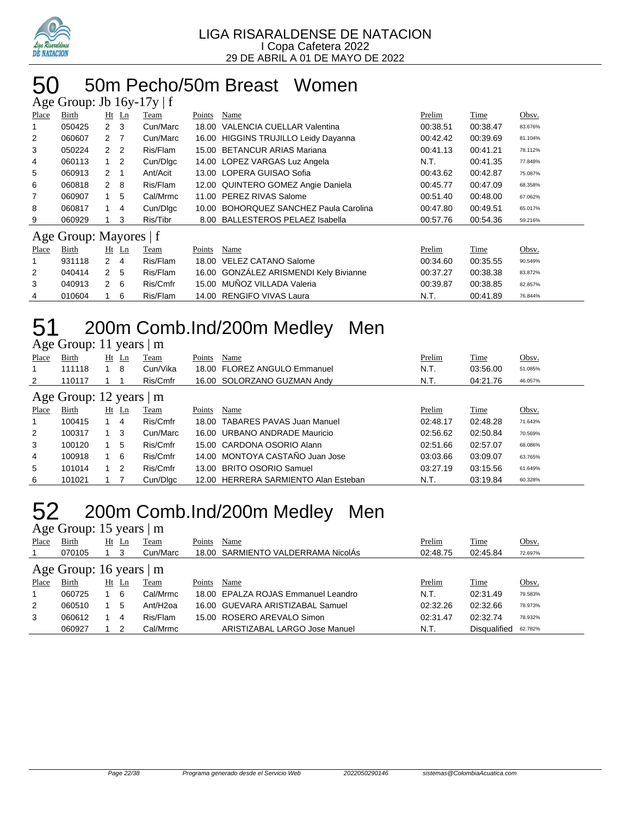

### 50m Pecho/50m Breast Women  $\sin$  Ih 16y-17y | f

|       | $\Delta g v$ Oroup. JO TOY-T/Y |                  |         |             |        |                                        |               |             |         |  |  |
|-------|--------------------------------|------------------|---------|-------------|--------|----------------------------------------|---------------|-------------|---------|--|--|
| Place | Birth                          |                  | $Ht$ Ln | Team        | Points | Name                                   | Prelim        | Time        | Obsv.   |  |  |
|       | 050425                         | $2 \quad 3$      |         | Cun/Marc    | 18.00  | <b>VALENCIA CUELLAR Valentina</b>      | 00:38.51      | 00:38.47    | 83.676% |  |  |
| 2     | 060607                         | $2 \overline{7}$ |         | Cun/Marc    |        | 16.00 HIGGINS TRUJILLO Leidy Dayanna   | 00:42.42      | 00:39.69    | 81.104% |  |  |
| 3     | 050224                         | 2 <sub>2</sub>   |         | Ris/Flam    |        | 15.00 BETANCUR ARIAS Mariana           | 00:41.13      | 00:41.21    | 78.112% |  |  |
| 4     | 060113                         | $1\quad 2$       |         | Cun/Dlgc    |        | 14.00 LOPEZ VARGAS Luz Angela          | N.T.          | 00:41.35    | 77.848% |  |  |
| 5     | 060913                         | 2                | -1      | Ant/Acit    |        | 13.00 LOPERA GUISAO Sofia              | 00:43.62      | 00:42.87    | 75.087% |  |  |
| 6     | 060818                         | 2 8              |         | Ris/Flam    |        | 12.00 QUINTERO GOMEZ Angie Daniela     | 00:45.77      | 00:47.09    | 68.358% |  |  |
| 7     | 060907                         | $\mathbf{1}$     | 5       | Cal/Mrmc    |        | 11.00 PEREZ RIVAS Salome               | 00:51.40      | 00:48.00    | 67.062% |  |  |
| 8     | 060817                         |                  | 4       | Cun/Dlgc    |        | 10.00 BOHORQUEZ SANCHEZ Paula Carolina | 00:47.80      | 00:49.51    | 65.017% |  |  |
| 9     | 060929                         |                  | 3       | Ris/Tibr    |        | 8.00 BALLESTEROS PELAEZ Isabella       | 00:57.76      | 00:54.36    | 59.216% |  |  |
|       | Age Group: Mayores   f         |                  |         |             |        |                                        |               |             |         |  |  |
| Place | Birth                          |                  | $Ht$ Ln | <u>Team</u> | Points | Name                                   | <b>Prelim</b> | <b>Time</b> | Obsv.   |  |  |
|       | 931118                         | $2 \quad 4$      |         | Ris/Flam    | 18.00  | <b>VELEZ CATANO Salome</b>             | 00:34.60      | 00:35.55    | 90.549% |  |  |
| 2     | 040414                         | 2 5              |         | Ris/Flam    |        | 16.00 GONZÁLEZ ARISMENDI Kely Bivianne | 00:37.27      | 00:38.38    | 83.872% |  |  |
| 3     | 040913                         | $\overline{2}$   | - 6     | Ris/Cmfr    |        | 15.00 MUÑOZ VILLADA Valeria            | 00:39.87      | 00:38.85    | 82.857% |  |  |
| 4     | 010604                         |                  | 6       | Ris/Flam    |        | 14.00 RENGIFO VIVAS Laura              | N.T.          | 00:41.89    | 76.844% |  |  |

### 200m Comb.Ind/200m Medley Men a<br>Agroup: 11 years | m

|                | $\Delta g$ c Oroup. 11 years $\parallel$ III |             |         |          |        |                                      |          |          |         |  |  |  |  |  |
|----------------|----------------------------------------------|-------------|---------|----------|--------|--------------------------------------|----------|----------|---------|--|--|--|--|--|
| Place          | Birth                                        | Ht          | Ln      | Team     | Points | Name                                 | Prelim   | Time     | Obsv.   |  |  |  |  |  |
| 1              | 111118                                       |             | -8      | Cun/Vika |        | 18.00 FLOREZ ANGULO Emmanuel         | N.T.     | 03:56.00 | 51.085% |  |  |  |  |  |
| 2              | 110117                                       |             |         | Ris/Cmfr |        | 16.00 SOLORZANO GUZMAN Andy          | N.T.     | 04:21.76 | 46.057% |  |  |  |  |  |
|                | Age Group: 12 years $ m$                     |             |         |          |        |                                      |          |          |         |  |  |  |  |  |
| Place          | Birth                                        |             | $Ht$ Ln | Team     | Points | Name                                 | Prelim   | Time     | Obsv.   |  |  |  |  |  |
| 1              | 100415                                       |             | 4       | Ris/Cmfr |        | 18.00 TABARES PAVAS Juan Manuel      | 02:48.17 | 02:48.28 | 71.643% |  |  |  |  |  |
| $\overline{2}$ | 100317                                       | $1 \quad 3$ |         | Cun/Marc |        | 16.00 URBANO ANDRADE Mauricio        | 02:56.62 | 02:50.84 | 70.569% |  |  |  |  |  |
| 3              | 100120                                       |             | -5      | Ris/Cmfr |        | 15.00 CARDONA OSORIO Alann           | 02:51.66 | 02:57.07 | 68.086% |  |  |  |  |  |
| 4              | 100918                                       |             | - 6     | Ris/Cmfr |        | 14.00 MONTOYA CASTAÑO Juan Jose      | 03:03.66 | 03:09.07 | 63.765% |  |  |  |  |  |
| 5              | 101014                                       |             | -2      | Ris/Cmfr |        | 13.00 BRITO OSORIO Samuel            | 03:27.19 | 03:15.56 | 61.649% |  |  |  |  |  |
| 6              | 101021                                       |             |         | Cun/Dlgc |        | 12.00 HERRERA SARMIENTO Alan Esteban | N.T.     | 03:19.84 | 60.328% |  |  |  |  |  |
|                |                                              |             |         |          |        |                                      |          |          |         |  |  |  |  |  |

## 52 200m Comb.Ind/200m Medley Men

|                | Age Group: 15 years   m  |           |     |                      |        |                                     |          |                     |         |  |  |  |  |  |
|----------------|--------------------------|-----------|-----|----------------------|--------|-------------------------------------|----------|---------------------|---------|--|--|--|--|--|
| Place          | Birth                    | <u>Ht</u> | Ln  | Team                 | Points | Name                                | Prelim   | <b>Time</b>         | Obsv.   |  |  |  |  |  |
| 1              | 070105                   |           |     | Cun/Marc             |        | 18.00 SARMIENTO VALDERRAMA NicolAs  | 02:48.75 | 02:45.84            | 72.697% |  |  |  |  |  |
|                | Age Group: 16 years $ m$ |           |     |                      |        |                                     |          |                     |         |  |  |  |  |  |
| Place          | Birth                    | Ht        | Ln  | Team                 | Points | Name                                | Prelim   | Time                | Obsv.   |  |  |  |  |  |
| $\overline{1}$ | 060725                   |           | - 6 | Cal/Mrmc             |        | 18.00 EPALZA ROJAS Emmanuel Leandro | N.T.     | 02:31.49            | 79.583% |  |  |  |  |  |
| 2              | 060510                   |           | -5  | Ant/H <sub>20a</sub> |        | 16.00 GUEVARA ARISTIZABAL Samuel    | 02:32.26 | 02:32.66            | 78.973% |  |  |  |  |  |
| 3              | 060612                   |           | 4   | Ris/Flam             |        | 15.00 ROSERO AREVALO Simon          | 02:31.47 | 02:32.74            | 78.932% |  |  |  |  |  |
|                | 060927                   |           |     | Cal/Mrmc             |        | ARISTIZABAL LARGO Jose Manuel       | N.T.     | <b>Disqualified</b> | 62.782% |  |  |  |  |  |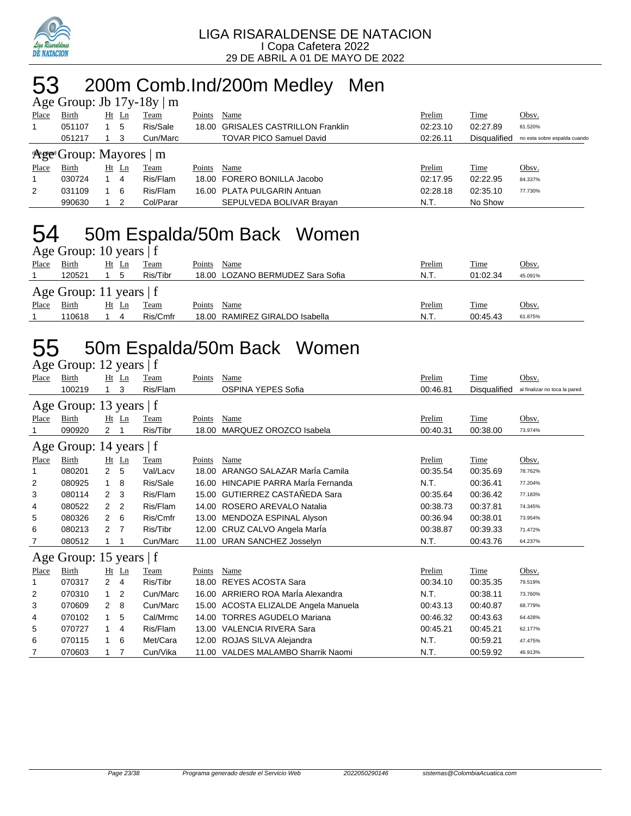

## 53 200m Comb.Ind/200m Medley Men

|       |                              |    |       | Age Group: Jb $17y-18y \mid m$ |        |                                    |          |                     |                              |
|-------|------------------------------|----|-------|--------------------------------|--------|------------------------------------|----------|---------------------|------------------------------|
| Place | Birth                        | Ht | Ln    | Team                           | Points | Name                               | Prelim   | Time                | Obsv.                        |
|       | 051107                       |    | 5     | Ris/Sale                       |        | 18.00 GRISALES CASTRILLON Franklin | 02:23.10 | 02:27.89            | 81.520%                      |
|       | 051217                       |    | 3     | Cun/Marc                       |        | <b>TOVAR PICO Samuel David</b>     | 02:26.11 | <b>Disqualified</b> | no esta sobre espalda cuando |
|       | Arge Group: Mayores $\mid$ m |    |       |                                |        |                                    |          |                     |                              |
| Place | Birth                        |    | Ht Ln | Team                           | Points | Name                               | Prelim   | Time                | Obsv.                        |
|       | 030724                       |    | 4     | Ris/Flam                       |        | 18.00 FORERO BONILLA Jacobo        | 02:17.95 | 02:22.95            | 84.337%                      |
| 2     | 031109                       |    | 6     | Ris/Flam                       |        | 16.00 PLATA PULGARIN Antuan        | 02:28.18 | 02:35.10            | 77.730%                      |
|       | 990630                       |    |       | Col/Parar                      |        | SEPULVEDA BOLIVAR Brayan           | N.T.     | No Show             |                              |

## 54 50m Espalda/50m Back Women

|       | Age Group: 10 years $ f $ |         |          |                                  |               |             |              |  |  |  |  |  |  |  |
|-------|---------------------------|---------|----------|----------------------------------|---------------|-------------|--------------|--|--|--|--|--|--|--|
| Place | Birth                     | $Ht$ Ln | Team     | Points<br>Name                   | <u>Prelim</u> | <u>Time</u> | <u>Obsv.</u> |  |  |  |  |  |  |  |
|       | 120521                    |         | Ris/Tibr | 18.00 LOZANO BERMUDEZ Sara Sofia | N.T.          | 01:02.34    | 45.091%      |  |  |  |  |  |  |  |
|       | Age Group: 11 years $ f $ |         |          |                                  |               |             |              |  |  |  |  |  |  |  |
| Place | Birth                     | Ht Ln   | Team     | Name<br>Points                   | Prelim        | <b>Time</b> | Obsv.        |  |  |  |  |  |  |  |
|       | 110618                    | 4       | Ris/Cmfr | 18.00 RAMIREZ GIRALDO Isabella   | N.T.          | 00:45.43    | 61.875%      |  |  |  |  |  |  |  |

## 55 50m Espalda/50m Back Women

|                | Age Group: 12 years   f |    |         |          |        |                                      |          |                     |                               |  |  |  |
|----------------|-------------------------|----|---------|----------|--------|--------------------------------------|----------|---------------------|-------------------------------|--|--|--|
| Place          | Birth                   |    | $Ht$ Ln | Team     | Points | Name                                 | Prelim   | Time                | Obsv.                         |  |  |  |
|                | 100219                  |    | 3       | Ris/Flam |        | <b>OSPINA YEPES Sofia</b>            | 00:46.81 | <b>Disqualified</b> | al finalizar no toca la pared |  |  |  |
|                | Age Group: 13 years   f |    |         |          |        |                                      |          |                     |                               |  |  |  |
| Place          | Birth                   | Ht | Ln      | Team     | Points | Name                                 | Prelim   | Time                | Obsv.                         |  |  |  |
| 1              | 090920                  | 2  |         | Ris/Tibr | 18.00  | MARQUEZ OROZCO Isabela               | 00:40.31 | 00:38.00            | 73.974%                       |  |  |  |
|                | Age Group: 14 years   f |    |         |          |        |                                      |          |                     |                               |  |  |  |
| Place          | <b>Birth</b>            |    | Ht Ln   | Team     | Points | Name                                 | Prelim   | Time                | Obsv.                         |  |  |  |
| 1              | 080201                  | 2  | 5       | Val/Lacv | 18.00  | ARANGO SALAZAR MarÍa Camila          | 00:35.54 | 00:35.69            | 78.762%                       |  |  |  |
| $\overline{2}$ | 080925                  | 1  | 8       | Ris/Sale |        | 16.00 HINCAPIE PARRA Maria Fernanda  | N.T.     | 00:36.41            | 77.204%                       |  |  |  |
| 3              | 080114                  | 2  | 3       | Ris/Flam | 15.00  | GUTIERREZ CASTAÑEDA Sara             | 00:35.64 | 00:36.42            | 77.183%                       |  |  |  |
| 4              | 080522                  | 2  | 2       | Ris/Flam | 14.00  | ROSERO AREVALO Natalia               | 00:38.73 | 00:37.81            | 74.345%                       |  |  |  |
| 5              | 080326                  | 2  | 6       | Ris/Cmfr | 13.00  | MENDOZA ESPINAL Alyson               | 00:36.94 | 00:38.01            | 73.954%                       |  |  |  |
| 6              | 080213                  | 2  | 7       | Ris/Tibr |        | 12.00 CRUZ CALVO Angela Marla        | 00:38.87 | 00:39.33            | 71.472%                       |  |  |  |
| 7              | 080512                  |    |         | Cun/Marc |        | 11.00 URAN SANCHEZ Josselyn          | N.T.     | 00:43.76            | 64.237%                       |  |  |  |
|                | Age Group: 15 years   f |    |         |          |        |                                      |          |                     |                               |  |  |  |
| Place          | Birth                   | Ht | Ln      | Team     | Points | Name                                 | Prelim   | Time                | Obsv.                         |  |  |  |
| 1              | 070317                  | 2  | 4       | Ris/Tibr | 18.00  | <b>REYES ACOSTA Sara</b>             | 00:34.10 | 00:35.35            | 79.519%                       |  |  |  |
| 2              | 070310                  | 1  | 2       | Cun/Marc | 16.00  | ARRIERO ROA MarÍa Alexandra          | N.T.     | 00:38.11            | 73.760%                       |  |  |  |
| 3              | 070609                  | 2  | 8       | Cun/Marc |        | 15.00 ACOSTA ELIZALDE Angela Manuela | 00:43.13 | 00:40.87            | 68.779%                       |  |  |  |
| 4              | 070102                  | 1  | 5       | Cal/Mrmc | 14.00  | <b>TORRES AGUDELO Mariana</b>        | 00:46.32 | 00:43.63            | 64.428%                       |  |  |  |
| 5              | 070727                  | 1  | 4       | Ris/Flam |        | 13.00 VALENCIA RIVERA Sara           | 00:45.21 | 00:45.21            | 62.177%                       |  |  |  |
| 6              | 070115                  |    | 6       | Met/Cara |        | 12.00 ROJAS SILVA Alejandra          | N.T.     | 00:59.21            | 47.475%                       |  |  |  |
| 7              | 070603                  |    |         | Cun/Vika |        | 11.00 VALDES MALAMBO Sharrik Naomi   | N.T.     | 00:59.92            | 46.913%                       |  |  |  |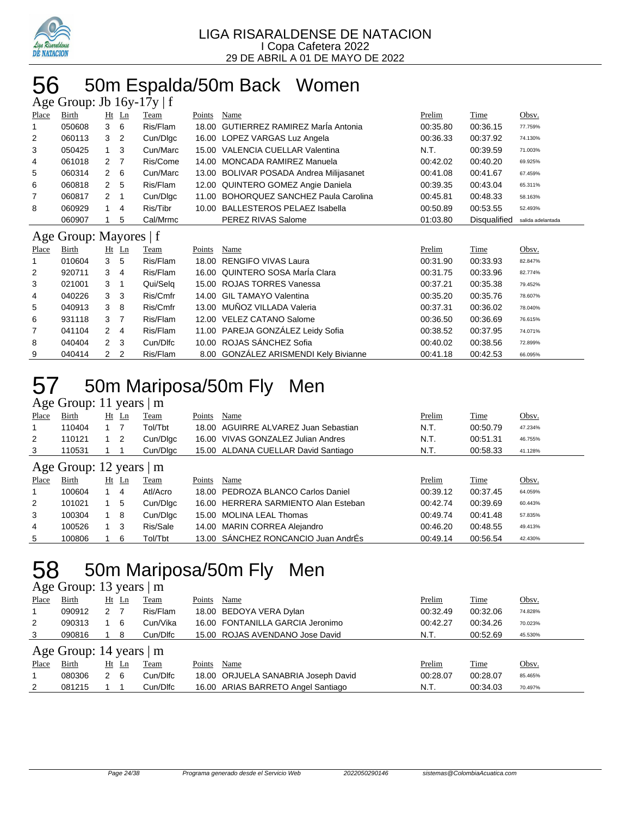

## 50m Espalda/50m Back Women

| Age Group: Jb $16y-17y \mid f$ |                        |                |         |          |        |                                          |          |              |                   |  |  |  |  |
|--------------------------------|------------------------|----------------|---------|----------|--------|------------------------------------------|----------|--------------|-------------------|--|--|--|--|
| Place                          | Birth                  |                | $Ht$ Ln | Team     | Points | Name                                     | Prelim   | Time         | Obsv.             |  |  |  |  |
| 1                              | 050608                 | 3              | 6       | Ris/Flam | 18.00  | <b>GUTIERREZ RAMIREZ Maria Antonia</b>   | 00:35.80 | 00:36.15     | 77.759%           |  |  |  |  |
| 2                              | 060113                 | 3              | 2       | Cun/Digc |        | 16.00 LOPEZ VARGAS Luz Angela            | 00:36.33 | 00:37.92     | 74.130%           |  |  |  |  |
| 3                              | 050425                 | $\overline{1}$ | 3       | Cun/Marc | 15.00  | <b>VALENCIA CUELLAR Valentina</b>        | N.T.     | 00:39.59     | 71.003%           |  |  |  |  |
| 4                              | 061018                 | 2              | 7       | Ris/Come | 14.00  | <b>MONCADA RAMIREZ Manuela</b>           | 00:42.02 | 00:40.20     | 69.925%           |  |  |  |  |
| 5                              | 060314                 | 2              | 6       | Cun/Marc | 13.00  | <b>BOLIVAR POSADA Andrea Milijasanet</b> | 00:41.08 | 00:41.67     | 67.459%           |  |  |  |  |
| 6                              | 060818                 | $\overline{2}$ | 5       | Ris/Flam |        | 12.00 QUINTERO GOMEZ Angie Daniela       | 00:39.35 | 00:43.04     | 65.311%           |  |  |  |  |
| 7                              | 060817                 | $\overline{2}$ | 1       | Cun/Dlgc | 11.00  | BOHORQUEZ SANCHEZ Paula Carolina         | 00:45.81 | 00:48.33     | 58.163%           |  |  |  |  |
| 8                              | 060929                 | 1              | 4       | Ris/Tibr | 10.00  | <b>BALLESTEROS PELAEZ Isabella</b>       | 00:50.89 | 00:53.55     | 52.493%           |  |  |  |  |
|                                | 060907                 |                | 5       | Cal/Mrmc |        | PEREZ RIVAS Salome                       | 01:03.80 | Disqualified | salida adelantada |  |  |  |  |
|                                |                        |                |         |          |        |                                          |          |              |                   |  |  |  |  |
|                                | Age Group: Mayores   f |                |         |          |        |                                          |          |              |                   |  |  |  |  |
| Place                          | Birth                  |                | $Ht$ Ln | Team     | Points | Name                                     | Prelim   | Time         | Obsv.             |  |  |  |  |
| 1                              | 010604                 | 3              | 5       | Ris/Flam | 18.00  | <b>RENGIFO VIVAS Laura</b>               | 00:31.90 | 00:33.93     | 82.847%           |  |  |  |  |
| 2                              | 920711                 | 3              | 4       | Ris/Flam |        | 16.00 QUINTERO SOSA MarÍa Clara          | 00:31.75 | 00:33.96     | 82.774%           |  |  |  |  |
| 3                              | 021001                 | 3              | 1       | Qui/Selg |        | 15.00 ROJAS TORRES Vanessa               | 00:37.21 | 00:35.38     | 79.452%           |  |  |  |  |
| 4                              | 040226                 | 3              | 3       | Ris/Cmfr | 14.00  | <b>GIL TAMAYO Valentina</b>              | 00:35.20 | 00:35.76     | 78.607%           |  |  |  |  |
| 5                              | 040913                 | 3              | 8       | Ris/Cmfr | 13.00  | MUÑOZ VILLADA Valeria                    | 00:37.31 | 00:36.02     | 78.040%           |  |  |  |  |
| 6                              | 931118                 | 3              | 7       | Ris/Flam | 12.00  | <b>VELEZ CATANO Salome</b>               | 00:36.50 | 00:36.69     | 76.615%           |  |  |  |  |
| 7                              | 041104                 | $\overline{2}$ | 4       | Ris/Flam |        | 11.00 PAREJA GONZÁLEZ Leidy Sofia        | 00:38.52 | 00:37.95     | 74.071%           |  |  |  |  |
| 8                              | 040404                 | $\overline{2}$ | 3       | Cun/Dlfc |        | 10.00 ROJAS SÁNCHEZ Sofia                | 00:40.02 | 00:38.56     | 72.899%           |  |  |  |  |

## 50m Mariposa/50m Fly Men

### Age Group: 11 years | m

| ີ     |                               |    |         |          |        |                                      |          |             |         |
|-------|-------------------------------|----|---------|----------|--------|--------------------------------------|----------|-------------|---------|
| Place | Birth                         | Ht | Ln      | Team     | Points | Name                                 | Prelim   | <b>Time</b> | Obsv.   |
| 1     | 110404                        |    |         | Tol/Tbt  |        | 18.00 AGUIRRE ALVAREZ Juan Sebastian | N.T.     | 00:50.79    | 47.234% |
| 2     | 110121                        |    | 2       | Cun/Dlgc |        | 16.00 VIVAS GONZALEZ Julian Andres   | N.T.     | 00:51.31    | 46.755% |
| 3     | 110531                        |    |         | Cun/Dlgc |        | 15.00 ALDANA CUELLAR David Santiago  | N.T.     | 00:58.33    | 41.128% |
|       | Age Group: 12 years $\vert$ m |    |         |          |        |                                      |          |             |         |
| Place | Birth                         |    | $Ht$ Ln | Team     | Points | Name                                 | Prelim   | Time        | Obsv.   |
| 1     | 100604                        |    | 4       | Atl/Acro |        | 18.00 PEDROZA BLANCO Carlos Daniel   | 00:39.12 | 00:37.45    | 64.059% |
| 2     | 101021                        |    | 5       | Cun/Dlgc |        | 16.00 HERRERA SARMIENTO Alan Esteban | 00:42.74 | 00:39.69    | 60.443% |
| 3     | 100304                        |    | -8      | Cun/Dlgc |        | 15.00 MOLINA LEAL Thomas             | 00:49.74 | 00:41.48    | 57.835% |
| 4     | 100526                        |    | 3       | Ris/Sale |        | 14.00 MARIN CORREA Alejandro         | 00:46.20 | 00:48.55    | 49.413% |
| 5     | 100806                        |    | 6       | Tol/Tbt  |        | 13.00 SÁNCHEZ RONCANCIO Juan AndrÉs  | 00:49.14 | 00:56.54    | 42.430% |

## 58 50m Mariposa/50m Fly Men

#### Age Group: 13 years | m

| Place | <b>Birth</b>              | $Ht$ Ln |     | <b>Team</b> | Points | Name                                | Prelim   | <b>Time</b> | Obsv.   |  |  |  |  |
|-------|---------------------------|---------|-----|-------------|--------|-------------------------------------|----------|-------------|---------|--|--|--|--|
|       | 090912                    | 2       |     | Ris/Flam    |        | 18.00 BEDOYA VERA Dylan             | 00:32.49 | 00:32.06    | 74.828% |  |  |  |  |
| 2     | 090313                    |         | 6   | Cun/Vika    |        | 16.00 FONTANILLA GARCIA Jeronimo    | 00:42.27 | 00:34.26    | 70.023% |  |  |  |  |
| 3     | 090816                    |         | 8   | Cun/Dlfc    |        | 15.00 ROJAS AVENDANO Jose David     | N.T.     | 00:52.69    | 45.530% |  |  |  |  |
|       | Age Group: 14 years $ m $ |         |     |             |        |                                     |          |             |         |  |  |  |  |
| Place | Birth                     | Ht Ln   |     | Team        | Points | Name                                | Prelim   | Time        | Obsv.   |  |  |  |  |
|       | 080306                    | 2       | - 6 | Cun/Dlfc    |        | 18.00 ORJUELA SANABRIA Joseph David | 00:28.07 | 00:28.07    | 85.465% |  |  |  |  |
| 2     | 081215                    |         |     | Cun/Dlfc    |        | 16.00 ARIAS BARRETO Angel Santiago  | N.T.     | 00:34.03    | 70.497% |  |  |  |  |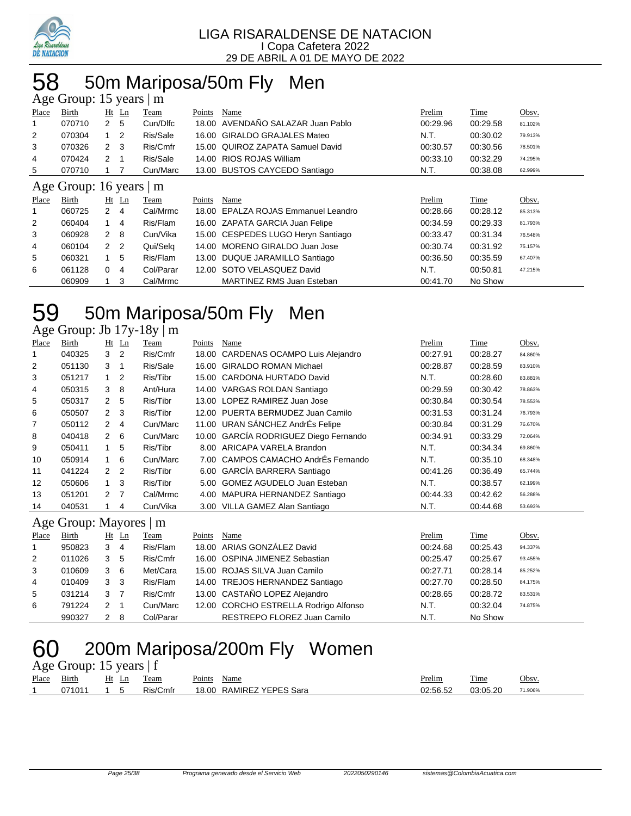

# 58 50m Mariposa/50m Fly Men

| Age Group: 15 years<br>m |                     |                |                |           |        |                                    |          |          |         |  |  |  |
|--------------------------|---------------------|----------------|----------------|-----------|--------|------------------------------------|----------|----------|---------|--|--|--|
| Place                    | Birth               |                | $Ht$ Ln        | Team      | Points | Name                               | Prelim   | Time     | Obsv.   |  |  |  |
| 1                        | 070710              | $\mathbf{2}$   | - 5            | Cun/Dlfc  | 18.00  | AVENDAÑO SALAZAR Juan Pablo        | 00:29.96 | 00:29.58 | 81.102% |  |  |  |
| 2                        | 070304              | $1\quad 2$     |                | Ris/Sale  | 16.00  | <b>GIRALDO GRAJALES Mateo</b>      | N.T.     | 00:30.02 | 79.913% |  |  |  |
| 3                        | 070326              | $\mathbf{2}$   | -3             | Ris/Cmfr  |        | 15.00 QUIROZ ZAPATA Samuel David   | 00:30.57 | 00:30.56 | 78.501% |  |  |  |
| 4                        | 070424              | $\overline{2}$ |                | Ris/Sale  | 14.00  | RIOS ROJAS William                 | 00:33.10 | 00:32.29 | 74.295% |  |  |  |
| 5                        | 070710              |                |                | Cun/Marc  |        | 13.00 BUSTOS CAYCEDO Santiago      | N.T.     | 00:38.08 | 62.999% |  |  |  |
|                          | Age Group: 16 years |                |                | m         |        |                                    |          |          |         |  |  |  |
| Place                    | Birth               |                | $Ht$ Ln        | Team      | Points | Name                               | Prelim   | Time     | Obsv.   |  |  |  |
| 1                        | 060725              | $\overline{2}$ | 4              | Cal/Mrmc  | 18.00  | EPALZA ROJAS Emmanuel Leandro      | 00:28.66 | 00:28.12 | 85.313% |  |  |  |
| 2                        | 060404              | 1              | $\overline{4}$ | Ris/Flam  |        | 16.00 ZAPATA GARCIA Juan Felipe    | 00:34.59 | 00:29.33 | 81.793% |  |  |  |
| 3                        | 060928              | $\overline{2}$ | -8             | Cun/Vika  |        | 15.00 CESPEDES LUGO Heryn Santiago | 00:33.47 | 00:31.34 | 76.548% |  |  |  |
| 4                        | 060104              | $\mathcal{P}$  | $\overline{2}$ | Qui/Selg  | 14.00  | MORENO GIRALDO Juan Jose           | 00:30.74 | 00:31.92 | 75.157% |  |  |  |
| 5                        | 060321              |                | 5              | Ris/Flam  |        | 13.00 DUQUE JARAMILLO Santiago     | 00:36.50 | 00:35.59 | 67.407% |  |  |  |
| 6                        | 061128              | 0              | 4              | Col/Parar |        | 12.00 SOTO VELASQUEZ David         | N.T.     | 00:50.81 | 47.215% |  |  |  |
|                          | 060909              |                | 3              | Cal/Mrmc  |        | <b>MARTINEZ RMS Juan Esteban</b>   | 00:41.70 | No Show  |         |  |  |  |

# 50m Mariposa/50m Fly Men

Age Group: Jb 17y-18y | m

| Place | Birth              |                | $Ht$ Ln        | Team     | Points | Name                                  | Prelim   | Time     | Obsv.   |
|-------|--------------------|----------------|----------------|----------|--------|---------------------------------------|----------|----------|---------|
|       | 040325             | 3              | $\overline{2}$ | Ris/Cmfr |        | 18.00 CARDENAS OCAMPO Luis Alejandro  | 00:27.91 | 00:28.27 | 84.860% |
| 2     | 051130             | 3              | -1             | Ris/Sale |        | 16.00 GIRALDO ROMAN Michael           | 00:28.87 | 00:28.59 | 83.910% |
| 3     | 051217             | 1.             | 2              | Ris/Tibr |        | 15.00 CARDONA HURTADO David           | N.T.     | 00:28.60 | 83.881% |
| 4     | 050315             | 3              | 8              | Ant/Hura |        | 14.00 VARGAS ROLDAN Santiago          | 00:29.59 | 00:30.42 | 78.863% |
| 5     | 050317             | $\mathbf{2}$   | 5              | Ris/Tibr |        | 13.00 LOPEZ RAMIREZ Juan Jose         | 00:30.84 | 00:30.54 | 78.553% |
| 6     | 050507             | $2 \quad 3$    |                | Ris/Tibr |        | 12.00 PUERTA BERMUDEZ Juan Camilo     | 00:31.53 | 00:31.24 | 76.793% |
| 7     | 050112             | $\overline{2}$ | 4              | Cun/Marc |        | 11.00 URAN SÁNCHEZ AndrÉs Felipe      | 00:30.84 | 00:31.29 | 76.670% |
| 8     | 040418             | $2\quad 6$     |                | Cun/Marc |        | 10.00 GARCÍA RODRIGUEZ Diego Fernando | 00:34.91 | 00:33.29 | 72.064% |
| 9     | 050411             |                | 5              | Ris/Tibr |        | 8.00 ARICAPA VARELA Brandon           | N.T.     | 00:34.34 | 69.860% |
| 10    | 050914             |                | 6              | Cun/Marc |        | 7.00 CAMPOS CAMACHO AndrEs Fernando   | N.T.     | 00:35.10 | 68.348% |
| 11    | 041224             | 2 <sub>2</sub> |                | Ris/Tibr |        | 6.00 GARCÍA BARRERA Santiago          | 00:41.26 | 00:36.49 | 65.744% |
| 12    | 050606             | $1 \quad 3$    |                | Ris/Tibr |        | 5.00 GOMEZ AGUDELO Juan Esteban       | N.T.     | 00:38.57 | 62.199% |
| 13    | 051201             | 2 <sub>7</sub> |                | Cal/Mrmc |        | 4.00 MAPURA HERNANDEZ Santiago        | 00:44.33 | 00:42.62 | 56.288% |
| 14    | 040531             |                | 4              | Cun/Vika |        | 3.00 VILLA GAMEZ Alan Santiago        | N.T.     | 00:44.68 | 53.693% |
|       | Age Group: Mayores |                |                | m        |        |                                       |          |          |         |

#### Age Group: Mayores | m

| Place        | Birth  |   | $Ht$ Ln | Team      | Points | Name                                  | Prelim   | Time     | Obsv.   |
|--------------|--------|---|---------|-----------|--------|---------------------------------------|----------|----------|---------|
| $\mathbf{1}$ | 950823 | 3 | 4       | Ris/Flam  |        | 18.00 ARIAS GONZÁLEZ David            | 00:24.68 | 00:25.43 | 94.337% |
| 2            | 011026 | 3 | 5       | Ris/Cmfr  |        | 16.00 OSPINA JIMENEZ Sebastian        | 00:25.47 | 00:25.67 | 93.455% |
| 3            | 010609 | 3 | -6      | Met/Cara  |        | 15.00 ROJAS SILVA Juan Camilo         | 00:27.71 | 00:28.14 | 85.252% |
| 4            | 010409 | 3 | 3       | Ris/Flam  |        | 14.00 TREJOS HERNANDEZ Santiago       | 00:27.70 | 00:28.50 | 84.175% |
| 5            | 031214 | 3 |         | Ris/Cmfr  |        | 13.00 CASTAÑO LOPEZ Alejandro         | 00:28.65 | 00:28.72 | 83.531% |
| 6            | 791224 | 2 |         | Cun/Marc  |        | 12.00 CORCHO ESTRELLA Rodrigo Alfonso | N.T.     | 00:32.04 | 74.875% |
|              | 990327 |   | 8       | Col/Parar |        | RESTREPO FLOREZ Juan Camilo           | N.T.     | No Show  |         |

# 60 200m Mariposa/200m Fly Women

|       | Age Group: 15 years $ f $ |       |          |                          |               |          |         |  |  |  |  |  |  |
|-------|---------------------------|-------|----------|--------------------------|---------------|----------|---------|--|--|--|--|--|--|
| Place | Birth                     | Ht Ln | Team     | Points Name              | <u>Prelim</u> | Time     | Obsv.   |  |  |  |  |  |  |
|       | 071011                    | 1 5   | Ris/Cmfr | 18.00 RAMIREZ YEPES Sara | 02:56.52      | 03:05.20 | 71.906% |  |  |  |  |  |  |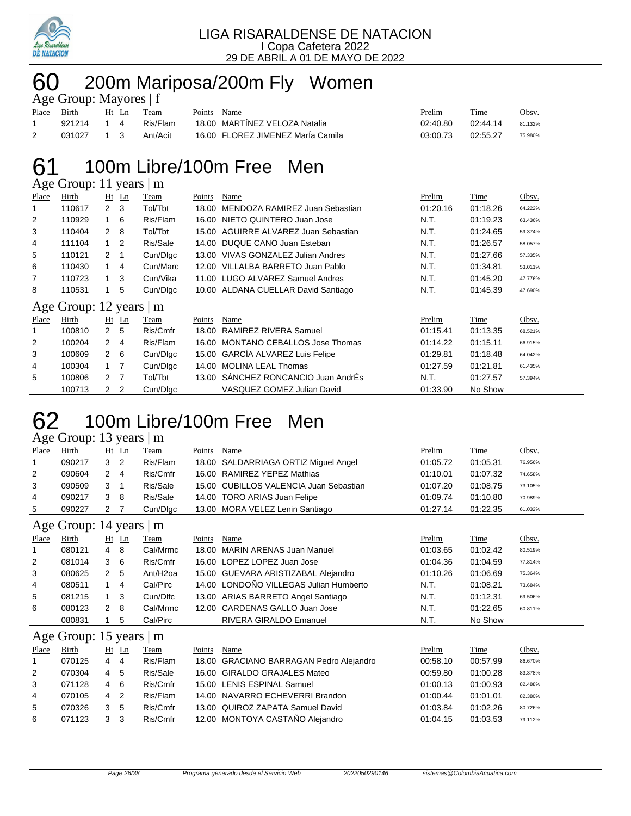

### 200m Mariposa/200m Fly Women Age Group: Mayores | f

|       | $\Delta \xi$ COLOUP. MayorCs   1 |     |       |          |        |                                   |          |          |         |  |  |  |
|-------|----------------------------------|-----|-------|----------|--------|-----------------------------------|----------|----------|---------|--|--|--|
| Place | Birth                            |     | Ht Ln | Team     | Points | Name                              | Prelim   | Time     | Obsv.   |  |  |  |
|       | 921214                           | 14  |       | Ris/Flam |        | 18.00 MARTINEZ VELOZA Natalia     | 02:40.80 | 02:44.14 | 81.132% |  |  |  |
| 2     | 031027                           | 1 3 |       | Ant/Acit |        | 16.00 FLOREZ JIMENEZ Marla Camila | 03:00.73 | 02:55.27 | 75.980% |  |  |  |

## 100m Libre/100m Free Men

Age Group: 11 years | m Place Birth Ht Ln Team Points Name Prelim Time Obsv. 110617 2 3 Tol/Tbt 18.00 MENDOZA RAMIREZ Juan Sebastian 01:20.16 01:18.26 64.222% 110929 1 6 Ris/Flam 16.00 NIETO QUINTERO Juan Jose N.T. 01:19.23 63.436% 110404 2 8 Tol/Tbt 15.00 AGUIRRE ALVAREZ Juan Sebastian N.T. 01:24.65 59.374% 111104 1 2 Ris/Sale 14.00 DUQUE CANO Juan Esteban N.T. 01:26.57 58.057% 5 110121 2 1 Cun/Digc 13.00 VIVAS GONZALEZ Julian Andres N.T. 01:27.66 57.335% 110430 1 4 Cun/Marc 12.00 VILLALBA BARRETO Juan Pablo N.T. 01:34.81 53.011% 7 110723 1 3 Cun/Vika 11.00 LUGO ALVAREZ Samuel Andres N.T. 01:45.20 47.776% 8 110531 1 5 Cun/Dlgc 10.00 ALDANA CUELLAR David Santiago N.T. 01:45.39 47.690% Age Group:  $12 \text{ years} \mid m$ <br>Place Birth Ht Ln Team Place Birth Ht Ln Team Points Name Prelim Time Obsv.

|    | 100810 | 2 5 | Ris/Cmfr | 18.00 RAMIREZ RIVERA Samuel         | 01:15.41 | 01:13.35 | 68.521% |
|----|--------|-----|----------|-------------------------------------|----------|----------|---------|
| 2  | 100204 | 2 4 | Ris/Flam | 16.00 MONTANO CEBALLOS Jose Thomas  | 01:14.22 | 01:15.11 | 66.915% |
| 3  | 100609 | 2 6 | Cun/Dlgc | 15.00 GARCÍA ALVAREZ Luis Felipe    | 01:29.81 | 01:18.48 | 64.042% |
| 4  | 100304 | 1 7 | Cun/Dlgc | 14.00 MOLINA LEAL Thomas            | 01:27.59 | 01:21.81 | 61.435% |
| -5 | 100806 | 2 7 | Tol/Tbt  | 13.00 SÁNCHEZ RONCANCIO Juan AndrÉs | N.T.     | 01:27.57 | 57.394% |
|    | 100713 | 2 2 | Cun/Dlgc | VASQUEZ GOMEZ Julian David          | 01:33.90 | No Show  |         |

## 100m Libre/100m Free Men

Age Group: 13 years | m

| Place          | Birth  | Ht Ln         |                | Team     | Points | Name                                   | Prelim   | Time     | Obsv.   |
|----------------|--------|---------------|----------------|----------|--------|----------------------------------------|----------|----------|---------|
|                | 090217 | 3             | $\overline{2}$ | Ris/Flam |        | 18.00 SALDARRIAGA ORTIZ Miguel Angel   | 01:05.72 | 01:05.31 | 76.956% |
| $\overline{2}$ | 090604 | $\mathcal{P}$ | 4              | Ris/Cmfr |        | 16.00 RAMIREZ YEPEZ Mathias            | 01:10.01 | 01:07.32 | 74.658% |
| 3              | 090509 | 3             |                | Ris/Sale |        | 15.00 CUBILLOS VALENCIA Juan Sebastian | 01:07.20 | 01:08.75 | 73.105% |
| 4              | 090217 | 3             | -8             | Ris/Sale |        | 14.00 TORO ARIAS Juan Felipe           | 01:09.74 | 01:10.80 | 70.989% |
| 5              | 090227 | 2             |                | Cun/Dlgc |        | 13.00 MORA VELEZ Lenin Santiago        | 01:27.14 | 01:22.35 | 61.032% |
|                |        |               |                |          |        |                                        |          |          |         |

Age Group: 14 years | m

| Place | Birth  |   | $Ht$ Ln     | Team                 | Points | Name                                   | Prelim   | Time     | Obsv.   |
|-------|--------|---|-------------|----------------------|--------|----------------------------------------|----------|----------|---------|
|       | 080121 | 4 | -8          | Cal/Mrmc             |        | 18.00 MARIN ARENAS Juan Manuel         | 01:03.65 | 01:02.42 | 80.519% |
| 2     | 081014 | 3 | -6          | Ris/Cmfr             |        | 16.00 LOPEZ LOPEZ Juan Jose            | 01:04.36 | 01:04.59 | 77.814% |
| 3     | 080625 | 2 | -5          | Ant/H <sub>20a</sub> |        | 15.00 GUEVARA ARISTIZABAL Alejandro    | 01:10.26 | 01:06.69 | 75.364% |
| 4     | 080511 |   | 4           | Cal/Pirc             |        | 14.00 LONDOÑO VILLEGAS Julian Humberto | N.T.     | 01:08.21 | 73.684% |
| 5     | 081215 |   | 3           | Cun/Dlfc             |        | 13.00 ARIAS BARRETO Angel Santiago     | N.T.     | 01:12.31 | 69.506% |
| 6     | 080123 | 2 | 8           | Cal/Mrmc             |        | 12.00 CARDENAS GALLO Juan Jose         | N.T.     | 01:22.65 | 60.811% |
|       | 080831 |   | $5^{\circ}$ | Cal/Pirc             |        | <b>RIVERA GIRALDO Emanuel</b>          | N.T.     | No Show  |         |

### Age Group: 15 years | m

| Place          | Birth  |   | Ht Ln | Team     | Points | Name                                    | Prelim   | Time     | Obsv.   |
|----------------|--------|---|-------|----------|--------|-----------------------------------------|----------|----------|---------|
|                | 070125 | 4 | 4     | Ris/Flam |        | 18.00 GRACIANO BARRAGAN Pedro Alejandro | 00:58.10 | 00:57.99 | 86.670% |
| 2              | 070304 | 4 | 5     | Ris/Sale |        | 16.00 GIRALDO GRAJALES Mateo            | 00:59.80 | 01:00.28 | 83.378% |
| 3              | 071128 | 4 | -6    | Ris/Cmfr |        | 15.00 LENIS ESPINAL Samuel              | 01:00.13 | 01:00.93 | 82.488% |
| $\overline{4}$ | 070105 | 4 |       | Ris/Flam |        | 14.00 NAVARRO ECHEVERRI Brandon         | 01:00.44 | 01:01.01 | 82.380% |
| -5             | 070326 |   | 5     | Ris/Cmfr |        | 13.00 QUIROZ ZAPATA Samuel David        | 01:03.84 | 01:02.26 | 80.726% |
| 6              | 071123 |   | 3     | Ris/Cmfr |        | 12.00 MONTOYA CASTAÑO Alejandro         | 01:04.15 | 01:03.53 | 79.112% |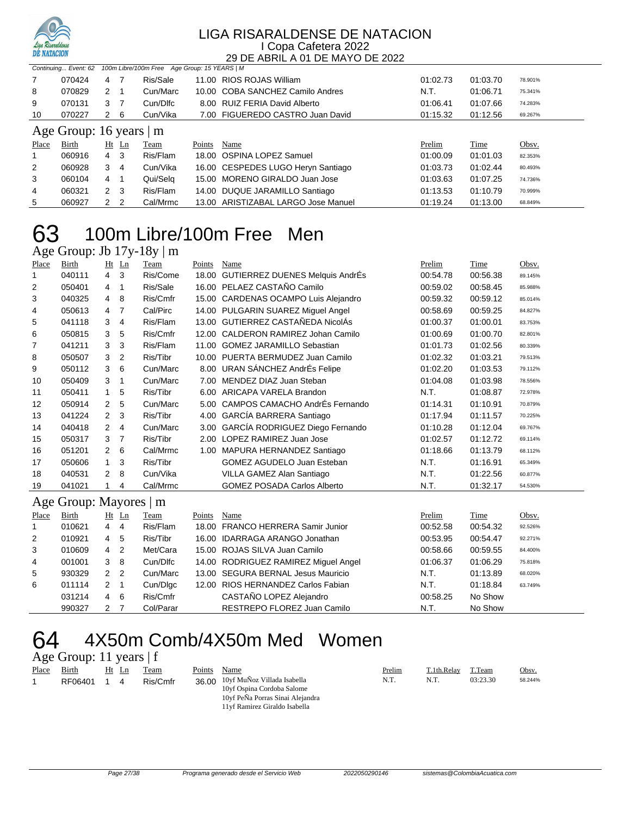

|                               | 100m Libre/100m Free Age Group: 15 YEARS   M<br>Continuing Event: 62 |              |         |          |        |                                    |          |             |         |  |
|-------------------------------|----------------------------------------------------------------------|--------------|---------|----------|--------|------------------------------------|----------|-------------|---------|--|
| 7                             | 070424                                                               | 4            | -7      | Ris/Sale |        | 11.00 RIOS ROJAS William           | 01:02.73 | 01:03.70    | 78.901% |  |
| 8                             | 070829                                                               | $2 \quad 1$  |         | Cun/Marc |        | 10.00 COBA SANCHEZ Camilo Andres   | N.T.     | 01:06.71    | 75.341% |  |
| 9                             | 070131                                                               | 3            | -7      | Cun/Dlfc |        | 8.00 RUIZ FERIA David Alberto      | 01:06.41 | 01:07.66    | 74.283% |  |
| 10                            | 070227                                                               | $\mathbf{2}$ | - 6     | Cun/Vika |        | 7.00 FIGUEREDO CASTRO Juan David   | 01:15.32 | 01:12.56    | 69.267% |  |
| Age Group: 16 years $\vert$ m |                                                                      |              |         |          |        |                                    |          |             |         |  |
|                               |                                                                      |              |         |          |        |                                    |          |             |         |  |
| Place                         | Birth                                                                |              | $Ht$ Ln | Team     | Points | Name                               | Prelim   | <b>Time</b> | Obsv.   |  |
|                               | 060916                                                               | $4 \quad 3$  |         | Ris/Flam |        | 18.00 OSPINA LOPEZ Samuel          | 01:00.09 | 01:01.03    | 82.353% |  |
| 2                             | 060928                                                               | 3            | 4       | Cun/Vika |        | 16.00 CESPEDES LUGO Heryn Santiago | 01:03.73 | 01:02.44    | 80.493% |  |
| 3                             | 060104                                                               | 4            |         | Qui/Selg |        | 15.00 MORENO GIRALDO Juan Jose     | 01:03.63 | 01:07.25    | 74.736% |  |
| 4                             | 060321                                                               | 2            | - 3     | Ris/Flam |        | 14.00 DUQUE JARAMILLO Santiago     | 01:13.53 | 01:10.79    | 70.999% |  |

## 100m Libre/100m Free Men

Age Group: Jb 17y-18y | m

| Place          | Birth                     |                | $Ht$ Ln        | Team     | Points | Name                                   | Prelim   | <b>Time</b> | Obsv.   |  |
|----------------|---------------------------|----------------|----------------|----------|--------|----------------------------------------|----------|-------------|---------|--|
|                | 040111                    | 4              | 3              | Ris/Come | 18.00  | <b>GUTIERREZ DUENES Melquis AndrÉs</b> | 00:54.78 | 00:56.38    | 89.145% |  |
| 2              | 050401                    | 4              | $\mathbf 1$    | Ris/Sale |        | 16.00 PELAEZ CASTAÑO Camilo            | 00:59.02 | 00:58.45    | 85.988% |  |
| 3              | 040325                    | 4              | 8              | Ris/Cmfr |        | 15.00 CARDENAS OCAMPO Luis Alejandro   | 00:59.32 | 00:59.12    | 85.014% |  |
| 4              | 050613                    | 4              | 7              | Cal/Pirc |        | 14.00 PULGARIN SUAREZ Miguel Angel     | 00:58.69 | 00:59.25    | 84.827% |  |
| 5              | 041118                    | 3              | $\overline{4}$ | Ris/Flam |        | 13.00 GUTIERREZ CASTAÑEDA NicolÁs      | 01:00.37 | 01:00.01    | 83.753% |  |
| 6              | 050815                    | 3              | 5              | Ris/Cmfr | 12.00  | CALDERON RAMIREZ Johan Camilo          | 01:00.69 | 01:00.70    | 82.801% |  |
| $\overline{7}$ | 041211                    | 3              | 3              | Ris/Flam | 11.00  | <b>GOMEZ JARAMILLO Sebastian</b>       | 01:01.73 | 01:02.56    | 80.339% |  |
| 8              | 050507                    | 3              | 2              | Ris/Tibr |        | 10.00 PUERTA BERMUDEZ Juan Camilo      | 01:02.32 | 01:03.21    | 79.513% |  |
| 9              | 050112                    | 3              | 6              | Cun/Marc |        | 8.00 URAN SÁNCHEZ AndrÉs Felipe        | 01:02.20 | 01:03.53    | 79.112% |  |
| 10             | 050409                    | 3              | 1              | Cun/Marc | 7.00   | MENDEZ DIAZ Juan Steban                | 01:04.08 | 01:03.98    | 78.556% |  |
| 11             | 050411                    | 1              | 5              | Ris/Tibr | 6.00   | ARICAPA VARELA Brandon                 | N.T.     | 01:08.87    | 72.978% |  |
| 12             | 050914                    | $\overline{2}$ | 5              | Cun/Marc | 5.00   | CAMPOS CAMACHO AndrÉs Fernando         | 01:14.31 | 01:10.91    | 70.879% |  |
| 13             | 041224                    | $\overline{2}$ | 3              | Ris/Tibr |        | 4.00 GARCÍA BARRERA Santiago           | 01:17.94 | 01:11.57    | 70.225% |  |
| 14             | 040418                    | $\overline{2}$ | $\overline{4}$ | Cun/Marc | 3.00   | GARCÍA RODRIGUEZ Diego Fernando        | 01:10.28 | 01:12.04    | 69.767% |  |
| 15             | 050317                    | 3              | 7              | Ris/Tibr | 2.00   | LOPEZ RAMIREZ Juan Jose                | 01:02.57 | 01:12.72    | 69.114% |  |
| 16             | 051201                    | 2              | 6              | Cal/Mrmc | 1.00   | MAPURA HERNANDEZ Santiago              | 01:18.66 | 01:13.79    | 68.112% |  |
| 17             | 050606                    | $\mathbf{1}$   | 3              | Ris/Tibr |        | <b>GOMEZ AGUDELO Juan Esteban</b>      | N.T.     | 01:16.91    | 65.349% |  |
| 18             | 040531                    | $\overline{2}$ | 8              | Cun/Vika |        | VILLA GAMEZ Alan Santiago              | N.T.     | 01:22.56    | 60.877% |  |
| 19             | 041021                    |                | 4              | Cal/Mrmc |        | <b>GOMEZ POSADA Carlos Alberto</b>     | N.T.     | 01:32.17    | 54.530% |  |
|                | Age Group: Mayores  <br>m |                |                |          |        |                                        |          |             |         |  |
| Place          | Birth                     |                | $Ht$ Ln        | Team     | Points | Name                                   | Prelim   | Time        | Obsv.   |  |
|                | 010621                    | 4              | 4              | Ris/Flam | 18.00  | <b>FRANCO HERRERA Samir Junior</b>     | 00:52.58 | 00:54.32    | 92.526% |  |

|                | 010621 | 4 | -4             | Ris/Flam  | 18.00 FRANCO HERRERA Samir Junior    | 00:52.58 | 00:54.32 | 92.526% |
|----------------|--------|---|----------------|-----------|--------------------------------------|----------|----------|---------|
| 2              | 010921 | 4 | -5             | Ris/Tibr  | 16.00 IDARRAGA ARANGO Jonathan       | 00:53.95 | 00:54.47 | 92.271% |
| 3              | 010609 | 4 | -2             | Met/Cara  | 15.00 ROJAS SILVA Juan Camilo        | 00:58.66 | 00:59.55 | 84.400% |
| $\overline{4}$ | 001001 | 3 | - 8            | Cun/Dlfc  | 14.00 RODRIGUEZ RAMIREZ Miguel Angel | 01:06.37 | 01:06.29 | 75.818% |
| 5              | 930329 | 2 | $\overline{2}$ | Cun/Marc  | 13.00 SEGURA BERNAL Jesus Mauricio   | N.T.     | 01:13.89 | 68.020% |
| 6              | 011114 | 2 |                | Cun/Dlgc  | 12.00 RIOS HERNANDEZ Carlos Fabian   | N.T.     | 01:18.84 | 63.749% |
|                | 031214 | 4 | - 6            | Ris/Cmfr  | CASTAÑO LOPEZ Alejandro              | 00:58.25 | No Show  |         |
|                | 990327 | 2 |                | Col/Parar | RESTREPO FLOREZ Juan Camilo          | N.T.     | No Show  |         |

# 4X50m Comb/4X50m Med Women

| Age Group: 11 years   f |  |  |  |
|-------------------------|--|--|--|
|-------------------------|--|--|--|

| Place | Bırth   | Ht | eam      | Points | Name                        | Prelim | $T$ 1th Relay | T.Team   | Obsv.   |
|-------|---------|----|----------|--------|-----------------------------|--------|---------------|----------|---------|
|       | RF06401 |    | Ris/Cmfr | 36.00  | 10vf MuÑoz Villada Isabella | 14. L  | N.I.          | 03.23.30 | 58.244% |
|       |         |    |          |        | 10vf Osnina Cordoba Salome  |        |               |          |         |

| .                                |
|----------------------------------|
| 10yf MuÑoz Villada Isabella      |
| 10yf Ospina Cordoba Salome       |
| 10yf PeÑa Porras Sinai Alejandra |
| 11yf Ramirez Giraldo Isabella    |
|                                  |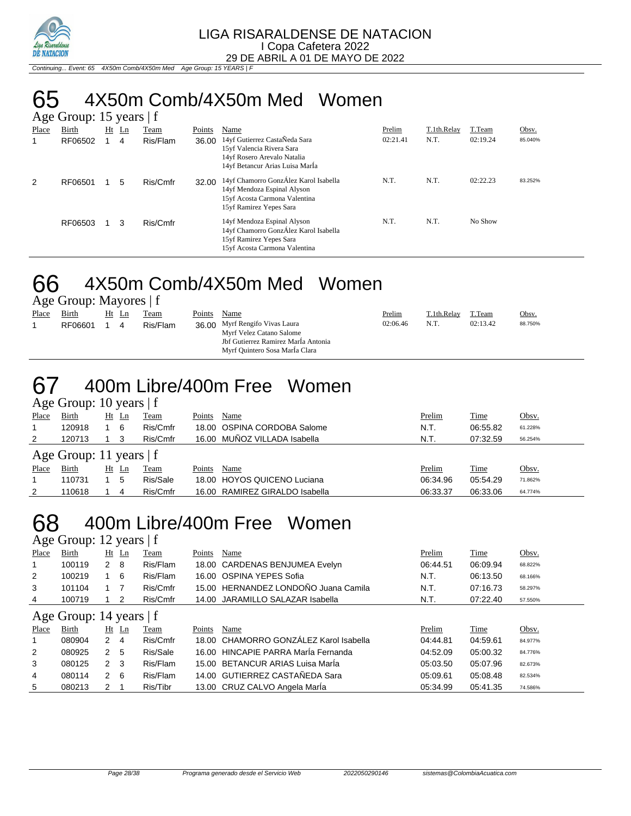

Continuing... Event: 65 4X50m Comb/4X50m Med Age Group: 15 YEARS | F

# 65 4X50m Comb/4X50m Med Women

|       | Age Group: 15 years $ f $ |    |    |          |        |                                                                                                                                  |          |             |          |         |  |  |  |
|-------|---------------------------|----|----|----------|--------|----------------------------------------------------------------------------------------------------------------------------------|----------|-------------|----------|---------|--|--|--|
| Place | Birth                     | Ht | Ln | Team     | Points | Name                                                                                                                             | Prelim   | T.1th.Relay | T.Team   | Obsv.   |  |  |  |
| 1     | RF06502                   |    | 4  | Ris/Flam | 36.00  | 14yf Gutierrez CastaÑeda Sara<br>15yf Valencia Rivera Sara<br>14yf Rosero Arevalo Natalia<br>14yf Betancur Arias Luisa MarÍa     | 02:21.41 | N.T.        | 02:19.24 | 85.040% |  |  |  |
| 2     | RF06501                   |    | 5  | Ris/Cmfr | 32.00  | 14yf Chamorro GonzÁlez Karol Isabella<br>14yf Mendoza Espinal Alyson<br>15yf Acosta Carmona Valentina<br>15yf Ramirez Yepes Sara | N.T.     | N.T.        | 02:22.23 | 83.252% |  |  |  |
|       | RF06503                   |    | 3  | Ris/Cmfr |        | 14yf Mendoza Espinal Alyson<br>14yf Chamorro GonzÁlez Karol Isabella<br>15yf Ramirez Yepes Sara<br>15yf Acosta Carmona Valentina | N.T.     | N.T.        | No Show  |         |  |  |  |

## 66 4X50m Comb/4X50m Med Women

Age Group: Mayores | f

| Place | Birth   | Ht Ln |   | Team     | Points | Name                                                                                                                                | <b>Prelim</b> | T.1th.Relay | T.Team   | Obsv.   |
|-------|---------|-------|---|----------|--------|-------------------------------------------------------------------------------------------------------------------------------------|---------------|-------------|----------|---------|
|       | RF06601 |       | 4 | Ris/Flam |        | 36.00 Myrf Rengifo Vivas Laura<br>Myrf Velez Catano Salome<br>Jbf Gutierrez Ramirez Marla Antonia<br>Myrf Quintero Sosa MarÍa Clara | 02:06.46      | N.T.        | 02:13.42 | 88.750% |

## 67 400m Libre/400m Free Women

|              | Age Group: 10 years $ f $ |    |    |          |        |                                |          |             |         |  |  |  |  |
|--------------|---------------------------|----|----|----------|--------|--------------------------------|----------|-------------|---------|--|--|--|--|
| Place        | <b>Birth</b>              | Ht | Ln | Team     | Points | Name                           | Prelim   | <b>Time</b> | Obsv.   |  |  |  |  |
|              | 120918                    |    | -6 | Ris/Cmfr |        | 18.00 OSPINA CORDOBA Salome    | N.T.     | 06:55.82    | 61.228% |  |  |  |  |
| 2            | 120713                    |    |    | Ris/Cmfr |        | 16.00 MUÑOZ VILLADA Isabella   | N.T.     | 07:32.59    | 56.254% |  |  |  |  |
|              | Age Group: 11 years $ f $ |    |    |          |        |                                |          |             |         |  |  |  |  |
| <b>Place</b> | Birth                     | Ht | Ln | Team     | Points | Name                           | Prelim   | <b>Time</b> | Obsv.   |  |  |  |  |
|              | 110731                    |    | 5  | Ris/Sale |        | 18.00 HOYOS QUICENO Luciana    | 06:34.96 | 05:54.29    | 71.862% |  |  |  |  |
| 2            | 10618                     |    | 4  | Ris/Cmfr |        | 16.00 RAMIREZ GIRALDO Isabella | 06:33.37 | 06:33.06    | 64.774% |  |  |  |  |

## 68 400m Libre/400m Free Women

Age Group:  $12$  years  $|f|$ <br>
<u>Place</u> Birth Ht Ln Tean Place Birth Ht Ln Team Points Name Prelim Prelim Time Obsv. 1 100119 2 8 Ris/Flam 18.00 CARDENAS BENJUMEA Evelyn 06:44.51 06:09.94 68.822% 2 100219 1 6 Ris/Flam 16.00 OSPINA YEPES Sofia N.T. 06:13.50 68.166% 3 101104 1 7 Ris/Cmfr 15.00 HERNANDEZ LONDOÑO Juana Camila N.T. 07:16.73 58.297% 4 100719 1 2 Ris/Cmfr 14.00 JARAMILLO SALAZAR Isabella N.T. 07:22.40 57.550% Age Group: 14 years | f <u>Place Birth Ht Ln Team Points Name</u> Point Prelim T<u>ime</u> Obsv. 1 080904 2 4 Ris/Cmfr 18.00 CHAMORRO GONZÁLEZ Karol Isabella 04:44.81 04:59.61 84.977% 2 080925 2 5 Ris/Sale 16.00 HINCAPIE PARRA MarÍa Fernanda 04:52.09 05:00.32 84.776% 3 080125 2 3 Ris/Flam 15.00 BETANCUR ARIAS Luisa MarÍa 05:03.50 05:07.96 82.673% 4 080114 2 6 Ris/Flam 14.00 GUTIERREZ CASTAÑEDA Sara 05:09.61 05:08.48 82.534%

5 080213 2 1 Ris/Tibr 13.00 CRUZ CALVO Angela MarÍa 05:34.99 05:41.35 74.586%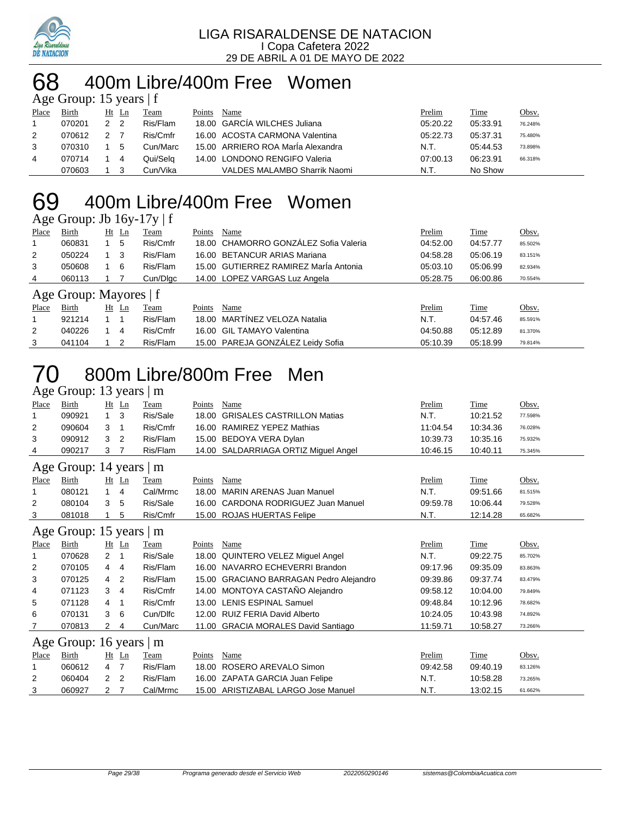

#### 400m Libre/400m Free Women years | f

|       | $\Delta \ge 0$ Oroup. To year $\Delta$   T |               |                |          |        |                                   |          |          |         |  |  |  |
|-------|--------------------------------------------|---------------|----------------|----------|--------|-----------------------------------|----------|----------|---------|--|--|--|
| Place | Birth                                      | Ht Ln         |                | Team     | Points | Name                              | Prelim   | Time     | Obsv.   |  |  |  |
|       | 070201                                     | $\mathcal{P}$ | $\overline{2}$ | Ris/Flam |        | 18.00 GARCIA WILCHES Juliana      | 05:20.22 | 05:33.91 | 76.248% |  |  |  |
| 2     | 070612                                     |               |                | Ris/Cmfr |        | 16.00 ACOSTA CARMONA Valentina    | 05:22.73 | 05:37.31 | 75.480% |  |  |  |
| 3     | 070310                                     |               | 5              | Cun/Marc |        | 15.00 ARRIERO ROA María Alexandra | N.T.     | 05:44.53 | 73.898% |  |  |  |
| 4     | 070714                                     |               | 4              | Qui/Sela |        | 14.00 LONDONO RENGIFO Valeria     | 07:00.13 | 06:23.91 | 66.318% |  |  |  |
|       | 070603                                     |               |                | Cun/Vika |        | VALDES MALAMBO Sharrik Naomi      | N.T.     | No Show  |         |  |  |  |

# 400m Libre/400m Free Women

|             | Age Group: Jb $16y-17y \mid f$ |             |    |          |        |                                       |          |          |         |  |  |  |
|-------------|--------------------------------|-------------|----|----------|--------|---------------------------------------|----------|----------|---------|--|--|--|
| Place       | Birth                          | Ht          | Ln | Team     | Points | Name                                  | Prelim   | Time     | Obsv.   |  |  |  |
|             | 060831                         |             | 5  | Ris/Cmfr |        | 18.00 CHAMORRO GONZÁLEZ Sofia Valeria | 04:52.00 | 04:57.77 | 85.502% |  |  |  |
| 2           | 050224                         | 1 3         |    | Ris/Flam |        | 16.00 BETANCUR ARIAS Mariana          | 04:58.28 | 05:06.19 | 83.151% |  |  |  |
| 3           | 050608                         |             | 6  | Ris/Flam |        | 15.00 GUTIERREZ RAMIREZ Marla Antonia | 05:03.10 | 05:06.99 | 82.934% |  |  |  |
| 4           | 060113                         |             |    | Cun/Dlgc |        | 14.00 LOPEZ VARGAS Luz Angela         | 05:28.75 | 06:00.86 | 70.554% |  |  |  |
|             | Age Group: Mayores $ f $       |             |    |          |        |                                       |          |          |         |  |  |  |
| Place       | Birth                          | Ht          | Ln | Team     | Points | Name                                  | Prelim   | Time     | Obsv.   |  |  |  |
| $\mathbf 1$ | 921214                         | $1 \quad 1$ |    | Ris/Flam | 18.00  | MARTINEZ VELOZA Natalia               | N.T.     | 04:57.46 | 85.591% |  |  |  |
| 2           | 040226                         |             | 4  | Ris/Cmfr |        | 16.00 GIL TAMAYO Valentina            | 04:50.88 | 05:12.89 | 81.370% |  |  |  |

041104 1 2 Ris/Flam 15.00 PAREJA GONZÁLEZ Leidy Sofia 05:10.39 05:18.99 79.814%

### 800m Libre/800m Free Men Age Group: 13 years | m

|       | $\mathsf{u}_1 \mathsf{v}_2 \mathsf{u}_1 \mathsf{v}_2$ |                | $, \, \ldots$  |          |        |                                          |          |          |         |
|-------|-------------------------------------------------------|----------------|----------------|----------|--------|------------------------------------------|----------|----------|---------|
| Place | Birth                                                 |                | $Ht$ Ln        | Team     | Points | Name                                     | Prelim   | Time     | Obsv.   |
|       | 090921                                                | $\mathbf{1}$   | 3              | Ris/Sale | 18.00  | <b>GRISALES CASTRILLON Matias</b>        | N.T.     | 10:21.52 | 77.598% |
| 2     | 090604                                                | 3              | 1              | Ris/Cmfr | 16.00  | <b>RAMIREZ YEPEZ Mathias</b>             | 11:04.54 | 10:34.36 | 76.028% |
| 3     | 090912                                                | 3              | 2              | Ris/Flam |        | 15.00 BEDOYA VERA Dylan                  | 10:39.73 | 10:35.16 | 75.932% |
| 4     | 090217                                                | 3              | 7              | Ris/Flam |        | 14.00 SALDARRIAGA ORTIZ Miguel Angel     | 10:46.15 | 10:40.11 | 75.345% |
|       | Age Group: 14 years   m                               |                |                |          |        |                                          |          |          |         |
| Place | Birth                                                 |                | Ht Ln          | Team     | Points | Name                                     | Prelim   | Time     | Obsv.   |
|       | 080121                                                | $\mathbf{1}$   | 4              | Cal/Mrmc | 18.00  | <b>MARIN ARENAS Juan Manuel</b>          | N.T.     | 09:51.66 | 81.515% |
| 2     | 080104                                                | 3              | 5              | Ris/Sale | 16.00  | CARDONA RODRIGUEZ Juan Manuel            | 09:59.78 | 10:06.44 | 79.528% |
| 3     | 081018                                                |                | 5              | Ris/Cmfr |        | 15.00 ROJAS HUERTAS Felipe               | N.T.     | 12:14.28 | 65.682% |
|       | Age Group: 15 years                                   |                |                | $\mid$ m |        |                                          |          |          |         |
| Place | Birth                                                 |                | $Ht$ Ln        | Team     | Points | Name                                     | Prelim   | Time     | Obsv.   |
| 1     | 070628                                                | $\overline{2}$ | 1              | Ris/Sale | 18.00  | <b>QUINTERO VELEZ Miguel Angel</b>       | N.T.     | 09:22.75 | 85.702% |
| 2     | 070105                                                | 4              | 4              | Ris/Flam |        | 16.00 NAVARRO ECHEVERRI Brandon          | 09:17.96 | 09:35.09 | 83.863% |
| 3     | 070125                                                | 4              | 2              | Ris/Flam | 15.00  | <b>GRACIANO BARRAGAN Pedro Alejandro</b> | 09:39.86 | 09:37.74 | 83.479% |
| 4     | 071123                                                | 3              | 4              | Ris/Cmfr |        | 14.00 MONTOYA CASTAÑO Alejandro          | 09:58.12 | 10:04.00 | 79.849% |
| 5     | 071128                                                | 4              | 1              | Ris/Cmfr | 13.00  | <b>LENIS ESPINAL Samuel</b>              | 09:48.84 | 10:12.96 | 78.682% |
| 6     | 070131                                                | 3              | 6              | Cun/Dlfc | 12.00  | RUIZ FERIA David Alberto                 | 10:24.05 | 10:43.98 | 74.892% |
| 7     | 070813                                                | 2              | 4              | Cun/Marc | 11.00  | <b>GRACIA MORALES David Santiago</b>     | 11:59.71 | 10:58.27 | 73.266% |
|       | Age Group: 16 years                                   |                |                | m        |        |                                          |          |          |         |
| Place | Birth                                                 |                | $Ht$ Ln        | Team     | Points | Name                                     | Prelim   | Time     | Obsv.   |
|       | 060612                                                | 4              | $\overline{7}$ | Ris/Flam | 18.00  | ROSERO AREVALO Simon                     | 09:42.58 | 09:40.19 | 83.126% |
| 2     | 060404                                                | $\overline{2}$ | $\overline{2}$ | Ris/Flam | 16.00  | ZAPATA GARCIA Juan Felipe                | N.T.     | 10:58.28 | 73.265% |
| 3     | 060927                                                | 2              | 7              | Cal/Mrmc |        | 15.00 ARISTIZABAL LARGO Jose Manuel      | N.T.     | 13:02.15 | 61.662% |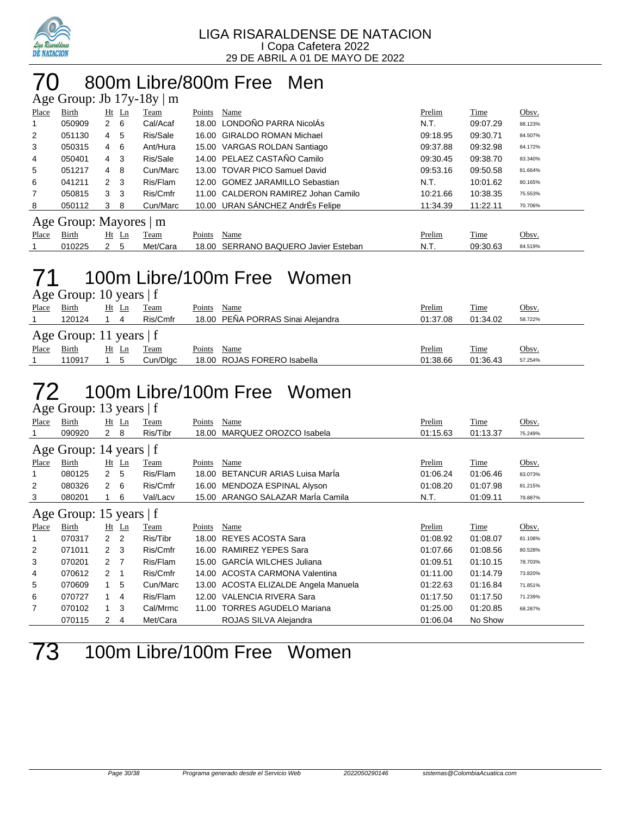

#### 70 800m Libre/800m Free Men  $H_2$  17<sub>-1</sub> 10-1.

|                | $H_{\rm SC}$ Oroup. JU 179-109   III |                |         |          |        |                                     |          |          |         |  |  |  |
|----------------|--------------------------------------|----------------|---------|----------|--------|-------------------------------------|----------|----------|---------|--|--|--|
| Place          | Birth                                |                | $Ht$ Ln | Team     | Points | Name                                | Prelim   | Time     | Obsv.   |  |  |  |
| 1              | 050909                               | 2              | - 6     | Cal/Acaf |        | 18.00 LONDOÑO PARRA NicolÁs         | N.T.     | 09:07.29 | 88.123% |  |  |  |
| $\overline{2}$ | 051130                               | 4              | -5      | Ris/Sale |        | 16.00 GIRALDO ROMAN Michael         | 09:18.95 | 09:30.71 | 84.507% |  |  |  |
| 3              | 050315                               | 4              | 6       | Ant/Hura |        | 15.00 VARGAS ROLDAN Santiago        | 09:37.88 | 09:32.98 | 84.172% |  |  |  |
| 4              | 050401                               | $4 \quad 3$    |         | Ris/Sale |        | 14.00 PELAEZ CASTAÑO Camilo         | 09:30.45 | 09:38.70 | 83.340% |  |  |  |
| 5              | 051217                               | $\overline{4}$ | - 8     | Cun/Marc |        | 13.00 TOVAR PICO Samuel David       | 09:53.16 | 09:50.58 | 81.664% |  |  |  |
| 6              | 041211                               | 2 <sub>3</sub> |         | Ris/Flam |        | 12.00 GOMEZ JARAMILLO Sebastian     | N.T.     | 10:01.62 | 80.165% |  |  |  |
| 7              | 050815                               | 3 <sub>3</sub> |         | Ris/Cmfr |        | 11.00 CALDERON RAMIREZ Johan Camilo | 10:21.66 | 10:38.35 | 75.553% |  |  |  |
| 8              | 050112                               | 3              | -8      | Cun/Marc |        | 10.00 URAN SÁNCHEZ AndrÉs Felipe    | 11:34.39 | 11:22.11 | 70.706% |  |  |  |
|                | Age Group: Mayores   m               |                |         |          |        |                                     |          |          |         |  |  |  |
| Place          | Birth                                | Ht             | Ln      | Team     | Points | Name                                | Prelim   | Time     | Obsv.   |  |  |  |
|                | 010225                               | $\mathbf{2}$   | 5       | Met/Cara | 18.00  | SERRANO BAQUERO Javier Esteban      | N.T.     | 09:30.63 | 84.519% |  |  |  |

# 71 100m Libre/100m Free Women

|       | Age Group: 10 years $ f $ |                      |          |        |                                   |               |             |         |  |  |  |  |
|-------|---------------------------|----------------------|----------|--------|-----------------------------------|---------------|-------------|---------|--|--|--|--|
| Place | <b>Birth</b>              | $Ht$ Ln              | Team     | Points | Name                              | <u>Prelim</u> | Time        | Obsv.   |  |  |  |  |
|       | 120124                    | 4                    | Ris/Cmfr |        | 18.00 PEÑA PORRAS Sinai Alejandra | 01:37.08      | 01:34.02    | 58.722% |  |  |  |  |
|       | Age Group: 11 years $ f $ |                      |          |        |                                   |               |             |         |  |  |  |  |
| Place | Birth                     | Ht<br>$\mathbf{L}$ n | Team     | Points | Name                              | Prelim        | <b>Time</b> | Obsv.   |  |  |  |  |
|       | 110917                    | $\mathbf{b}$         | Cun/Dlgc |        | 18.00 ROJAS FORERO Isabella       | 01:38.66      | 01:36.43    | 57.254% |  |  |  |  |

### 72 100m Libre/100m Free Women  $\overline{\Delta}$  oe Group: 13 years | f

|       | $T_{25}$ C OTOUP. To years   I |                      |                |          |        |                                      |          |             |         |  |  |  |
|-------|--------------------------------|----------------------|----------------|----------|--------|--------------------------------------|----------|-------------|---------|--|--|--|
| Place | Birth                          |                      | $Ht$ Ln        | Team     | Points | Name                                 | Prelim   | <b>Time</b> | Obsv.   |  |  |  |
|       | 090920                         | 2 8                  |                | Ris/Tibr | 18.00  | MARQUEZ OROZCO Isabela               | 01:15.63 | 01:13.37    | 75.249% |  |  |  |
|       | Age Group: 14 years   f        |                      |                |          |        |                                      |          |             |         |  |  |  |
| Place | Birth                          |                      | $Ht$ Ln        | Team     | Points | Name                                 | Prelim   | <u>Time</u> | Obsv.   |  |  |  |
|       | 080125                         | $\mathbf{2}$         | -5             | Ris/Flam | 18.00  | <b>BETANCUR ARIAS Luisa Maria</b>    | 01:06.24 | 01:06.46    | 83.073% |  |  |  |
| 2     | 080326                         | $\mathbf{2}^{\circ}$ | 6              | Ris/Cmfr | 16.00  | MENDOZA ESPINAL Alyson               | 01:08.20 | 01:07.98    | 81.215% |  |  |  |
| 3     | 080201                         |                      | 6              | Val/Lacv |        | 15.00 ARANGO SALAZAR Maria Camila    | N.T.     | 01:09.11    | 79.887% |  |  |  |
|       | Age Group: 15 years $ f $      |                      |                |          |        |                                      |          |             |         |  |  |  |
| Place | Birth                          |                      | $Ht$ Ln        | Team     | Points | Name                                 | Prelim   | <b>Time</b> | Obsv.   |  |  |  |
|       | 070317                         | 2                    | $\overline{2}$ | Ris/Tibr | 18.00  | <b>REYES ACOSTA Sara</b>             | 01:08.92 | 01:08.07    | 81.108% |  |  |  |
| 2     | 071011                         | $\mathbf{2}$         | -3             | Ris/Cmfr | 16.00  | RAMIREZ YEPES Sara                   | 01:07.66 | 01:08.56    | 80.528% |  |  |  |
| 3     | 070201                         | 2 <sub>7</sub>       |                | Ris/Flam |        | 15.00 GARCÍA WILCHES Juliana         | 01:09.51 | 01:10.15    | 78.703% |  |  |  |
| 4     | 070612                         | 2                    |                | Ris/Cmfr | 14.00  | ACOSTA CARMONA Valentina             | 01:11.00 | 01:14.79    | 73.820% |  |  |  |
| 5     | 070609                         |                      | 5              | Cun/Marc |        | 13.00 ACOSTA ELIZALDE Angela Manuela | 01:22.63 | 01:16.84    | 71.851% |  |  |  |
| 6     | 070727                         |                      | 4              | Ris/Flam | 12.00  | VALENCIA RIVERA Sara                 | 01:17.50 | 01:17.50    | 71.239% |  |  |  |
| 7     | 070102                         |                      | 3              | Cal/Mrmc | 11.00  | <b>TORRES AGUDELO Mariana</b>        | 01:25.00 | 01:20.85    | 68.287% |  |  |  |
|       | 070115                         | 2                    | 4              | Met/Cara |        | ROJAS SILVA Alejandra                | 01:06.04 | No Show     |         |  |  |  |

73 100m Libre/100m Free Women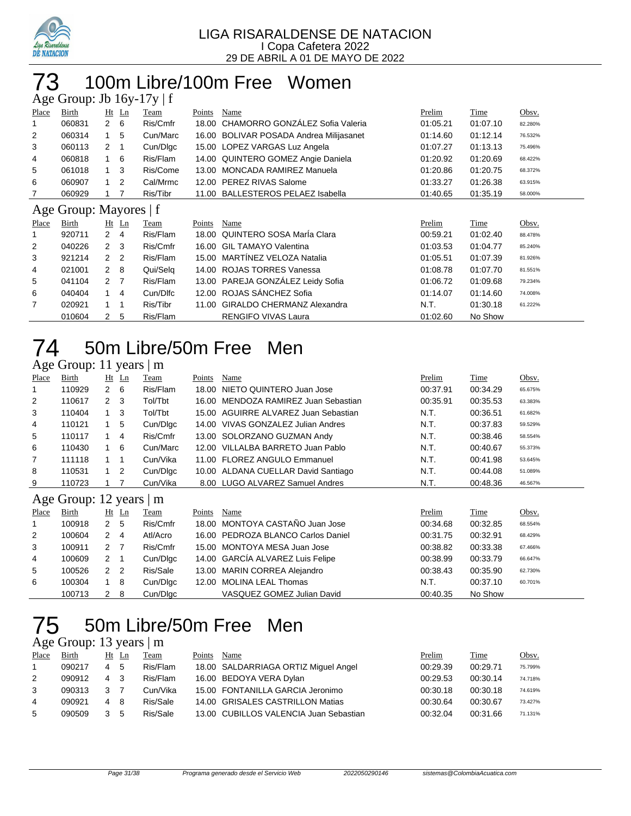

## 100m Libre/100m Free Women

|                         | Age Group: Jb $16y-17y \mid f$ |                      |         |          |        |                                          |          |          |         |  |  |  |
|-------------------------|--------------------------------|----------------------|---------|----------|--------|------------------------------------------|----------|----------|---------|--|--|--|
| Place                   | Birth                          |                      | Ht Ln   | Team     | Points | Name                                     | Prelim   | Time     | Obsv.   |  |  |  |
|                         | 060831                         | $\mathbf{2}^{\circ}$ | 6       | Ris/Cmfr | 18.00  | CHAMORRO GONZÁLEZ Sofia Valeria          | 01:05.21 | 01:07.10 | 82.280% |  |  |  |
| 2                       | 060314                         | 1                    | 5       | Cun/Marc | 16.00  | <b>BOLIVAR POSADA Andrea Milijasanet</b> | 01:14.60 | 01:12.14 | 76.532% |  |  |  |
| 3                       | 060113                         | 2                    | -1      | Cun/Dlgc | 15.00  | LOPEZ VARGAS Luz Angela                  | 01:07.27 | 01:13.13 | 75.496% |  |  |  |
| 4                       | 060818                         | 1                    | 6       | Ris/Flam |        | 14.00 QUINTERO GOMEZ Angie Daniela       | 01:20.92 | 01:20.69 | 68.422% |  |  |  |
| 5                       | 061018                         | $\mathbf{1}$         | 3       | Ris/Come | 13.00  | <b>MONCADA RAMIREZ Manuela</b>           | 01:20.86 | 01:20.75 | 68.372% |  |  |  |
| 6                       | 060907                         | 1                    | 2       | Cal/Mrmc |        | 12.00 PEREZ RIVAS Salome                 | 01:33.27 | 01:26.38 | 63.915% |  |  |  |
| 7                       | 060929                         | 1                    | 7       | Ris/Tibr | 11.00  | <b>BALLESTEROS PELAEZ Isabella</b>       | 01:40.65 | 01:35.19 | 58.000% |  |  |  |
| f<br>Age Group: Mayores |                                |                      |         |          |        |                                          |          |          |         |  |  |  |
|                         |                                |                      |         |          |        |                                          |          |          |         |  |  |  |
| Place                   | Birth                          |                      | $Ht$ Ln | Team     | Points | Name                                     | Prelim   | Time     | Obsv.   |  |  |  |
|                         | 920711                         | $\overline{2}$       | 4       | Ris/Flam | 18.00  | QUINTERO SOSA MarÍa Clara                | 00:59.21 | 01:02.40 | 88.478% |  |  |  |
| 2                       | 040226                         | $\mathbf{2}$         | 3       | Ris/Cmfr | 16.00  | <b>GIL TAMAYO Valentina</b>              | 01:03.53 | 01:04.77 | 85.240% |  |  |  |
| 3                       | 921214                         | 2 <sub>2</sub>       |         | Ris/Flam | 15.00  | MARTÍNEZ VELOZA Natalia                  | 01:05.51 | 01:07.39 | 81.926% |  |  |  |
| 4                       | 021001                         | $2 \quad 8$          |         | Qui/Selg | 14.00  | <b>ROJAS TORRES Vanessa</b>              | 01:08.78 | 01:07.70 | 81.551% |  |  |  |
| 5                       | 041104                         | 2 <sub>7</sub>       |         | Ris/Flam |        | 13.00 PAREJA GONZÁLEZ Leidy Sofia        | 01:06.72 | 01:09.68 | 79.234% |  |  |  |
| 6                       | 040404                         | 1                    | 4       | Cun/Dlfc |        | 12.00 ROJAS SÁNCHEZ Sofia                | 01:14.07 | 01:14.60 | 74.008% |  |  |  |
| 7                       | 020921                         | 1                    | 1       | Ris/Tibr | 11.00  | <b>GIRALDO CHERMANZ Alexandra</b>        | N.T.     | 01:30.18 | 61.222% |  |  |  |

## 50m Libre/50m Free Men

### Age Group: 11 years | m

| Place | Birth                              |              | $Ht$ Ln | Team     | Points | Name                                 | Prelim   | Time     | Obsv.   |  |  |
|-------|------------------------------------|--------------|---------|----------|--------|--------------------------------------|----------|----------|---------|--|--|
|       | 110929                             | $2 \quad 6$  |         | Ris/Flam |        | 18.00 NIETO QUINTERO Juan Jose       | 00:37.91 | 00:34.29 | 65.675% |  |  |
| 2     | 110617                             | $\mathbf{2}$ | -3      | Tol/Tbt  |        | 16.00 MENDOZA RAMIREZ Juan Sebastian | 00:35.91 | 00:35.53 | 63.383% |  |  |
| 3     | 110404                             |              | - 3     | Tol/Tbt  |        | 15.00 AGUIRRE ALVAREZ Juan Sebastian | N.T.     | 00:36.51 | 61.682% |  |  |
| 4     | 110121                             |              | 5       | Cun/Dlgc |        | 14.00 VIVAS GONZALEZ Julian Andres   | N.T.     | 00:37.83 | 59.529% |  |  |
| 5     | 110117                             |              | 4       | Ris/Cmfr |        | 13.00 SOLORZANO GUZMAN Andy          | N.T.     | 00:38.46 | 58.554% |  |  |
| 6     | 110430                             |              | - 6     | Cun/Marc |        | 12.00 VILLALBA BARRETO Juan Pablo    | N.T.     | 00:40.67 | 55.373% |  |  |
| 7     | 111118                             |              |         | Cun/Vika |        | 11.00 FLOREZ ANGULO Emmanuel         | N.T.     | 00:41.98 | 53.645% |  |  |
| 8     | 110531                             |              | -2      | Cun/Dlgc |        | 10.00 ALDANA CUELLAR David Santiago  | N.T.     | 00:44.08 | 51.089% |  |  |
| 9     | 110723                             |              |         | Cun/Vika |        | 8.00 LUGO ALVAREZ Samuel Andres      | N.T.     | 00:48.36 | 46.567% |  |  |
|       | Age Group: 12 years $\mathbb{R}$ m |              |         |          |        |                                      |          |          |         |  |  |

### Age Group: 12 years | m

| Place          | Birth  |               | $Ht$ Ln     | Team     | Points | Name                               | Prelim   | Time     | Obsv.   |
|----------------|--------|---------------|-------------|----------|--------|------------------------------------|----------|----------|---------|
| $\overline{1}$ | 100918 | 2             | -5          | Ris/Cmfr |        | 18.00 MONTOYA CASTAÑO Juan Jose    | 00:34.68 | 00:32.85 | 68.554% |
| 2              | 100604 | 2             | 4           | Atl/Acro |        | 16.00 PEDROZA BLANCO Carlos Daniel | 00:31.75 | 00:32.91 | 68.429% |
| 3              | 100911 | $\mathcal{P}$ |             | Ris/Cmfr |        | 15.00 MONTOYA MESA Juan Jose       | 00:38.82 | 00:33.38 | 67.466% |
| 4              | 100609 | 2             | $\mathbf 1$ | Cun/Digc |        | 14.00 GARCÍA ALVAREZ Luis Felipe   | 00:38.99 | 00:33.79 | 66.647% |
| 5              | 100526 | 2 2           |             | Ris/Sale |        | 13.00 MARIN CORREA Alejandro       | 00:38.43 | 00:35.90 | 62.730% |
| 6              | 100304 |               | -8          | Cun/Digc |        | 12.00 MOLINA LEAL Thomas           | N.T.     | 00:37.10 | 60.701% |
|                | 100713 | 2             | -8          | Cun/Dlgc |        | VASQUEZ GOMEZ Julian David         | 00:40.35 | No Show  |         |

# 50m Libre/50m Free Men

### Age Group: 13 years | m

| Place | Birth  |                | Ht Ln | Team      | Points | Name                                   | Prelim   | Time     | Obsv.   |
|-------|--------|----------------|-------|-----------|--------|----------------------------------------|----------|----------|---------|
|       | 090217 | 4              | -5    | Ris/Flam  |        | 18.00 SALDARRIAGA ORTIZ Miguel Angel   | 00:29.39 | 00:29.71 | 75.799% |
| 2     | 090912 | 4              |       | Ris/Flam  |        | 16.00 BEDOYA VERA Dylan                | 00:29.53 | 00:30.14 | 74.718% |
| 3     | 090313 | 3              |       | Cun/Vika. |        | 15.00 FONTANILLA GARCIA Jeronimo       | 00:30.18 | 00:30.18 | 74.619% |
| 4     | 090921 | $\overline{4}$ | -8    | Ris/Sale  |        | 14.00 GRISALES CASTRILLON Matias       | 00:30.64 | 00:30.67 | 73.427% |
| 5     | 090509 |                | 5     | Ris/Sale  |        | 13.00 CUBILLOS VALENCIA Juan Sebastian | 00:32.04 | 00:31.66 | 71.131% |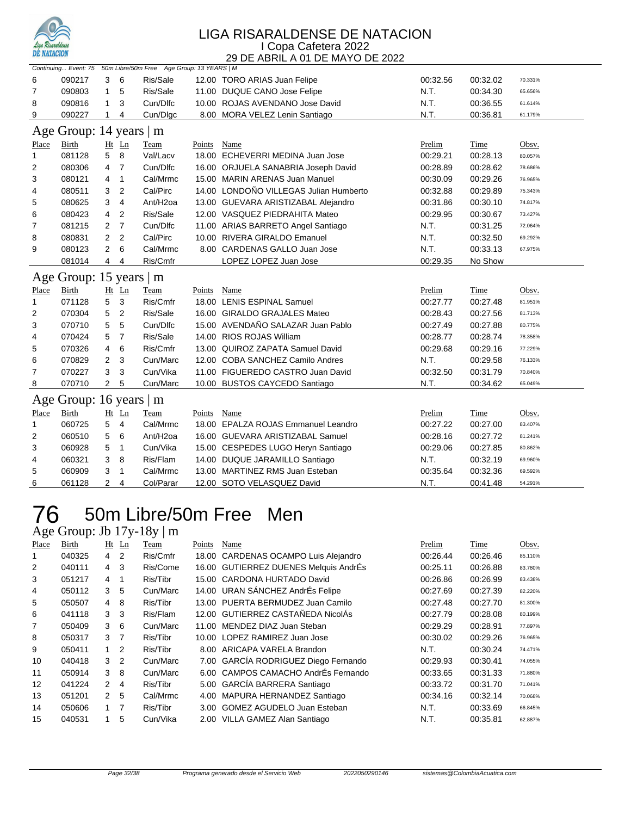

|              | Continuing Event: 75 50m Libre/50m Free Age Group: 13 YEARS   M |                |                |                      |             |                                        |          |          |         |  |  |
|--------------|-----------------------------------------------------------------|----------------|----------------|----------------------|-------------|----------------------------------------|----------|----------|---------|--|--|
| 6            | 090217                                                          | 3              | 6              | Ris/Sale             |             | 12.00 TORO ARIAS Juan Felipe           | 00:32.56 | 00:32.02 | 70.331% |  |  |
| 7            | 090803                                                          | $\mathbf{1}$   | 5              | Ris/Sale             |             | 11.00 DUQUE CANO Jose Felipe           | N.T.     | 00:34.30 | 65.656% |  |  |
| 8            | 090816                                                          | $\mathbf{1}$   | 3              | Cun/Dlfc             |             | 10.00 ROJAS AVENDANO Jose David        | N.T.     | 00:36.55 | 61.614% |  |  |
| 9            | 090227                                                          | 1              | 4              | Cun/Dlgc             |             | 8.00 MORA VELEZ Lenin Santiago         | N.T.     | 00:36.81 | 61.179% |  |  |
|              | Age Group: 14 years   m                                         |                |                |                      |             |                                        |          |          |         |  |  |
| Place        | Birth                                                           |                | Ht Ln          | Team                 | Points      | Name                                   | Prelim   | Time     | Obsv.   |  |  |
| $\mathbf{1}$ | 081128                                                          | 5              | 8              | Val/Lacv             |             | 18.00 ECHEVERRI MEDINA Juan Jose       | 00:29.21 | 00:28.13 | 80.057% |  |  |
| 2            | 080306                                                          | 4              | 7              | Cun/Dlfc             |             | 16.00 ORJUELA SANABRIA Joseph David    | 00:28.89 | 00:28.62 | 78.686% |  |  |
| 3            | 080121                                                          | 4              | 1              | Cal/Mrmc             |             | 15.00 MARIN ARENAS Juan Manuel         | 00:30.09 | 00:29.26 | 76.965% |  |  |
| 4            | 080511                                                          | 3              | $\overline{2}$ | Cal/Pirc             |             | 14.00 LONDOÑO VILLEGAS Julian Humberto | 00:32.88 | 00:29.89 | 75.343% |  |  |
| 5            | 080625                                                          | 3              | 4              | Ant/H <sub>2oa</sub> |             | 13.00 GUEVARA ARISTIZABAL Alejandro    | 00:31.86 | 00:30.10 | 74.817% |  |  |
| 6            | 080423                                                          | 4              | $\overline{2}$ | Ris/Sale             |             | 12.00 VASQUEZ PIEDRAHITA Mateo         | 00:29.95 | 00:30.67 | 73.427% |  |  |
| 7            | 081215                                                          | $\overline{2}$ | $\overline{7}$ | Cun/Dlfc             |             | 11.00 ARIAS BARRETO Angel Santiago     | N.T.     | 00:31.25 | 72.064% |  |  |
| 8            | 080831                                                          | $\overline{2}$ | $\overline{2}$ | Cal/Pirc             |             | 10.00 RIVERA GIRALDO Emanuel           | N.T.     | 00:32.50 | 69.292% |  |  |
| 9            | 080123                                                          | $\overline{2}$ | 6              | Cal/Mrmc             |             | 8.00 CARDENAS GALLO Juan Jose          | N.T.     | 00:33.13 | 67.975% |  |  |
|              | 081014                                                          | 4              | 4              | Ris/Cmfr             |             | LOPEZ LOPEZ Juan Jose                  | 00:29.35 | No Show  |         |  |  |
|              | Age Group: 15 years   m                                         |                |                |                      |             |                                        |          |          |         |  |  |
| Place        | <b>Birth</b>                                                    |                | Ht Ln          | Team                 | Points Name |                                        | Prelim   | Time     | Obsv.   |  |  |
| $\mathbf{1}$ | 071128                                                          | 5              | 3              | Ris/Cmfr             |             | 18.00 LENIS ESPINAL Samuel             | 00:27.77 | 00:27.48 | 81.951% |  |  |
| 2            | 070304                                                          | 5              | $\overline{2}$ | Ris/Sale             |             | 16.00 GIRALDO GRAJALES Mateo           | 00:28.43 | 00:27.56 | 81.713% |  |  |
| 3            | 070710                                                          | 5              | 5              | Cun/Dlfc             |             | 15.00 AVENDAÑO SALAZAR Juan Pablo      | 00:27.49 | 00:27.88 | 80.775% |  |  |
| 4            | 070424                                                          | 5              | $\overline{7}$ | Ris/Sale             |             | 14.00 RIOS ROJAS William               | 00:28.77 | 00:28.74 | 78.358% |  |  |
| 5            | 070326                                                          | 4              | 6              | Ris/Cmfr             |             | 13.00 QUIROZ ZAPATA Samuel David       | 00:29.68 | 00:29.16 | 77.229% |  |  |
| 6            | 070829                                                          | 2              | 3              | Cun/Marc             |             | 12.00 COBA SANCHEZ Camilo Andres       | N.T.     | 00:29.58 | 76.133% |  |  |
| 7            | 070227                                                          | 3              | 3              | Cun/Vika             |             | 11.00 FIGUEREDO CASTRO Juan David      | 00:32.50 | 00:31.79 | 70.840% |  |  |
| 8            | 070710                                                          | 2              | 5              | Cun/Marc             |             | 10.00 BUSTOS CAYCEDO Santiago          | N.T.     | 00:34.62 | 65.049% |  |  |
|              | Age Group: 16 years   m                                         |                |                |                      |             |                                        |          |          |         |  |  |
| Place        | Birth                                                           |                | $Ht$ Ln        | Team                 | Points      | Name                                   | Prelim   | Time     | Obsv.   |  |  |
| $\mathbf{1}$ | 060725                                                          | 5              | 4              | Cal/Mrmc             |             | 18.00 EPALZA ROJAS Emmanuel Leandro    | 00:27.22 | 00:27.00 | 83.407% |  |  |
| 2            | 060510                                                          | 5              | 6              | Ant/H <sub>2oa</sub> |             | 16.00 GUEVARA ARISTIZABAL Samuel       | 00:28.16 | 00:27.72 | 81.241% |  |  |
| 3            | 060928                                                          | 5              | 1              | Cun/Vika             |             | 15.00 CESPEDES LUGO Heryn Santiago     | 00:29.06 | 00:27.85 | 80.862% |  |  |
| 4            | 060321                                                          | 3              | 8              | Ris/Flam             |             | 14.00 DUQUE JARAMILLO Santiago         | N.T.     | 00:32.19 | 69.960% |  |  |
| 5            | 060909                                                          | 3              | $\mathbf{1}$   | Cal/Mrmc             |             | 13.00 MARTINEZ RMS Juan Esteban        | 00:35.64 | 00:32.36 | 69.592% |  |  |
| 6            | 061128                                                          | $\overline{2}$ | 4              | Col/Parar            |             | 12.00 SOTO VELASQUEZ David             | N.T.     | 00:41.48 | 54.291% |  |  |

## 76 50m Libre/50m Free Men

### Age Group: Jb 17y-18y | m

| Place | Birth  |                | $Ht$ Ln | Team     | Points | Name                                  | Prelim   | Time     | Obsv.   |
|-------|--------|----------------|---------|----------|--------|---------------------------------------|----------|----------|---------|
|       | 040325 | 4              | 2       | Ris/Cmfr |        | 18.00 CARDENAS OCAMPO Luis Alejandro  | 00:26.44 | 00:26.46 | 85.110% |
| 2     | 040111 | $\overline{4}$ | 3       | Ris/Come |        | 16.00 GUTIERREZ DUENES Melquis AndrÉs | 00:25.11 | 00:26.88 | 83.780% |
| 3     | 051217 | 4              | 1       | Ris/Tibr |        | 15.00 CARDONA HURTADO David           | 00:26.86 | 00:26.99 | 83.438% |
| 4     | 050112 | 3              | 5       | Cun/Marc |        | 14.00 URAN SÁNCHEZ AndrÉs Felipe      | 00:27.69 | 00:27.39 | 82.220% |
| 5     | 050507 | 4              | 8       | Ris/Tibr |        | 13.00 PUERTA BERMUDEZ Juan Camilo     | 00:27.48 | 00:27.70 | 81.300% |
| 6     | 041118 | 3              | 3       | Ris/Flam |        | 12.00 GUTIERREZ CASTAÑEDA NicolÁs     | 00:27.79 | 00:28.08 | 80.199% |
| 7     | 050409 | 3              | 6       | Cun/Marc |        | 11.00 MENDEZ DIAZ Juan Steban         | 00:29.29 | 00:28.91 | 77.897% |
| 8     | 050317 | 3 <sub>7</sub> |         | Ris/Tibr |        | 10.00 LOPEZ RAMIREZ Juan Jose         | 00:30.02 | 00:29.26 | 76.965% |
| 9     | 050411 | $\mathbf{1}$   | 2       | Ris/Tibr |        | 8.00 ARICAPA VARELA Brandon           | N.T.     | 00:30.24 | 74.471% |
| 10    | 040418 | 3              | 2       | Cun/Marc |        | 7.00 GARCÍA RODRIGUEZ Diego Fernando  | 00:29.93 | 00:30.41 | 74.055% |
| 11    | 050914 | 3              | 8       | Cun/Marc |        | 6.00 CAMPOS CAMACHO AndrÉs Fernando   | 00:33.65 | 00:31.33 | 71.880% |
| 12    | 041224 | $\mathcal{P}$  | 4       | Ris/Tibr |        | 5.00 GARCÍA BARRERA Santiago          | 00:33.72 | 00:31.70 | 71.041% |
| 13    | 051201 | $\mathcal{P}$  | 5       | Cal/Mrmc |        | 4.00 MAPURA HERNANDEZ Santiago        | 00:34.16 | 00:32.14 | 70.068% |
| 14    | 050606 | $\overline{1}$ | 7       | Ris/Tibr |        | 3.00 GOMEZ AGUDELO Juan Esteban       | N.T.     | 00:33.69 | 66.845% |
| 15    | 040531 |                | 5       | Cun/Vika |        | 2.00 VILLA GAMEZ Alan Santiago        | N.T.     | 00:35.81 | 62.887% |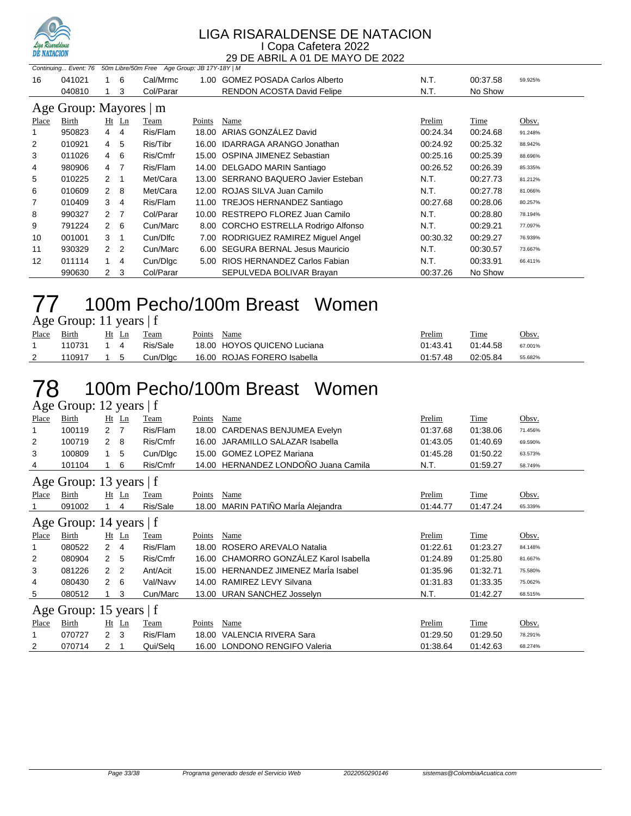

|                        | 50m Libre/50m Free Age Group: JB 17Y-18Y   M<br>Continuing Event: 76 |                  |                |           |        |                                      |          |          |         |  |  |  |
|------------------------|----------------------------------------------------------------------|------------------|----------------|-----------|--------|--------------------------------------|----------|----------|---------|--|--|--|
| 16                     | 041021                                                               | 1.               | 6              | Cal/Mrmc  |        | 1.00 GOMEZ POSADA Carlos Alberto     | N.T.     | 00:37.58 | 59.925% |  |  |  |
|                        | 040810                                                               |                  | 3              | Col/Parar |        | <b>RENDON ACOSTA David Felipe</b>    | N.T.     | No Show  |         |  |  |  |
| Age Group: Mayores   m |                                                                      |                  |                |           |        |                                      |          |          |         |  |  |  |
| Place                  | Birth                                                                |                  | $Ht$ Ln        | Team      | Points | Name                                 | Prelim   | Time     | Obsv.   |  |  |  |
|                        | 950823                                                               | $4 \quad 4$      |                | Ris/Flam  |        | 18.00 ARIAS GONZALEZ David           | 00:24.34 | 00:24.68 | 91.248% |  |  |  |
| 2                      | 010921                                                               | 4 5              |                | Ris/Tibr  |        | 16.00 IDARRAGA ARANGO Jonathan       | 00:24.92 | 00:25.32 | 88.942% |  |  |  |
| 3                      | 011026                                                               | $4\quad 6$       |                | Ris/Cmfr  |        | 15.00 OSPINA JIMENEZ Sebastian       | 00:25.16 | 00:25.39 | 88.696% |  |  |  |
| 4                      | 980906                                                               | 4 7              |                | Ris/Flam  |        | 14.00 DELGADO MARIN Santiago         | 00:26.52 | 00:26.39 | 85.335% |  |  |  |
| 5                      | 010225                                                               | $2 \quad 1$      |                | Met/Cara  |        | 13.00 SERRANO BAQUERO Javier Esteban | N.T.     | 00:27.73 | 81.212% |  |  |  |
| 6                      | 010609                                                               | $2 \quad 8$      |                | Met/Cara  |        | 12.00 ROJAS SILVA Juan Camilo        | N.T.     | 00:27.78 | 81.066% |  |  |  |
| 7                      | 010409                                                               | $3 \quad 4$      |                | Ris/Flam  |        | 11.00 TREJOS HERNANDEZ Santiago      | 00:27.68 | 00:28.06 | 80.257% |  |  |  |
| 8                      | 990327                                                               | $2 \overline{7}$ |                | Col/Parar | 10.00  | RESTREPO FLOREZ Juan Camilo          | N.T.     | 00:28.80 | 78.194% |  |  |  |
| 9                      | 791224                                                               | $2 \quad 6$      |                | Cun/Marc  |        | 8.00 CORCHO ESTRELLA Rodrigo Alfonso | N.T.     | 00:29.21 | 77.097% |  |  |  |
| 10                     | 001001                                                               | $3 \quad 1$      |                | Cun/Dlfc  |        | 7.00 RODRIGUEZ RAMIREZ Miguel Angel  | 00:30.32 | 00:29.27 | 76.939% |  |  |  |
| 11                     | 930329                                                               | $\mathbf{2}$     | $\overline{2}$ | Cun/Marc  |        | 6.00 SEGURA BERNAL Jesus Mauricio    | N.T.     | 00:30.57 | 73.667% |  |  |  |
| 12                     | 011114                                                               | 1                | 4              | Cun/Dlgc  |        | 5.00 RIOS HERNANDEZ Carlos Fabian    | N.T.     | 00:33.91 | 66.411% |  |  |  |
|                        | 990630                                                               | 2                | 3              | Col/Parar |        | SEPULVEDA BOLIVAR Brayan             | 00:37.26 | No Show  |         |  |  |  |

## 100m Pecho/100m Breast Women

| Age Group: 11 years   f |  |  |
|-------------------------|--|--|
|-------------------------|--|--|

| Place | Birth  | Ht<br>Ln | Team     | Points | Name                        | Prelim   | Time     | Obsv.   |
|-------|--------|----------|----------|--------|-----------------------------|----------|----------|---------|
|       | 110731 |          | Ris/Sale |        | 18.00 HOYOS QUICENO Luciana | 01:43.41 | 01:44.58 | 67.001% |
| ▵     | 110917 |          | Cun/Dlac |        | 16.00 ROJAS FORERO Isabella | 01:57.48 | 02:05.84 | 55.682% |

### 100m Pecho/100m Breast Women Age Group: 12 years | f

Place Birth Ht Ln Team Points Name Prelim Time Obsv. 100119 2 7 Ris/Flam 18.00 CARDENAS BENJUMEA Evelyn 01:37.68 01:38.06 71.456% 100719 2 8 Ris/Cmfr 16.00 JARAMILLO SALAZAR Isabella 01:43.05 01:40.69 69.590% 100809 1 5 Cun/Dlgc 15.00 GOMEZ LOPEZ Mariana 01:45.28 01:50.22 63.573% 101104 1 6 Ris/Cmfr 14.00 HERNANDEZ LONDOÑO Juana Camila N.T. 01:59.27 58.749% Age Group: 13 years | f Place Birth Ht Ln Team Points Name Prelim Time Obsv. 091002 1 4 Ris/Sale 18.00 MARIN PATIÑO MarÍa Alejandra 01:44.77 01:47.24 65.339% Age Group: 14 years | f <u>Place Birth Ht Ln Team Points Name</u> Point Prelim T<u>ime</u> Obsv. 080522 2 4 Ris/Flam 18.00 ROSERO AREVALO Natalia 01:22.61 01:23.27 84.148% 080904 2 5 Ris/Cmfr 16.00 CHAMORRO GONZÁLEZ Karol Isabella 01:24.89 01:25.80 81.667% 081226 2 2 Ant/Acit 15.00 HERNANDEZ JIMENEZ MarÍa Isabel 01:35.96 01:32.71 75.580% 080430 2 6 Val/Navv 14.00 RAMIREZ LEVY Silvana 01:31.83 01:33.35 75.062% 5 080512 1 3 Cun/Marc 13.00 URAN SANCHEZ Josselyn M.T. 01:42.27 68.515% Age Group: 15 years | f Place Birth Ht Ln Team Points Name Prelim Time Obsv. 070727 2 3 Ris/Flam 18.00 VALENCIA RIVERA Sara 01:29.50 01:29.50 78.291% 070714 2 1 Qui/Selq 16.00 LONDONO RENGIFO Valeria 01:38.64 01:42.63 68.274%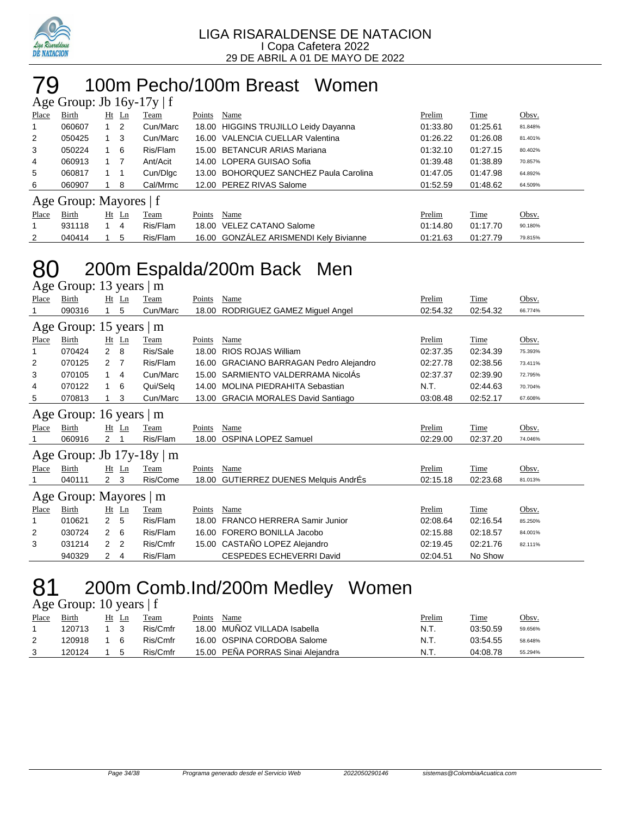

## 79 100m Pecho/100m Breast Women

| Age Group: Jb $16y-17y \mid f$ |                        |              |         |          |        |                                        |          |          |         |  |  |
|--------------------------------|------------------------|--------------|---------|----------|--------|----------------------------------------|----------|----------|---------|--|--|
| Place                          | Birth                  |              | $Ht$ Ln | Team     | Points | Name                                   | Prelim   | Time     | Obsv.   |  |  |
|                                | 060607                 |              | -2      | Cun/Marc |        | 18.00 HIGGINS TRUJILLO Leidy Dayanna   | 01:33.80 | 01:25.61 | 81.848% |  |  |
| 2                              | 050425                 |              | -3      | Cun/Marc |        | 16.00 VALENCIA CUELLAR Valentina       | 01:26.22 | 01:26.08 | 81.401% |  |  |
| 3                              | 050224                 |              | 6       | Ris/Flam |        | 15.00 BETANCUR ARIAS Mariana           | 01:32.10 | 01:27.15 | 80.402% |  |  |
| 4                              | 060913                 | $1 \quad 7$  |         | Ant/Acit |        | 14.00 LOPERA GUISAO Sofia              | 01:39.48 | 01:38.89 | 70.857% |  |  |
| 5                              | 060817                 |              |         | Cun/Digc |        | 13.00 BOHORQUEZ SANCHEZ Paula Carolina | 01:47.05 | 01:47.98 | 64.892% |  |  |
| 6                              | 060907                 |              | 8       | Cal/Mrmc |        | 12.00 PEREZ RIVAS Salome               | 01:52.59 | 01:48.62 | 64.509% |  |  |
|                                | Age Group: Mayores   f |              |         |          |        |                                        |          |          |         |  |  |
| Place                          | Birth                  |              | $Ht$ Ln | Team     | Points | Name                                   | Prelim   | Time     | Obsv.   |  |  |
| $\mathbf 1$                    | 931118                 | $\mathbf{1}$ | -4      | Ris/Flam |        | 18.00 VELEZ CATANO Salome              | 01:14.80 | 01:17.70 | 90.180% |  |  |
| 2                              | 040414                 |              | 5       | Ris/Flam |        | 16.00 GONZÁLEZ ARISMENDI Kely Bivianne | 01:21.63 | 01:27.79 | 79.815% |  |  |

# 80 200m Espalda/200m Back Men

| Age Group: 13 years   m |                                |                |                |          |        |                                          |          |          |         |  |  |  |
|-------------------------|--------------------------------|----------------|----------------|----------|--------|------------------------------------------|----------|----------|---------|--|--|--|
| Place                   | Birth                          |                | $Ht$ Ln        | Team     | Points | Name                                     | Prelim   | Time     | Obsv.   |  |  |  |
|                         | 090316                         |                | 5              | Cun/Marc | 18.00  | RODRIGUEZ GAMEZ Miguel Angel             | 02:54.32 | 02:54.32 | 66.774% |  |  |  |
|                         | Age Group: 15 years $ m$       |                |                |          |        |                                          |          |          |         |  |  |  |
| Place                   | Birth                          |                | $Ht$ Ln        | Team     | Points | Name                                     | Prelim   | Time     | Obsv.   |  |  |  |
| 1                       | 070424                         | $\overline{2}$ | 8              | Ris/Sale | 18.00  | <b>RIOS ROJAS William</b>                | 02:37.35 | 02:34.39 | 75.393% |  |  |  |
| 2                       | 070125                         | 2              | - 7            | Ris/Flam | 16.00  | <b>GRACIANO BARRAGAN Pedro Alejandro</b> | 02:27.78 | 02:38.56 | 73.411% |  |  |  |
| 3                       | 070105                         | 1.             | 4              | Cun/Marc |        | 15.00 SARMIENTO VALDERRAMA NicolAs       | 02:37.37 | 02:39.90 | 72.795% |  |  |  |
| 4                       | 070122                         | 1              | 6              | Qui/Selq | 14.00  | <b>MOLINA PIEDRAHITA Sebastian</b>       | N.T.     | 02:44.63 | 70.704% |  |  |  |
| 5                       | 070813                         |                | 3              | Cun/Marc |        | 13.00 GRACIA MORALES David Santiago      | 03:08.48 | 02:52.17 | 67.608% |  |  |  |
|                         | Age Group: 16 years   m        |                |                |          |        |                                          |          |          |         |  |  |  |
| <b>Place</b>            | Birth                          |                | Ht Ln          | Team     | Points | Name                                     | Prelim   | Time     | Obsv.   |  |  |  |
|                         | 060916                         | 2              |                | Ris/Flam | 18.00  | <b>OSPINA LOPEZ Samuel</b>               | 02:29.00 | 02:37.20 | 74.046% |  |  |  |
|                         | Age Group: Jb $17y-18y \mid m$ |                |                |          |        |                                          |          |          |         |  |  |  |
| Place                   | Birth                          |                | Ht Ln          | Team     | Points | Name                                     | Prelim   | Time     | Obsv.   |  |  |  |
|                         | 040111                         | $\mathbf{2}$   | -3             | Ris/Come | 18.00  | <b>GUTIERREZ DUENES Melquis AndrÉs</b>   | 02:15.18 | 02:23.68 | 81.013% |  |  |  |
|                         | Age Group: Mayores   m         |                |                |          |        |                                          |          |          |         |  |  |  |
| Place                   | Birth                          |                | Ht Ln          | Team     | Points | Name                                     | Prelim   | Time     | Obsv.   |  |  |  |
| 1                       | 010621                         | $\overline{2}$ | 5              | Ris/Flam | 18.00  | <b>FRANCO HERRERA Samir Junior</b>       | 02:08.64 | 02:16.54 | 85.250% |  |  |  |
| 2                       | 030724                         | 2              | 6              | Ris/Flam | 16.00  | FORERO BONILLA Jacobo                    | 02:15.88 | 02:18.57 | 84.001% |  |  |  |
| 3                       | 031214                         | 2              | $\overline{2}$ | Ris/Cmfr |        | 15.00 CASTAÑO LOPEZ Alejandro            | 02:19.45 | 02:21.76 | 82.111% |  |  |  |
|                         | 940329                         | 2              | 4              | Ris/Flam |        | <b>CESPEDES ECHEVERRI David</b>          | 02:04.51 | No Show  |         |  |  |  |

## 81 200m Comb.Ind/200m Medley Women

Age Group: 10 years | f

| Place | Birth  | Ht | Ln | Team     | Points | Name                              | Prelim | Time     | Obsv.   |
|-------|--------|----|----|----------|--------|-----------------------------------|--------|----------|---------|
|       | 120713 |    |    | Ris/Cmfr |        | 18.00 MUÑOZ VILLADA Isabella      | N.T.   | 03:50.59 | 59.656% |
|       | 120918 |    |    | Ris/Cmfr |        | 16.00 OSPINA CORDOBA Salome       | N.T.   | 03:54.55 | 58.648% |
|       | 120124 |    |    | Ris/Cmfr |        | 15.00 PENA PORRAS Sinai Aleiandra | N.T.   | 04:08.78 | 55.294% |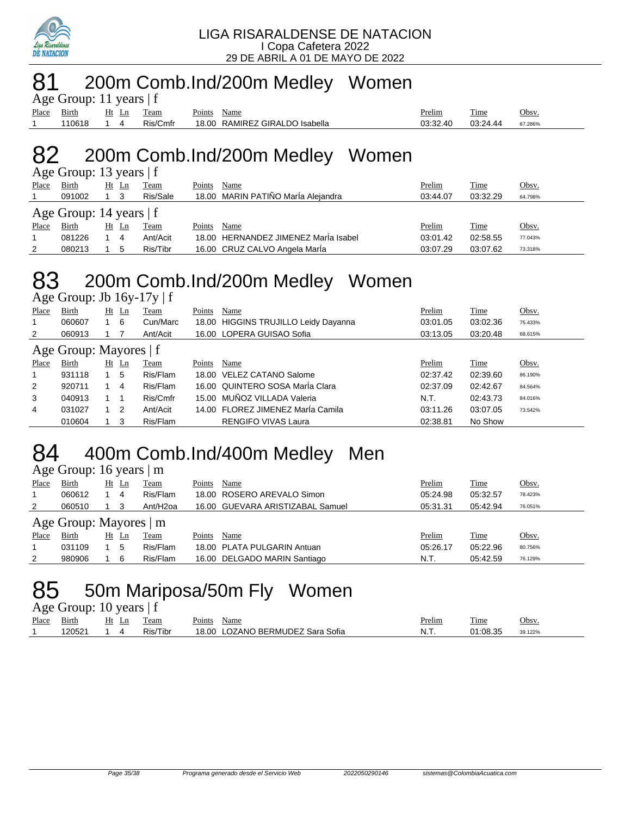

## 81 200m Comb.Ind/200m Medley Women

| Age Group: 11 years $ f $ |            |  |  |            |             |                                |               |          |         |  |  |
|---------------------------|------------|--|--|------------|-------------|--------------------------------|---------------|----------|---------|--|--|
| Place Birth               |            |  |  | Ht Ln Team | Points Name |                                | <u>Prelim</u> | Time     | Obsv.   |  |  |
|                           | 110618 1 4 |  |  | Ris/Cmfr   |             | 18.00 RAMIREZ GIRALDO Isabella | 03:32.40      | 03:24.44 | 67.286% |  |  |

### 82 200m Comb.Ind/200m Medley Women  $G$ roup: 13 years | f

| Age Group: 15 years $ 1 $ |                           |  |       |          |        |                                      |          |          |         |  |  |  |
|---------------------------|---------------------------|--|-------|----------|--------|--------------------------------------|----------|----------|---------|--|--|--|
| Place                     | Birth                     |  | Ht Ln | Team     | Points | Name                                 | Prelim   | Time     | Obsv.   |  |  |  |
|                           | 091002                    |  |       | Ris/Sale |        | 18.00 MARIN PATIÑO MarÍa Alejandra   | 03:44.07 | 03:32.29 | 64.798% |  |  |  |
|                           | Age Group: 14 years $ f $ |  |       |          |        |                                      |          |          |         |  |  |  |
| Place                     | <b>Birth</b>              |  | Ht Ln | Team     | Points | Name                                 | Prelim   | Time     | Obsv.   |  |  |  |
|                           | 081226                    |  | 4     | Ant/Acit |        | 18.00 HERNANDEZ JIMENEZ María Isabel | 03:01.42 | 02:58.55 | 77.043% |  |  |  |
| 2                         | 080213                    |  | 5     | Ris/Tibr |        | 16.00 CRUZ CALVO Angela Marla        | 03:07.29 | 03:07.62 | 73.318% |  |  |  |

# 83 200m Comb.Ind/200m Medley Women

Age Group: Jb 16y-17y | f

| Place        | Birth                  |  | $Ht$ Ln | Team     | Points | Name                                 | Prelim   | Time     | Obsv.   |  |  |  |  |
|--------------|------------------------|--|---------|----------|--------|--------------------------------------|----------|----------|---------|--|--|--|--|
| 1            | 060607                 |  | -6      | Cun/Marc |        | 18.00 HIGGINS TRUJILLO Leidy Dayanna | 03:01.05 | 03:02.36 | 75.433% |  |  |  |  |
| 2            | 060913                 |  |         | Ant/Acit |        | 16.00 LOPERA GUISAO Sofia            | 03:13.05 | 03:20.48 | 68.615% |  |  |  |  |
|              | Age Group: Mayores   f |  |         |          |        |                                      |          |          |         |  |  |  |  |
| Place        | Birth                  |  | $Ht$ Ln | Team     | Points | Name                                 | Prelim   | Time     | Obsv.   |  |  |  |  |
| $\mathbf{1}$ | 931118                 |  | 5       | Ris/Flam |        | 18.00 VELEZ CATANO Salome            | 02:37.42 | 02:39.60 | 86.190% |  |  |  |  |
| 2            | 920711                 |  | 4       | Ris/Flam |        | 16.00 QUINTERO SOSA María Clara      | 02:37.09 | 02:42.67 | 84.564% |  |  |  |  |
| 3            | 040913                 |  |         | Ris/Cmfr |        | 15.00 MUÑOZ VILLADA Valeria          | N.T.     | 02:43.73 | 84.016% |  |  |  |  |
| 4            | 031027                 |  | 2       | Ant/Acit |        | 14.00 FLOREZ JIMENEZ MarÍa Camila    | 03:11.26 | 03:07.05 | 73.542% |  |  |  |  |
|              | 010604                 |  | 3       | Ris/Flam |        | <b>RENGIFO VIVAS Laura</b>           | 02:38.81 | No Show  |         |  |  |  |  |
|              |                        |  |         |          |        |                                      |          |          |         |  |  |  |  |

# 84 400m Comb.Ind/400m Medley Men

Age Group: 16 years | m

| Place | Birth                  |    | Ht Ln | Team                  | Points | Name                             | Prelim   | Time     | Obsv.   |  |  |  |
|-------|------------------------|----|-------|-----------------------|--------|----------------------------------|----------|----------|---------|--|--|--|
|       | 060612                 |    | 4     | Ris/Flam              |        | 18.00 ROSERO AREVALO Simon       | 05:24.98 | 05:32.57 | 78.423% |  |  |  |
| 2     | 060510                 |    | 3     | Ant/H <sub>2</sub> oa |        | 16.00 GUEVARA ARISTIZABAL Samuel | 05:31.31 | 05:42.94 | 76.051% |  |  |  |
|       | Age Group: Mayores   m |    |       |                       |        |                                  |          |          |         |  |  |  |
| Place | Birth                  | Ht | Ln    | Team                  | Points | Name                             | Prelim   | Time     | Obsv.   |  |  |  |
|       | 031109                 |    | 5     | Ris/Flam              |        | 18.00 PLATA PULGARIN Antuan      | 05:26.17 | 05:22.96 | 80.756% |  |  |  |
| 2     | 980906                 |    | 6     | Ris/Flam              |        | 16.00 DELGADO MARIN Santiago     | N.T.     | 05:42.59 | 76.129% |  |  |  |
|       |                        |    |       |                       |        |                                  |          |          |         |  |  |  |

# 50m Mariposa/50m Fly Women

Age Group: 10 years | f

| Place | $\sim$ $\cdot$<br>Birth | н | eam           | $\sim$<br>Name<br>-oints                       | <b>Prelim</b> | m.<br>1me | Jbsv    |
|-------|-------------------------|---|---------------|------------------------------------------------|---------------|-----------|---------|
|       | 2052'                   |   | $\sim$<br>Гib | BERMUDEZ<br>/ANC<br>Sofia<br>8.00<br>Sara<br>റ | N             | 01:08.35  | 39.122% |
|       |                         |   |               |                                                |               |           |         |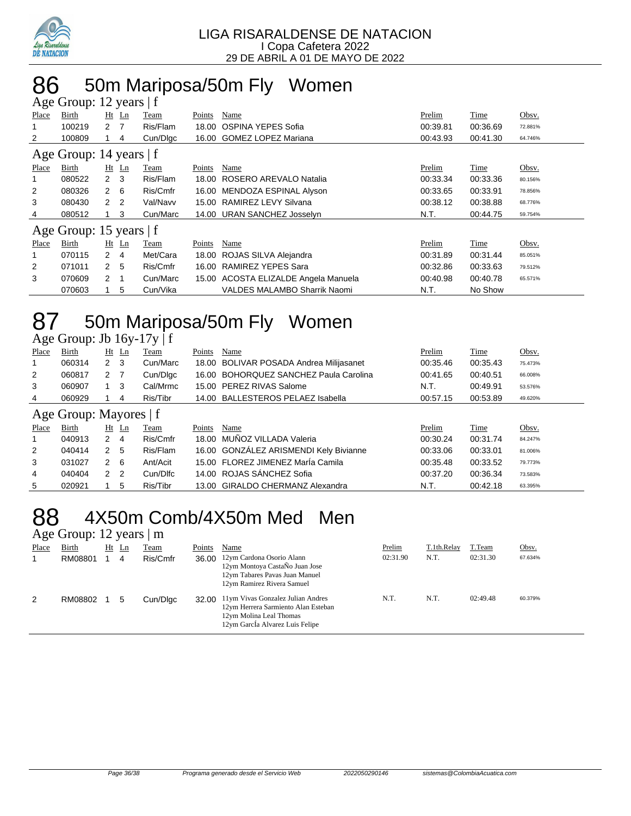

# 86 50m Mariposa/50m Fly Women

|                | Age Group: 12 years   f |                  |         |          |        |                                      |          |          |         |  |  |
|----------------|-------------------------|------------------|---------|----------|--------|--------------------------------------|----------|----------|---------|--|--|
| Place          | Birth                   |                  | $Ht$ Ln | Team     | Points | Name                                 | Prelim   | Time     | Obsv.   |  |  |
|                | 100219                  | $2 \overline{7}$ |         | Ris/Flam | 18.00  | OSPINA YEPES Sofia                   | 00:39.81 | 00:36.69 | 72.881% |  |  |
| 2              | 100809                  |                  | 4       | Cun/Dlgc |        | 16.00 GOMEZ LOPEZ Mariana            | 00:43.93 | 00:41.30 | 64.746% |  |  |
|                | Age Group: 14 years   f |                  |         |          |        |                                      |          |          |         |  |  |
| Place          | Birth                   |                  | $Ht$ Ln | Team     | Points | Name                                 | Prelim   | Time     | Obsv.   |  |  |
|                | 080522                  | $2 \quad 3$      |         | Ris/Flam | 18.00  | ROSERO AREVALO Natalia               | 00:33.34 | 00:33.36 | 80.156% |  |  |
| $\overline{2}$ | 080326                  | $2\quad 6$       |         | Ris/Cmfr | 16.00  | MENDOZA ESPINAL Alyson               | 00:33.65 | 00:33.91 | 78.856% |  |  |
| 3              | 080430                  | 2 <sub>2</sub>   |         | Val/Navv | 15.00  | RAMIREZ LEVY Silvana                 | 00:38.12 | 00:38.88 | 68.776% |  |  |
| 4              | 080512                  | 1.               | 3       | Cun/Marc |        | 14.00 URAN SANCHEZ Josselyn          | N.T.     | 00:44.75 | 59.754% |  |  |
|                | Age Group: 15 years   f |                  |         |          |        |                                      |          |          |         |  |  |
| Place          | Birth                   |                  | $Ht$ Ln | Team     | Points | Name                                 | Prelim   | Time     | Obsv.   |  |  |
|                | 070115                  | $2 \quad 4$      |         | Met/Cara | 18.00  | ROJAS SILVA Alejandra                | 00:31.89 | 00:31.44 | 85.051% |  |  |
| 2              | 071011                  | 2 <sub>5</sub>   |         | Ris/Cmfr | 16.00  | <b>RAMIREZ YEPES Sara</b>            | 00:32.86 | 00:33.63 | 79.512% |  |  |
| 3              | 070609                  | 2                | -1      | Cun/Marc |        | 15.00 ACOSTA ELIZALDE Angela Manuela | 00:40.98 | 00:40.78 | 65.571% |  |  |
|                | 070603                  |                  | 5       | Cun/Vika |        | <b>VALDES MALAMBO Sharrik Naomi</b>  | N.T.     | No Show  |         |  |  |

# 87 50m Mariposa/50m Fly Women

| Age Group: Jb 16y-17y   f |  |  |
|---------------------------|--|--|
|                           |  |  |

| Place          | Birth                    | Ht | Ln  | Team     | Points | Name                                    | Prelim   | Time        | Obsv.   |
|----------------|--------------------------|----|-----|----------|--------|-----------------------------------------|----------|-------------|---------|
| 1              | 060314                   | 2  | -3  | Cun/Marc |        | 18.00 BOLIVAR POSADA Andrea Milijasanet | 00:35.46 | 00:35.43    | 75.473% |
| 2              | 060817                   | 2  |     | Cun/Dlgc |        | 16.00 BOHORQUEZ SANCHEZ Paula Carolina  | 00:41.65 | 00:40.51    | 66.008% |
| 3              | 060907                   |    | - 3 | Cal/Mrmc |        | 15.00 PEREZ RIVAS Salome                | N.T.     | 00:49.91    | 53.576% |
| 4              | 060929                   |    | 4   | Ris/Tibr |        | 14.00 BALLESTEROS PELAEZ Isabella       | 00:57.15 | 00:53.89    | 49.620% |
|                | Age Group: Mayores $ f $ |    |     |          |        |                                         |          |             |         |
| Place          | Birth                    | Ht | Ln  | Team     | Points | Name                                    | Prelim   | <b>Time</b> | Obsv.   |
| $\overline{1}$ | 040913                   | 2  | 4   | Ris/Cmfr |        | 18.00 MUÑOZ VILLADA Valeria             | 00:30.24 | 00:31.74    | 84.247% |
| 2              | 040414                   | 2  | 5   | Ris/Flam |        | 16.00 GONZÁLEZ ARISMENDI Kely Bivianne  | 00:33.06 | 00:33.01    | 81.006% |
| 3              | 031027                   | 2  | -6  | Ant/Acit |        | 15.00 FLOREZ JIMENEZ María Camila       | 00:35.48 | 00:33.52    | 79.773% |

4 040404 2 2 Cun/Dlfc 14.00 ROJAS SÁNCHEZ Sofia 00:37.20 00:36.34 73.583% 5 020921 1 5 Ris/Tibr 13.00 GIRALDO CHERMANZ Alexandra N.T. 00:42.18 63.395%

# 88 4X50m Comb/4X50m Med Men

### Age Group: 12 years | m

| ັ<br>Place | Birth<br>RM08801 | $Ht$ Ln<br>4 | Team<br>Ris/Cmfr | Points<br>36.00 | Name<br>12ym Cardona Osorio Alann<br>12ym Montoya CastaÑo Juan Jose<br>12ym Tabares Pavas Juan Manuel<br>12ym Ramirez Rivera Samuel    | Prelim<br>02:31.90 | T.1th.Relay<br>N.T. | T.Team<br>02:31.30 | Obsv.<br>67.634% |
|------------|------------------|--------------|------------------|-----------------|----------------------------------------------------------------------------------------------------------------------------------------|--------------------|---------------------|--------------------|------------------|
| 2          | RM08802          | -5           | Cun/Dlgc         | 32.00           | 11ym Vivas Gonzalez Julian Andres<br>12ym Herrera Sarmiento Alan Esteban<br>12ym Molina Leal Thomas<br>12ym Garcia Alvarez Luis Felipe | N.T.               | N.T.                | 02:49.48           | 60.379%          |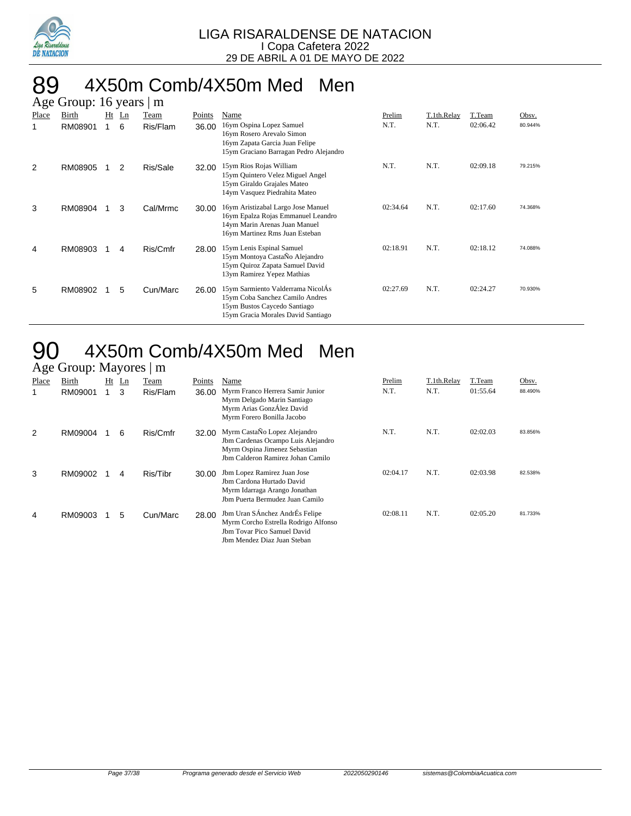

#### 89 4X50m Comb/4X50m Med Men  $\mathbf{B}$ . 16 years  $\mathbf{B}$

|       | Age Group. To years<br>$\perp$ 111 |    |                |          |        |                                                                                                                                             |          |             |          |         |  |  |
|-------|------------------------------------|----|----------------|----------|--------|---------------------------------------------------------------------------------------------------------------------------------------------|----------|-------------|----------|---------|--|--|
| Place | Birth                              | Ht | $\mathbf{L}$ n | Team     | Points | Name                                                                                                                                        | Prelim   | T.1th.Relay | T.Team   | Obsv.   |  |  |
| 1     | RM08901                            | 1  | 6              | Ris/Flam | 36.00  | 16ym Ospina Lopez Samuel<br>16ym Rosero Arevalo Simon<br>16ym Zapata Garcia Juan Felipe<br>15ym Graciano Barragan Pedro Alejandro           | N.T.     | N.T.        | 02:06.42 | 80.944% |  |  |
| 2     | RM08905                            |    | 2              | Ris/Sale | 32.00  | 15ym Rios Rojas William<br>15ym Quintero Velez Miguel Angel<br>15ym Giraldo Grajales Mateo<br>14ym Vasquez Piedrahita Mateo                 | N.T.     | N.T.        | 02:09.18 | 79.215% |  |  |
| 3     | RM08904                            |    | 3              | Cal/Mrmc | 30.00  | 16ym Aristizabal Largo Jose Manuel<br>16ym Epalza Rojas Emmanuel Leandro<br>14ym Marin Arenas Juan Manuel<br>16ym Martinez Rms Juan Esteban | 02:34.64 | N.T.        | 02:17.60 | 74.368% |  |  |
| 4     | RM08903                            |    | 4              | Ris/Cmfr | 28.00  | 15ym Lenis Espinal Samuel<br>15ym Montoya CastaÑo Alejandro<br>15ym Quiroz Zapata Samuel David<br>13ym Ramirez Yepez Mathias                | 02:18.91 | N.T.        | 02:18.12 | 74.088% |  |  |
| 5     | RM08902                            |    | 5              | Cun/Marc | 26.00  | 15ym Sarmiento Valderrama NicolÁs<br>15ym Coba Sanchez Camilo Andres<br>15ym Bustos Caycedo Santiago<br>15ym Gracia Morales David Santiago  | 02:27.69 | N.T.        | 02:24.27 | 70.930% |  |  |

### 4X50m Comb/4X50m Med Men Age Group: Mayores | m

|       | $A\&C$ UTOUP. Maybe $\parallel$ III |    |                |          |        |                                                                                                                                          |          |             |          |         |  |  |
|-------|-------------------------------------|----|----------------|----------|--------|------------------------------------------------------------------------------------------------------------------------------------------|----------|-------------|----------|---------|--|--|
| Place | <b>Birth</b>                        | Ht | $\mathbf{L}$ n | Team     | Points | Name                                                                                                                                     | Prelim   | T.1th.Relay | T.Team   | Obsv.   |  |  |
| 1     | RM09001                             |    | 3              | Ris/Flam | 36.00  | Myrm Franco Herrera Samir Junior<br>Myrm Delgado Marin Santiago<br>Myrm Arias GonzÁlez David<br>Myrm Forero Bonilla Jacobo               | N.T.     | N.T.        | 01:55.64 | 88.490% |  |  |
| 2     | RM09004                             |    | 6              | Ris/Cmfr | 32.00  | Myrm CastaÑo Lopez Alejandro<br>Jbm Cardenas Ocampo Luis Alejandro<br>Myrm Ospina Jimenez Sebastian<br>Jbm Calderon Ramirez Johan Camilo | N.T.     | N.T.        | 02:02.03 | 83.856% |  |  |
| 3     | RM09002                             |    | 4              | Ris/Tibr | 30.00  | Jbm Lopez Ramirez Juan Jose<br>Jbm Cardona Hurtado David<br>Myrm Idarraga Arango Jonathan<br>Jbm Puerta Bermudez Juan Camilo             | 02:04.17 | N.T.        | 02:03.98 | 82.538% |  |  |
| 4     | RM09003                             |    | 5              | Cun/Marc | 28.00  | Jbm Uran SÁnchez AndrÉs Felipe<br>Myrm Corcho Estrella Rodrigo Alfonso<br>Jbm Tovar Pico Samuel David<br>Jbm Mendez Diaz Juan Steban     | 02:08.11 | N.T.        | 02:05.20 | 81.733% |  |  |